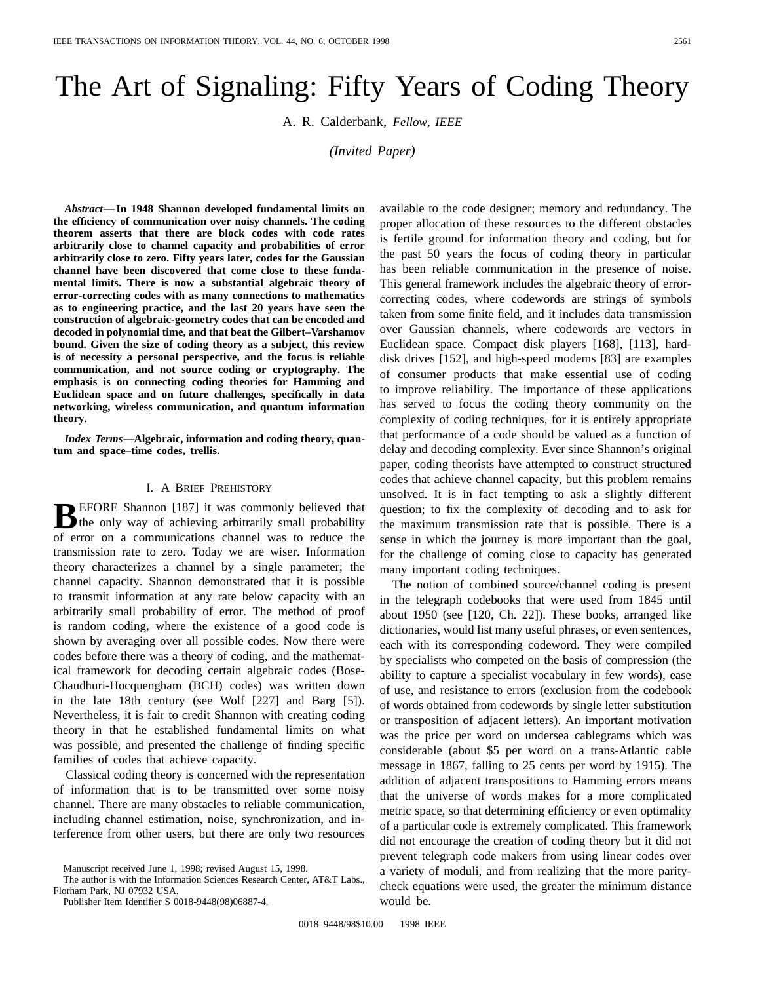# The Art of Signaling: Fifty Years of Coding Theory

A. R. Calderbank, *Fellow, IEEE*

*(Invited Paper)*

*Abstract—***In 1948 Shannon developed fundamental limits on the efficiency of communication over noisy channels. The coding theorem asserts that there are block codes with code rates arbitrarily close to channel capacity and probabilities of error arbitrarily close to zero. Fifty years later, codes for the Gaussian channel have been discovered that come close to these fundamental limits. There is now a substantial algebraic theory of error-correcting codes with as many connections to mathematics as to engineering practice, and the last 20 years have seen the construction of algebraic-geometry codes that can be encoded and decoded in polynomial time, and that beat the Gilbert–Varshamov bound. Given the size of coding theory as a subject, this review is of necessity a personal perspective, and the focus is reliable communication, and not source coding or cryptography. The emphasis is on connecting coding theories for Hamming and Euclidean space and on future challenges, specifically in data networking, wireless communication, and quantum information theory.**

*Index Terms—***Algebraic, information and coding theory, quantum and space–time codes, trellis.**

#### I. A BRIEF PREHISTORY

**B**EFORE Shannon [187] it was commonly believed that<br>the only way of achieving arbitrarily small probability<br>of any summulation arbured was the reduce that of error on a communications channel was to reduce the transmission rate to zero. Today we are wiser. Information theory characterizes a channel by a single parameter; the channel capacity. Shannon demonstrated that it is possible to transmit information at any rate below capacity with an arbitrarily small probability of error. The method of proof is random coding, where the existence of a good code is shown by averaging over all possible codes. Now there were codes before there was a theory of coding, and the mathematical framework for decoding certain algebraic codes (Bose-Chaudhuri-Hocquengham (BCH) codes) was written down in the late 18th century (see Wolf [227] and Barg [5]). Nevertheless, it is fair to credit Shannon with creating coding theory in that he established fundamental limits on what was possible, and presented the challenge of finding specific families of codes that achieve capacity.

Classical coding theory is concerned with the representation of information that is to be transmitted over some noisy channel. There are many obstacles to reliable communication, including channel estimation, noise, synchronization, and interference from other users, but there are only two resources

The author is with the Information Sciences Research Center, AT&T Labs., Florham Park, NJ 07932 USA.

Publisher Item Identifier S 0018-9448(98)06887-4.

available to the code designer; memory and redundancy. The proper allocation of these resources to the different obstacles is fertile ground for information theory and coding, but for the past 50 years the focus of coding theory in particular has been reliable communication in the presence of noise. This general framework includes the algebraic theory of errorcorrecting codes, where codewords are strings of symbols taken from some finite field, and it includes data transmission over Gaussian channels, where codewords are vectors in Euclidean space. Compact disk players [168], [113], harddisk drives [152], and high-speed modems [83] are examples of consumer products that make essential use of coding to improve reliability. The importance of these applications has served to focus the coding theory community on the complexity of coding techniques, for it is entirely appropriate that performance of a code should be valued as a function of delay and decoding complexity. Ever since Shannon's original paper, coding theorists have attempted to construct structured codes that achieve channel capacity, but this problem remains unsolved. It is in fact tempting to ask a slightly different question; to fix the complexity of decoding and to ask for the maximum transmission rate that is possible. There is a sense in which the journey is more important than the goal, for the challenge of coming close to capacity has generated many important coding techniques.

The notion of combined source/channel coding is present in the telegraph codebooks that were used from 1845 until about 1950 (see [120, Ch. 22]). These books, arranged like dictionaries, would list many useful phrases, or even sentences, each with its corresponding codeword. They were compiled by specialists who competed on the basis of compression (the ability to capture a specialist vocabulary in few words), ease of use, and resistance to errors (exclusion from the codebook of words obtained from codewords by single letter substitution or transposition of adjacent letters). An important motivation was the price per word on undersea cablegrams which was considerable (about \$5 per word on a trans-Atlantic cable message in 1867, falling to 25 cents per word by 1915). The addition of adjacent transpositions to Hamming errors means that the universe of words makes for a more complicated metric space, so that determining efficiency or even optimality of a particular code is extremely complicated. This framework did not encourage the creation of coding theory but it did not prevent telegraph code makers from using linear codes over a variety of moduli, and from realizing that the more paritycheck equations were used, the greater the minimum distance would be.

Manuscript received June 1, 1998; revised August 15, 1998.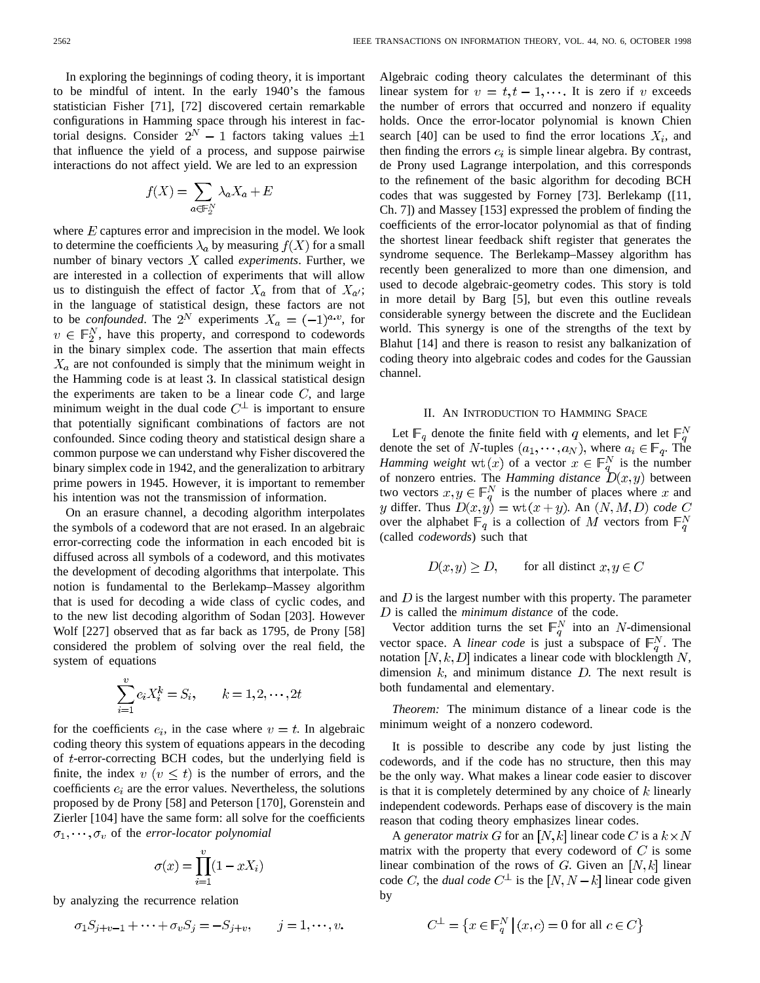In exploring the beginnings of coding theory, it is important to be mindful of intent. In the early 1940's the famous statistician Fisher [71], [72] discovered certain remarkable configurations in Hamming space through his interest in factorial designs. Consider  $2^N - 1$  factors taking values  $\pm 1$ that influence the yield of a process, and suppose pairwise interactions do not affect yield. We are led to an expression

$$
f(X) = \sum_{a \in \mathbb{F}_2^N} \lambda_a X_a + E
$$

where  $E$  captures error and imprecision in the model. We look to determine the coefficients  $\lambda_a$  by measuring  $f(X)$  for a small number of binary vectors  $X$  called *experiments*. Further, we are interested in a collection of experiments that will allow us to distinguish the effect of factor  $X_a$  from that of  $X_{a'}$ ; in the language of statistical design, these factors are not to be *confounded*. The 2<sup>N</sup> experiments  $X_a = (-1)^{a.v}$ , for  $v \in \mathbb{F}_2^N$ , have this property, and correspond to codewords in the binary simplex code. The assertion that main effects  $X_a$  are not confounded is simply that the minimum weight in the Hamming code is at least 3. In classical statistical design the experiments are taken to be a linear code  $C$ , and large minimum weight in the dual code  $C^{\perp}$  is important to ensure that potentially significant combinations of factors are not confounded. Since coding theory and statistical design share a common purpose we can understand why Fisher discovered the binary simplex code in 1942, and the generalization to arbitrary prime powers in 1945. However, it is important to remember his intention was not the transmission of information.

On an erasure channel, a decoding algorithm interpolates the symbols of a codeword that are not erased. In an algebraic error-correcting code the information in each encoded bit is diffused across all symbols of a codeword, and this motivates the development of decoding algorithms that interpolate. This notion is fundamental to the Berlekamp–Massey algorithm that is used for decoding a wide class of cyclic codes, and to the new list decoding algorithm of Sodan [203]. However Wolf [227] observed that as far back as 1795, de Prony [58] considered the problem of solving over the real field, the system of equations

$$
\sum_{i=1}^{v} e_i X_i^k = S_i, \qquad k = 1, 2, \cdots, 2t
$$

for the coefficients  $e_i$ , in the case where  $v = t$ . In algebraic coding theory this system of equations appears in the decoding of  $t$ -error-correcting BCH codes, but the underlying field is finite, the index  $v (v \leq t)$  is the number of errors, and the coefficients  $e_i$  are the error values. Nevertheless, the solutions proposed by de Prony [58] and Peterson [170], Gorenstein and Zierler [104] have the same form: all solve for the coefficients  $\sigma_1, \cdots, \sigma_v$  of the *error-locator polynomial* 

$$
\sigma(x) = \prod_{i=1}^{v} (1 - xX_i)
$$

by analyzing the recurrence relation

$$
\sigma_1 S_{j+v-1} + \dots + \sigma_v S_j = -S_{j+v}, \qquad j = 1, \dots, v.
$$

Algebraic coding theory calculates the determinant of this linear system for  $v = t, t - 1, \dots$ . It is zero if v exceeds the number of errors that occurred and nonzero if equality holds. Once the error-locator polynomial is known Chien search [40] can be used to find the error locations  $X_i$ , and then finding the errors  $e_i$  is simple linear algebra. By contrast, de Prony used Lagrange interpolation, and this corresponds to the refinement of the basic algorithm for decoding BCH codes that was suggested by Forney [73]. Berlekamp ([11, Ch. 7]) and Massey [153] expressed the problem of finding the coefficients of the error-locator polynomial as that of finding the shortest linear feedback shift register that generates the syndrome sequence. The Berlekamp–Massey algorithm has recently been generalized to more than one dimension, and used to decode algebraic-geometry codes. This story is told in more detail by Barg [5], but even this outline reveals considerable synergy between the discrete and the Euclidean world. This synergy is one of the strengths of the text by Blahut [14] and there is reason to resist any balkanization of coding theory into algebraic codes and codes for the Gaussian channel.

# II. AN INTRODUCTION TO HAMMING SPACE

Let  $\mathbb{F}_q$  denote the finite field with q elements, and let denote the set of N-tuples  $(a_1, \dots, a_N)$ , where  $a_i \in \mathbb{F}_q$ . The *Hamming weight* wt  $(x)$  of a vector  $x \in \mathbb{F}_q^N$  is the number of nonzero entries. The *Hamming distance*  $D(x, y)$  between two vectors  $x, y \in \mathbb{F}_q^N$  is the number of places where x and y differ. Thus  $D(x,y) = \text{wt}(x+y)$ . An  $(N,M,D)$  code C over the alphabet  $\mathbb{F}_q$  is a collection of  $\hat{M}$  vectors from  $\mathbb{F}_q^N$ (called *codewords*) such that

$$
D(x, y) \ge D
$$
, for all distinct  $x, y \in C$ 

and  $D$  is the largest number with this property. The parameter is called the *minimum distance* of the code.

Vector addition turns the set  $\mathbb{F}_q^N$  into an N-dimensional vector space. A *linear code* is just a subspace of  $\mathbb{F}_q^N$ . The notation  $[N, k, D]$  indicates a linear code with blocklength N, dimension  $k$ , and minimum distance  $D$ . The next result is both fundamental and elementary.

*Theorem:* The minimum distance of a linear code is the minimum weight of a nonzero codeword.

It is possible to describe any code by just listing the codewords, and if the code has no structure, then this may be the only way. What makes a linear code easier to discover is that it is completely determined by any choice of  $k$  linearly independent codewords. Perhaps ease of discovery is the main reason that coding theory emphasizes linear codes.

A *generator matrix* G for an  $[N, k]$  linear code C is a  $k \times N$ matrix with the property that every codeword of  $C$  is some linear combination of the rows of G. Given an  $[N, k]$  linear code C, the *dual code*  $C^{\perp}$  is the  $[N, N-k]$  linear code given by

$$
C^{\perp} = \left\{ x \in \mathbb{F}_q^N \, \middle| \, (x, c) = 0 \text{ for all } c \in C \right\}
$$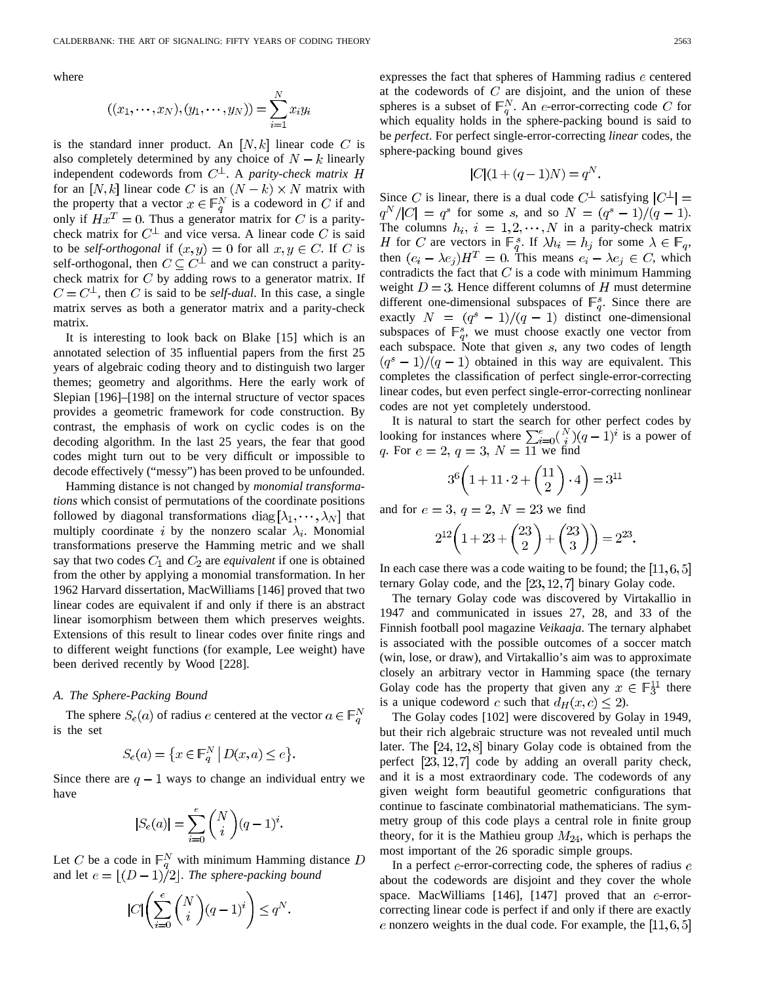where

$$
((x_1, \dots, x_N), (y_1, \dots, y_N)) = \sum_{i=1}^N x_i y_i
$$

is the standard inner product. An  $[N, k]$  linear code C is also completely determined by any choice of  $N - k$  linearly independent codewords from  $C^{\perp}$ . A *parity-check matrix* H for an  $[N, k]$  linear code C is an  $(N - k) \times N$  matrix with the property that a vector  $x \in \mathbb{F}_q^N$  is a codeword in C if and only if  $Hx^T = 0$ . Thus a generator matrix for C is a paritycheck matrix for  $C^{\perp}$  and vice versa. A linear code C is said to be *self-orthogonal* if  $(x, y) = 0$  for all  $x, y \in C$ . If C is self-orthogonal, then  $C \subseteq C^{\perp}$  and we can construct a paritycheck matrix for  $C$  by adding rows to a generator matrix. If  $C = C^{\perp}$ , then C is said to be *self-dual*. In this case, a single matrix serves as both a generator matrix and a parity-check matrix.

It is interesting to look back on Blake [15] which is an annotated selection of 35 influential papers from the first 25 years of algebraic coding theory and to distinguish two larger themes; geometry and algorithms. Here the early work of Slepian [196]–[198] on the internal structure of vector spaces provides a geometric framework for code construction. By contrast, the emphasis of work on cyclic codes is on the decoding algorithm. In the last 25 years, the fear that good codes might turn out to be very difficult or impossible to decode effectively ("messy") has been proved to be unfounded.

Hamming distance is not changed by *monomial transformations* which consist of permutations of the coordinate positions followed by diagonal transformations  $diag[\lambda_1, \cdots, \lambda_N]$  that multiply coordinate i by the nonzero scalar  $\lambda_i$ . Monomial transformations preserve the Hamming metric and we shall say that two codes  $C_1$  and  $C_2$  are *equivalent* if one is obtained from the other by applying a monomial transformation. In her 1962 Harvard dissertation, MacWilliams [146] proved that two linear codes are equivalent if and only if there is an abstract linear isomorphism between them which preserves weights. Extensions of this result to linear codes over finite rings and to different weight functions (for example, Lee weight) have been derived recently by Wood [228].

# *A. The Sphere-Packing Bound*

The sphere  $S_e(a)$  of radius e centered at the vector  $a \in \mathbb{F}_q^N$ is the set

$$
S_e(a) = \{ x \in \mathbb{F}_q^N \mid D(x, a) \le e \}.
$$

Since there are  $q-1$  ways to change an individual entry we have

$$
|S_e(a)| = \sum_{i=0}^{e} {N \choose i} (q-1)^i
$$

Let C be a code in  $\mathbb{F}_q^N$  with minimum Hamming distance D and let  $e = \lfloor (D-1)/2 \rfloor$ . The sphere-packing bound

$$
|C| \left(\sum_{i=0}^{e} \binom{N}{i} (q-1)^i\right) \le q^N.
$$

expresses the fact that spheres of Hamming radius  $e$  centered at the codewords of  $C$  are disjoint, and the union of these spheres is a subset of  $\mathbb{F}_q^N$ . An e-error-correcting code C for which equality holds in the sphere-packing bound is said to be *perfect*. For perfect single-error-correcting *linear* codes, the sphere-packing bound gives

$$
|C|(1 + (q - 1)N) = q^N.
$$

Since C is linear, there is a dual code  $C^{\perp}$  satisfying  $|C^{\perp}|$  =  $q^N/|C| = q^s$  for some s, and so  $N = (q^s - 1)/(q - 1)$ . The columns  $h_i$ ,  $i = 1, 2, \dots, N$  in a parity-check matrix H for C are vectors in  $\mathbb{F}_q^s$ . If  $\lambda h_i = h_j$  for some  $\lambda \in \mathbb{F}_q$ , then  $(e_i - \lambda e_j)H^T = 0$ . This means  $e_i - \lambda e_j \in C$ , which contradicts the fact that  $C$  is a code with minimum Hamming weight  $D = 3$ . Hence different columns of H must determine different one-dimensional subspaces of  $\mathbb{F}_q^s$ . Since there are exactly  $N = (q^s - 1)/(q - 1)$  distinct one-dimensional subspaces of  $\mathbb{F}_q^s$ , we must choose exactly one vector from each subspace. Note that given  $s$ , any two codes of length  $(q^{s}-1)/(q-1)$  obtained in this way are equivalent. This completes the classification of perfect single-error-correcting linear codes, but even perfect single-error-correcting nonlinear codes are not yet completely understood.

It is natural to start the search for other perfect codes by looking for instances where  $\sum_{i=0}^{e} {N \choose i} (q-1)^i$  is a power of . For  $e = 2, q = 3, N = 11$  we find

$$
3^{6}\left(1+11\cdot2+\binom{11}{2}\cdot4\right) = 3^{11}
$$

and for  $e = 3$ ,  $q = 2$ ,  $N = 23$  we find

$$
2^{12}\left(1+23+\binom{23}{2}+\binom{23}{3}\right)=2^{23}.
$$

In each case there was a code waiting to be found; the  $[11, 6, 5]$ ternary Golay code, and the  $[23, 12, 7]$  binary Golay code.

The ternary Golay code was discovered by Virtakallio in 1947 and communicated in issues 27, 28, and 33 of the Finnish football pool magazine *Veikaaja*. The ternary alphabet is associated with the possible outcomes of a soccer match (win, lose, or draw), and Virtakallio's aim was to approximate closely an arbitrary vector in Hamming space (the ternary Golay code has the property that given any  $x \in \mathbb{F}_3^{11}$  there is a unique codeword c such that  $d_H(x, c) \leq 2$ .

The Golay codes [102] were discovered by Golay in 1949, but their rich algebraic structure was not revealed until much later. The  $[24, 12, 8]$  binary Golay code is obtained from the perfect  $[23, 12, 7]$  code by adding an overall parity check, and it is a most extraordinary code. The codewords of any given weight form beautiful geometric configurations that continue to fascinate combinatorial mathematicians. The symmetry group of this code plays a central role in finite group theory, for it is the Mathieu group  $M_{24}$ , which is perhaps the most important of the 26 sporadic simple groups.

In a perfect  $e$ -error-correcting code, the spheres of radius  $e$ about the codewords are disjoint and they cover the whole space. MacWilliams [146], [147] proved that an  $e$ -errorcorrecting linear code is perfect if and only if there are exactly e nonzero weights in the dual code. For example, the  $[11, 6, 5]$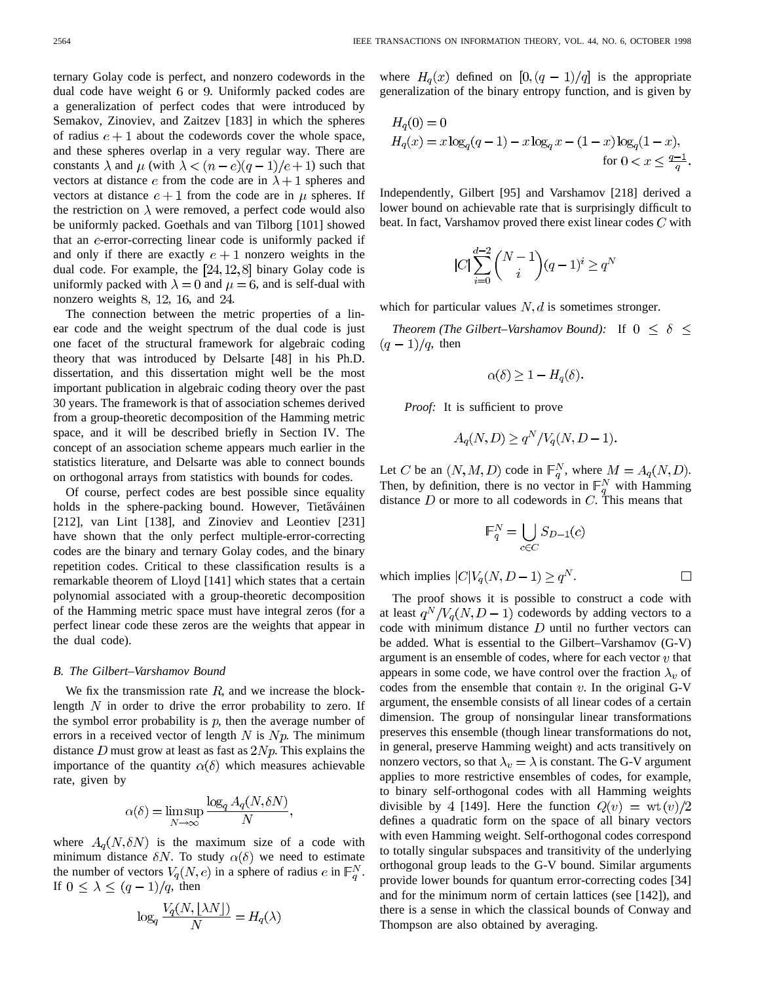ternary Golay code is perfect, and nonzero codewords in the dual code have weight 6 or 9. Uniformly packed codes are a generalization of perfect codes that were introduced by Semakov, Zinoviev, and Zaitzev [183] in which the spheres of radius  $e + 1$  about the codewords cover the whole space, and these spheres overlap in a very regular way. There are constants  $\lambda$  and  $\mu$  (with  $\lambda < (n-e)(q-1)/e+1$ ) such that vectors at distance  $e$  from the code are in  $\lambda + 1$  spheres and vectors at distance  $e+1$  from the code are in  $\mu$  spheres. If the restriction on  $\lambda$  were removed, a perfect code would also be uniformly packed. Goethals and van Tilborg [101] showed that an  $e$ -error-correcting linear code is uniformly packed if and only if there are exactly  $e + 1$  nonzero weights in the dual code. For example, the  $[24, 12, 8]$  binary Golay code is uniformly packed with  $\lambda = 0$  and  $\mu = 6$ , and is self-dual with nonzero weights  $8$ ,  $12$ ,  $16$ , and  $24$ .

The connection between the metric properties of a linear code and the weight spectrum of the dual code is just one facet of the structural framework for algebraic coding theory that was introduced by Delsarte [48] in his Ph.D. dissertation, and this dissertation might well be the most important publication in algebraic coding theory over the past 30 years. The framework is that of association schemes derived from a group-theoretic decomposition of the Hamming metric space, and it will be described briefly in Section IV. The concept of an association scheme appears much earlier in the statistics literature, and Delsarte was able to connect bounds on orthogonal arrays from statistics with bounds for codes.

Of course, perfect codes are best possible since equality holds in the sphere-packing bound. However, Tietavainen [212], van Lint [138], and Zinoviev and Leontiev [231] have shown that the only perfect multiple-error-correcting codes are the binary and ternary Golay codes, and the binary repetition codes. Critical to these classification results is a remarkable theorem of Lloyd [141] which states that a certain polynomial associated with a group-theoretic decomposition of the Hamming metric space must have integral zeros (for a perfect linear code these zeros are the weights that appear in the dual code).

#### *B. The Gilbert–Varshamov Bound*

We fix the transmission rate  $R$ , and we increase the blocklength  $N$  in order to drive the error probability to zero. If the symbol error probability is  $p$ , then the average number of errors in a received vector of length  $N$  is  $Np$ . The minimum distance D must grow at least as fast as  $2Np$ . This explains the importance of the quantity  $\alpha(\delta)$  which measures achievable rate, given by

$$
\alpha(\delta) = \limsup_{N \to \infty} \frac{\log_q A_q(N, \delta N)}{N},
$$

where  $A_q(N, \delta N)$  is the maximum size of a code with minimum distance  $\delta N$ . To study  $\alpha(\delta)$  we need to estimate the number of vectors  $V_q(N, e)$  in a sphere of radius  $e$  in  $\mathbb{F}_q^N$ . If  $0 \leq \lambda \leq (q-1)/q$ , then

$$
\log_q \frac{V_q(N, \lfloor \lambda N \rfloor)}{N} = H_q(\lambda)
$$

where  $H_q(x)$  defined on  $[0, (q-1)/q]$  is the appropriate generalization of the binary entropy function, and is given by

$$
H_q(0) = 0
$$
  
\n
$$
H_q(x) = x \log_q(q-1) - x \log_q x - (1-x) \log_q(1-x),
$$
  
\nfor  $0 < x \leq \frac{q-1}{q}$ .

Independently, Gilbert [95] and Varshamov [218] derived a lower bound on achievable rate that is surprisingly difficult to beat. In fact, Varshamov proved there exist linear codes  $C$  with

$$
|C|\sum_{i=0}^{d-2}\binom{N-1}{i}(q-1)^i\geq q^N
$$

which for particular values  $N, d$  is sometimes stronger.

*Theorem (The Gilbert–Varshamov Bound):* If  $0 \le \delta \le$  $(q-1)/q$ , then

$$
\alpha(\delta) \ge 1 - H_q(\delta).
$$

*Proof:* It is sufficient to prove

$$
A_q(N, D) \ge q^N / V_q(N, D - 1).
$$

Let C be an  $(N, M, D)$  code in  $\mathbb{F}_q^N$ , where  $M = A_q(N, D)$ . Then, by definition, there is no vector in  $\mathbb{F}_q^N$  with Hamming distance  $D$  or more to all codewords in  $C$ . This means that

$$
\mathbb{F}_q^N = \bigcup_{c \in C} S_{D-1}(c)
$$

which implies  $|C|V_a(N, D-1) \geq q^N$ .

 $\Box$ 

The proof shows it is possible to construct a code with at least  $q^N/V_q(N,D-1)$  codewords by adding vectors to a code with minimum distance  $D$  until no further vectors can be added. What is essential to the Gilbert–Varshamov (G-V) argument is an ensemble of codes, where for each vector  $v$  that appears in some code, we have control over the fraction  $\lambda_v$  of codes from the ensemble that contain  $v$ . In the original G-V argument, the ensemble consists of all linear codes of a certain dimension. The group of nonsingular linear transformations preserves this ensemble (though linear transformations do not, in general, preserve Hamming weight) and acts transitively on nonzero vectors, so that  $\lambda_v = \lambda$  is constant. The G-V argument applies to more restrictive ensembles of codes, for example, to binary self-orthogonal codes with all Hamming weights divisible by 4 [149]. Here the function  $Q(v) = \text{wt}(v)/2$ defines a quadratic form on the space of all binary vectors with even Hamming weight. Self-orthogonal codes correspond to totally singular subspaces and transitivity of the underlying orthogonal group leads to the G-V bound. Similar arguments provide lower bounds for quantum error-correcting codes [34] and for the minimum norm of certain lattices (see [142]), and there is a sense in which the classical bounds of Conway and Thompson are also obtained by averaging.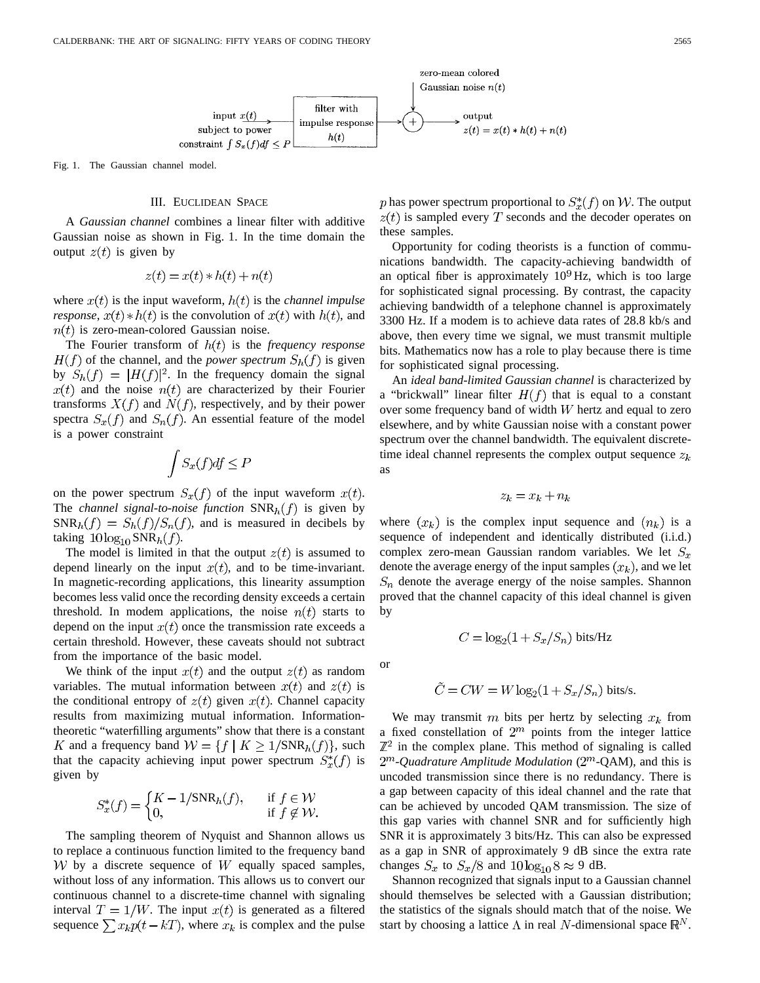

Fig. 1. The Gaussian channel model.

## III. EUCLIDEAN SPACE

A *Gaussian channel* combines a linear filter with additive Gaussian noise as shown in Fig. 1. In the time domain the output  $z(t)$  is given by

$$
z(t) = x(t) * h(t) + n(t)
$$

where  $x(t)$  is the input waveform,  $h(t)$  is the *channel impulse response*,  $x(t) * h(t)$  is the convolution of  $x(t)$  with  $h(t)$ , and  $n(t)$  is zero-mean-colored Gaussian noise.

The Fourier transform of  $h(t)$  is the *frequency response*  $H(f)$  of the channel, and the *power spectrum*  $S_h(f)$  is given by  $S_h(f) = |H(f)|^2$ . In the frequency domain the signal  $x(t)$  and the noise  $n(t)$  are characterized by their Fourier transforms  $X(f)$  and  $N(f)$ , respectively, and by their power spectra  $S_x(f)$  and  $S_n(f)$ . An essential feature of the model is a power constraint

$$
\int S_x(f)df \le P
$$

on the power spectrum  $S_x(f)$  of the input waveform  $x(t)$ . The *channel signal-to-noise function*  $SNR<sub>h</sub>(f)$  is given by  $SNR_h(f) = S_h(f)/S_n(f)$ , and is measured in decibels by taking  $10\log_{10} \text{SNR}_h(f)$ .

The model is limited in that the output  $z(t)$  is assumed to depend linearly on the input  $x(t)$ , and to be time-invariant. In magnetic-recording applications, this linearity assumption becomes less valid once the recording density exceeds a certain threshold. In modem applications, the noise  $n(t)$  starts to depend on the input  $x(t)$  once the transmission rate exceeds a certain threshold. However, these caveats should not subtract from the importance of the basic model.

We think of the input  $x(t)$  and the output  $z(t)$  as random variables. The mutual information between  $x(t)$  and  $z(t)$  is the conditional entropy of  $z(t)$  given  $x(t)$ . Channel capacity results from maximizing mutual information. Informationtheoretic "waterfilling arguments" show that there is a constant K and a frequency band  $W = \{f \mid K \ge 1/\text{SNR}_h(f)\}\)$ , such that the capacity achieving input power spectrum  $S_x^*(f)$  is given by

$$
S_x^*(f) = \begin{cases} K - 1/\text{SNR}_h(f), & \text{if } f \in \mathcal{W} \\ 0, & \text{if } f \not\in \mathcal{W}. \end{cases}
$$

The sampling theorem of Nyquist and Shannon allows us to replace a continuous function limited to the frequency band  $W$  by a discrete sequence of W equally spaced samples, without loss of any information. This allows us to convert our continuous channel to a discrete-time channel with signaling interval  $T = 1/W$ . The input  $x(t)$  is generated as a filtered sequence  $\sum x_k p(t - kT)$ , where  $x_k$  is complex and the pulse p has power spectrum proportional to  $S^*_{x}(f)$  on W. The output  $z(t)$  is sampled every T seconds and the decoder operates on these samples.

Opportunity for coding theorists is a function of communications bandwidth. The capacity-achieving bandwidth of an optical fiber is approximately  $10^9$  Hz, which is too large for sophisticated signal processing. By contrast, the capacity achieving bandwidth of a telephone channel is approximately 3300 Hz. If a modem is to achieve data rates of 28.8 kb/s and above, then every time we signal, we must transmit multiple bits. Mathematics now has a role to play because there is time for sophisticated signal processing.

An *ideal band-limited Gaussian channel* is characterized by a "brickwall" linear filter  $H(f)$  that is equal to a constant over some frequency band of width  $W$  hertz and equal to zero elsewhere, and by white Gaussian noise with a constant power spectrum over the channel bandwidth. The equivalent discretetime ideal channel represents the complex output sequence  $z_k$ as

$$
z_k = x_k + n_k
$$

where  $(x_k)$  is the complex input sequence and  $(n_k)$  is a sequence of independent and identically distributed (i.i.d.) complex zero-mean Gaussian random variables. We let  $S_x$ denote the average energy of the input samples  $(x_k)$ , and we let  $S_n$  denote the average energy of the noise samples. Shannon proved that the channel capacity of this ideal channel is given by

$$
C = \log_2(1 + S_x/S_n)
$$
 bits/Hz

or

$$
\tilde{C} = CW = W \log_2(1 + S_x/S_n)
$$
 bits/s.

We may transmit m bits per hertz by selecting  $x_k$  from a fixed constellation of  $2<sup>m</sup>$  points from the integer lattice  $\mathbb{Z}^2$  in the complex plane. This method of signaling is called  $2^m$ -*Quadrature Amplitude Modulation* ( $2^m$ -QAM), and this is uncoded transmission since there is no redundancy. There is a gap between capacity of this ideal channel and the rate that can be achieved by uncoded QAM transmission. The size of this gap varies with channel SNR and for sufficiently high SNR it is approximately 3 bits/Hz. This can also be expressed as a gap in SNR of approximately 9 dB since the extra rate changes  $S_x$  to  $S_x/8$  and  $10\log_{10} 8 \approx 9$  dB.

Shannon recognized that signals input to a Gaussian channel should themselves be selected with a Gaussian distribution; the statistics of the signals should match that of the noise. We start by choosing a lattice  $\Lambda$  in real N-dimensional space  $\mathbb{R}^N$ .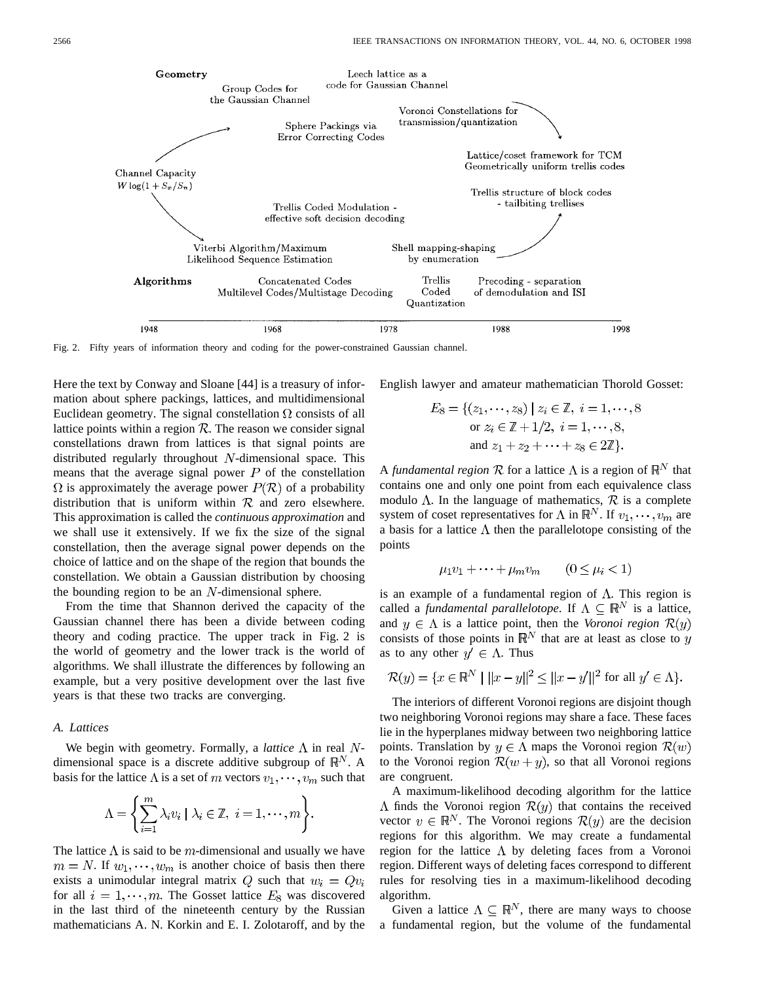

Fig. 2. Fifty years of information theory and coding for the power-constrained Gaussian channel.

Here the text by Conway and Sloane [44] is a treasury of information about sphere packings, lattices, and multidimensional Euclidean geometry. The signal constellation  $\Omega$  consists of all lattice points within a region  $\mathcal{R}$ . The reason we consider signal constellations drawn from lattices is that signal points are distributed regularly throughout  $N$ -dimensional space. This means that the average signal power  $P$  of the constellation  $\Omega$  is approximately the average power  $P(\mathcal{R})$  of a probability distribution that is uniform within  $R$  and zero elsewhere. This approximation is called the *continuous approximation* and we shall use it extensively. If we fix the size of the signal constellation, then the average signal power depends on the choice of lattice and on the shape of the region that bounds the constellation. We obtain a Gaussian distribution by choosing the bounding region to be an  $N$ -dimensional sphere.

From the time that Shannon derived the capacity of the Gaussian channel there has been a divide between coding theory and coding practice. The upper track in Fig. 2 is the world of geometry and the lower track is the world of algorithms. We shall illustrate the differences by following an example, but a very positive development over the last five years is that these two tracks are converging.

## *A. Lattices*

We begin with geometry. Formally, a *lattice*  $\Lambda$  in real Ndimensional space is a discrete additive subgroup of  $\mathbb{R}^N$ . A basis for the lattice  $\Lambda$  is a set of m vectors  $v_1, \dots, v_m$  such that

$$
\Lambda = \left\{ \sum_{i=1}^m \lambda_i v_i \mid \lambda_i \in \mathbb{Z}, \ i = 1, \cdots, m \right\}.
$$

The lattice  $\Lambda$  is said to be m-dimensional and usually we have  $m = N$ . If  $w_1, \dots, w_m$  is another choice of basis then there exists a unimodular integral matrix Q such that  $w_i = Qv_i$ for all  $i = 1, \dots, m$ . The Gosset lattice  $E_8$  was discovered in the last third of the nineteenth century by the Russian mathematicians A. N. Korkin and E. I. Zolotaroff, and by the English lawyer and amateur mathematician Thorold Gosset:

$$
E_8 = \{(z_1, \dots, z_8) \mid z_i \in \mathbb{Z}, \ i = 1, \dots, 8
$$
  
or  $z_i \in \mathbb{Z} + 1/2, \ i = 1, \dots, 8$ ,  
and  $z_1 + z_2 + \dots + z_8 \in 2\mathbb{Z}$ .

A *fundamental region*  $\mathcal R$  for a lattice  $\Lambda$  is a region of  $\mathbb R^N$  that contains one and only one point from each equivalence class modulo  $\Lambda$ . In the language of mathematics,  $\mathcal R$  is a complete system of coset representatives for  $\Lambda$  in  $\mathbb{R}^N$ . If  $v_1, \dots, v_m$  are a basis for a lattice  $\Lambda$  then the parallelotope consisting of the points

$$
\mu_1 v_1 + \dots + \mu_m v_m \qquad (0 \le \mu_i < 1)
$$

is an example of a fundamental region of  $\Lambda$ . This region is called a *fundamental parallelotope*. If  $\Lambda \subseteq \mathbb{R}^N$  is a lattice, and  $y \in \Lambda$  is a lattice point, then the *Voronoi region*  $\mathcal{R}(y)$ consists of those points in  $\mathbb{R}^N$  that are at least as close to y as to any other  $y' \in \Lambda$ . Thus

$$
\mathcal{R}(y) = \{ x \in \mathbb{R}^N \mid ||x - y||^2 \le ||x - y'||^2 \text{ for all } y' \in \Lambda \}.
$$

The interiors of different Voronoi regions are disjoint though two neighboring Voronoi regions may share a face. These faces lie in the hyperplanes midway between two neighboring lattice points. Translation by  $y \in \Lambda$  maps the Voronoi region  $\mathcal{R}(w)$ to the Voronoi region  $\mathcal{R}(w+y)$ , so that all Voronoi regions are congruent.

A maximum-likelihood decoding algorithm for the lattice  $\Lambda$  finds the Voronoi region  $\mathcal{R}(y)$  that contains the received vector  $v \in \mathbb{R}^N$ . The Voronoi regions  $\mathcal{R}(y)$  are the decision regions for this algorithm. We may create a fundamental region for the lattice  $\Lambda$  by deleting faces from a Voronoi region. Different ways of deleting faces correspond to different rules for resolving ties in a maximum-likelihood decoding algorithm.

Given a lattice  $\Lambda \subseteq \mathbb{R}^N$ , there are many ways to choose a fundamental region, but the volume of the fundamental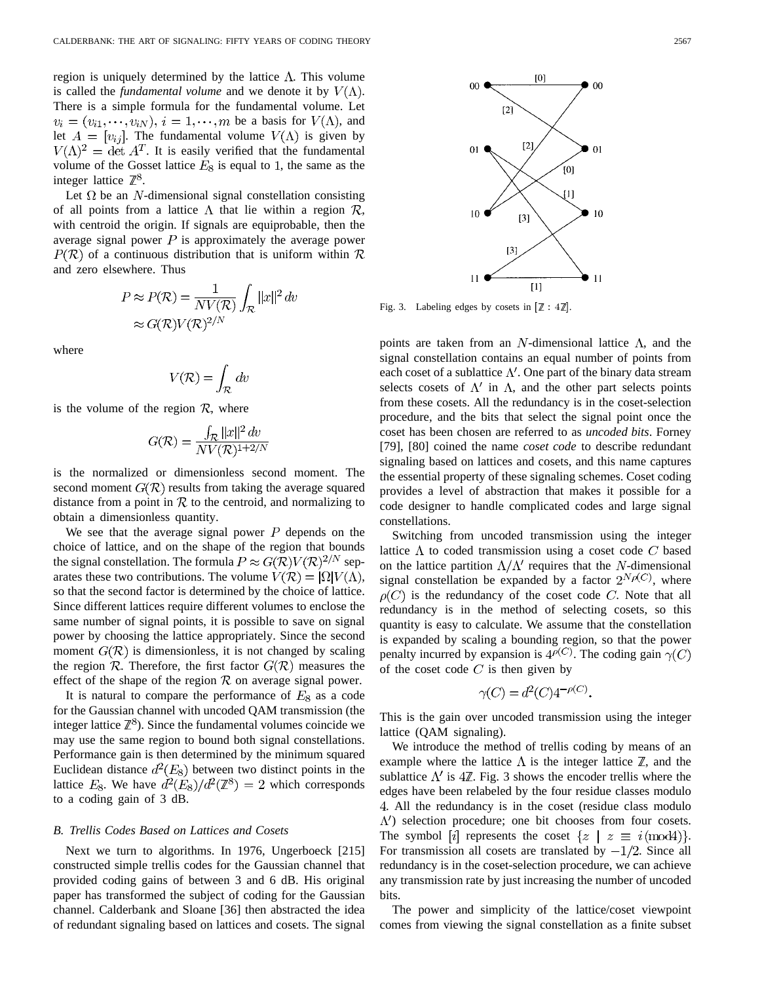region is uniquely determined by the lattice  $\Lambda$ . This volume is called the *fundamental volume* and we denote it by  $V(\Lambda)$ . There is a simple formula for the fundamental volume. Let  $v_i = (v_{i1}, \dots, v_{iN}), i = 1, \dots, m$  be a basis for  $V(\Lambda)$ , and let  $A = [v_{ij}]$ . The fundamental volume  $V(\Lambda)$  is given by  $V(\Lambda)^2 = \det A^T$ . It is easily verified that the fundamental volume of the Gosset lattice  $E_8$  is equal to 1, the same as the integer lattice  $\mathbb{Z}^8$ .

Let  $\Omega$  be an N-dimensional signal constellation consisting of all points from a lattice  $\Lambda$  that lie within a region  $\mathcal{R}$ , with centroid the origin. If signals are equiprobable, then the average signal power  $P$  is approximately the average power  $P(R)$  of a continuous distribution that is uniform within R and zero elsewhere. Thus

$$
P \approx P(\mathcal{R}) = \frac{1}{NV(\mathcal{R})} \int_{\mathcal{R}} ||x||^2 dv
$$

$$
\approx G(\mathcal{R}) V(\mathcal{R})^{2/N}
$$

where

$$
V(\mathcal{R}) = \int_{\mathcal{R}} dv
$$

is the volume of the region  $R$ , where

$$
G(\mathcal{R}) = \frac{\int_{\mathcal{R}} ||x||^2 dv}{NV(\mathcal{R})^{1+2/N}}
$$

is the normalized or dimensionless second moment. The second moment  $G(\mathcal{R})$  results from taking the average squared distance from a point in  $R$  to the centroid, and normalizing to obtain a dimensionless quantity.

We see that the average signal power  $P$  depends on the choice of lattice, and on the shape of the region that bounds the signal constellation. The formula  $P \approx G(\mathcal{R})V(\mathcal{R})^{2/N}$  separates these two contributions. The volume  $V(\mathcal{R}) = |\Omega| V(\Lambda)$ , so that the second factor is determined by the choice of lattice. Since different lattices require different volumes to enclose the same number of signal points, it is possible to save on signal power by choosing the lattice appropriately. Since the second moment  $G(\mathcal{R})$  is dimensionless, it is not changed by scaling the region  $\mathcal R$ . Therefore, the first factor  $G(\mathcal R)$  measures the effect of the shape of the region  $R$  on average signal power.

It is natural to compare the performance of  $E_8$  as a code for the Gaussian channel with uncoded QAM transmission (the integer lattice  $\mathbb{Z}^8$ ). Since the fundamental volumes coincide we may use the same region to bound both signal constellations. Performance gain is then determined by the minimum squared Euclidean distance  $d^2(E_8)$  between two distinct points in the lattice  $E_8$ . We have  $d^2(E_8)/d^2(\mathbb{Z}^8) = 2$  which corresponds to a coding gain of 3 dB.

# *B. Trellis Codes Based on Lattices and Cosets*

Next we turn to algorithms. In 1976, Ungerboeck [215] constructed simple trellis codes for the Gaussian channel that provided coding gains of between 3 and 6 dB. His original paper has transformed the subject of coding for the Gaussian channel. Calderbank and Sloane [36] then abstracted the idea of redundant signaling based on lattices and cosets. The signal



Fig. 3. Labeling edges by cosets in  $[\mathbb{Z} : 4\mathbb{Z}]$ .

points are taken from an N-dimensional lattice  $\Lambda$ , and the signal constellation contains an equal number of points from each coset of a sublattice  $\Lambda'$ . One part of the binary data stream selects cosets of  $\Lambda'$  in  $\Lambda$ , and the other part selects points from these cosets. All the redundancy is in the coset-selection procedure, and the bits that select the signal point once the coset has been chosen are referred to as *uncoded bits*. Forney [79], [80] coined the name *coset code* to describe redundant signaling based on lattices and cosets, and this name captures the essential property of these signaling schemes. Coset coding provides a level of abstraction that makes it possible for a code designer to handle complicated codes and large signal constellations.

Switching from uncoded transmission using the integer lattice  $\Lambda$  to coded transmission using a coset code C based on the lattice partition  $\Lambda/\Lambda'$  requires that the N-dimensional signal constellation be expanded by a factor  $2^{N\rho(C)}$ , where  $\rho(C)$  is the redundancy of the coset code C. Note that all redundancy is in the method of selecting cosets, so this quantity is easy to calculate. We assume that the constellation is expanded by scaling a bounding region, so that the power penalty incurred by expansion is  $4^{p(C)}$ . The coding gain  $\gamma(C)$ of the coset code  $C$  is then given by

$$
\gamma(C) = d^2(C) 4^{-\rho(C)}.
$$

This is the gain over uncoded transmission using the integer lattice (QAM signaling).

We introduce the method of trellis coding by means of an example where the lattice  $\Lambda$  is the integer lattice  $\mathbb{Z}$ , and the sublattice  $\Lambda'$  is 4 $\mathbb{Z}$ . Fig. 3 shows the encoder trellis where the edges have been relabeled by the four residue classes modulo . All the redundancy is in the coset (residue class modulo  $\Lambda'$ ) selection procedure; one bit chooses from four cosets. The symbol [i] represents the coset  $\{z \mid z \equiv i \pmod{4}\}.$ For transmission all cosets are translated by  $-1/2$ . Since all redundancy is in the coset-selection procedure, we can achieve any transmission rate by just increasing the number of uncoded bits.

The power and simplicity of the lattice/coset viewpoint comes from viewing the signal constellation as a finite subset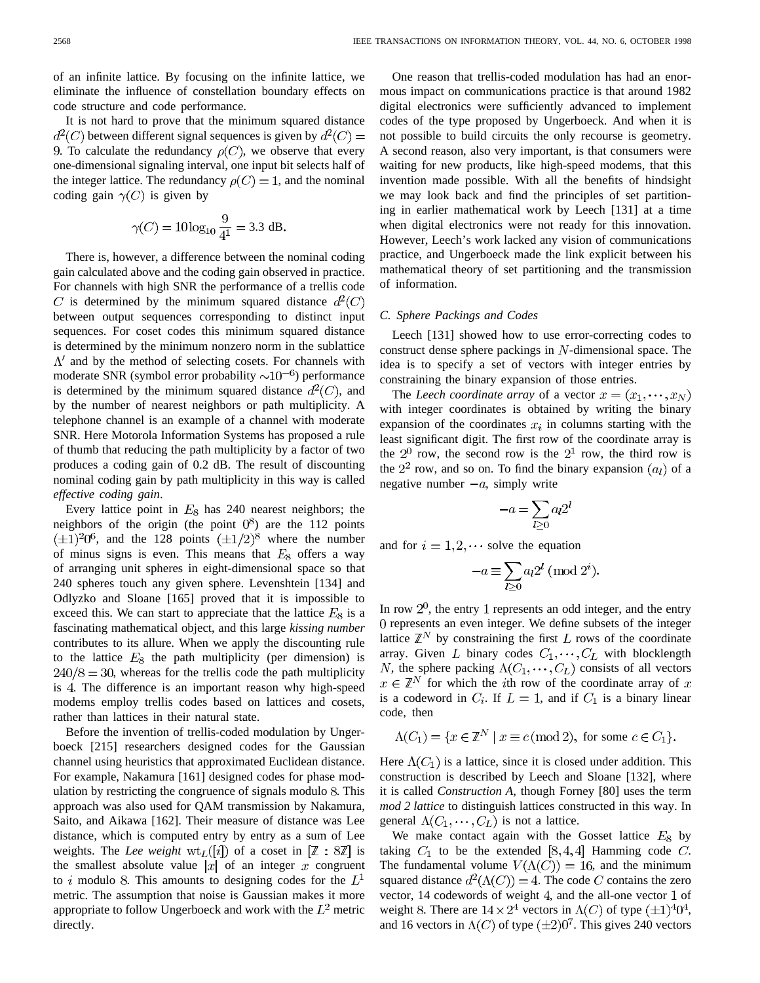of an infinite lattice. By focusing on the infinite lattice, we eliminate the influence of constellation boundary effects on code structure and code performance.

It is not hard to prove that the minimum squared distance  $d^2(C)$  between different signal sequences is given by  $d^2(C)$  = 9. To calculate the redundancy  $\rho(C)$ , we observe that every one-dimensional signaling interval, one input bit selects half of the integer lattice. The redundancy  $\rho(C) = 1$ , and the nominal coding gain  $\gamma(C)$  is given by

$$
\gamma(C) = 10 \log_{10} \frac{9}{4^1} = 3.3 \text{ dB}.
$$

There is, however, a difference between the nominal coding gain calculated above and the coding gain observed in practice. For channels with high SNR the performance of a trellis code C is determined by the minimum squared distance  $d^2(C)$ between output sequences corresponding to distinct input sequences. For coset codes this minimum squared distance is determined by the minimum nonzero norm in the sublattice  $\Lambda'$  and by the method of selecting cosets. For channels with moderate SNR (symbol error probability  $\sim 10^{-6}$ ) performance is determined by the minimum squared distance  $d^2(C)$ , and by the number of nearest neighbors or path multiplicity. A telephone channel is an example of a channel with moderate SNR. Here Motorola Information Systems has proposed a rule of thumb that reducing the path multiplicity by a factor of two produces a coding gain of 0.2 dB. The result of discounting nominal coding gain by path multiplicity in this way is called *effective coding gain*.

Every lattice point in  $E_8$  has 240 nearest neighbors; the neighbors of the origin (the point  $0^8$ ) are the 112 points  $(\pm 1)^2 0^6$ , and the 128 points  $(\pm 1/2)^8$  where the number of minus signs is even. This means that  $E_8$  offers a way of arranging unit spheres in eight-dimensional space so that 240 spheres touch any given sphere. Levenshtein [134] and Odlyzko and Sloane [165] proved that it is impossible to exceed this. We can start to appreciate that the lattice  $E_8$  is a fascinating mathematical object, and this large *kissing number* contributes to its allure. When we apply the discounting rule to the lattice  $E_8$  the path multiplicity (per dimension) is  $240/8 = 30$ , whereas for the trellis code the path multiplicity is 4. The difference is an important reason why high-speed modems employ trellis codes based on lattices and cosets, rather than lattices in their natural state.

Before the invention of trellis-coded modulation by Ungerboeck [215] researchers designed codes for the Gaussian channel using heuristics that approximated Euclidean distance. For example, Nakamura [161] designed codes for phase modulation by restricting the congruence of signals modulo  $8$ . This approach was also used for QAM transmission by Nakamura, Saito, and Aikawa [162]. Their measure of distance was Lee distance, which is computed entry by entry as a sum of Lee weights. The *Lee weight*  $wt_L([i])$  of a coset in  $[\mathbb{Z}: 8\mathbb{Z}]$  is the smallest absolute value |x| of an integer x congruent to i modulo 8. This amounts to designing codes for the  $L^1$ metric. The assumption that noise is Gaussian makes it more appropriate to follow Ungerboeck and work with the  $L^2$  metric directly.

One reason that trellis-coded modulation has had an enormous impact on communications practice is that around 1982 digital electronics were sufficiently advanced to implement codes of the type proposed by Ungerboeck. And when it is not possible to build circuits the only recourse is geometry. A second reason, also very important, is that consumers were waiting for new products, like high-speed modems, that this invention made possible. With all the benefits of hindsight we may look back and find the principles of set partitioning in earlier mathematical work by Leech [131] at a time when digital electronics were not ready for this innovation. However, Leech's work lacked any vision of communications practice, and Ungerboeck made the link explicit between his mathematical theory of set partitioning and the transmission of information.

# *C. Sphere Packings and Codes*

Leech [131] showed how to use error-correcting codes to construct dense sphere packings in  $N$ -dimensional space. The idea is to specify a set of vectors with integer entries by constraining the binary expansion of those entries.

The *Leech coordinate array* of a vector  $x = (x_1, \dots, x_N)$ with integer coordinates is obtained by writing the binary expansion of the coordinates  $x_i$  in columns starting with the least significant digit. The first row of the coordinate array is the  $2^0$  row, the second row is the  $2^1$  row, the third row is the  $2^2$  row, and so on. To find the binary expansion  $(a<sub>l</sub>)$  of a negative number  $-a$ , simply write

$$
-a = \sum_{l \ge 0} a_l 2^l
$$

and for  $i = 1, 2, \cdots$  solve the equation

$$
-a \equiv \sum_{l \ge 0} a_l 2^l \pmod{2^i}.
$$

In row  $2^0$ , the entry 1 represents an odd integer, and the entry  $\theta$  represents an even integer. We define subsets of the integer lattice  $\mathbb{Z}^N$  by constraining the first L rows of the coordinate array. Given L binary codes  $C_1, \dots, C_L$  with blocklength N, the sphere packing  $\Lambda(C_1, \cdots, C_L)$  consists of all vectors  $x \in \mathbb{Z}^N$  for which the *i*th row of the coordinate array of x is a codeword in  $C_i$ . If  $L = 1$ , and if  $C_1$  is a binary linear code, then

$$
\Lambda(C_1) = \{ x \in \mathbb{Z}^N \mid x \equiv c \pmod{2}, \text{ for some } c \in C_1 \}.
$$

Here  $\Lambda(C_1)$  is a lattice, since it is closed under addition. This construction is described by Leech and Sloane [132], where it is called *Construction A*, though Forney [80] uses the term *mod 2 lattice* to distinguish lattices constructed in this way. In general  $\Lambda(C_1, \dots, C_L)$  is not a lattice.

We make contact again with the Gosset lattice  $E_8$  by taking  $C_1$  to be the extended [8,4,4] Hamming code C. The fundamental volume  $V(\Lambda(C)) = 16$ , and the minimum squared distance  $d^2(\Lambda(C)) = 4$ . The code C contains the zero vector, 14 codewords of weight 4, and the all-one vector 1 of weight 8. There are  $14 \times 2^4$  vectors in  $\Lambda(C)$  of type  $(\pm 1)^4 0^4$ , and 16 vectors in  $\Lambda(C)$  of type  $(\pm 2)0^7$ . This gives 240 vectors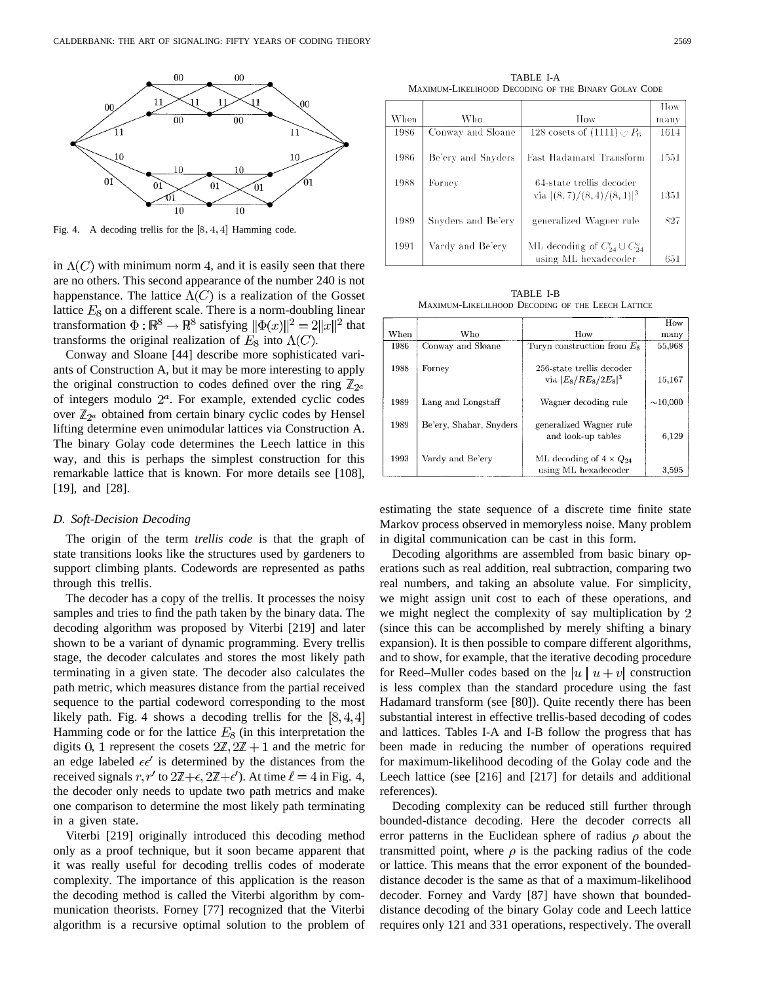

Fig. 4. A decoding trellis for the  $[8, 4, 4]$  Hamming code.

in  $\Lambda(C)$  with minimum norm 4, and it is easily seen that there are no others. This second appearance of the number 240 is not happenstance. The lattice  $\Lambda(C)$  is a realization of the Gosset lattice  $E_8$  on a different scale. There is a norm-doubling linear transformation  $\Phi : \mathbb{R}^8 \to \mathbb{R}^8$  satisfying  $||\Phi(x)||^2 = 2||x||^2$  that transforms the original realization of  $E_8$  into  $\Lambda(C)$ .

Conway and Sloane [44] describe more sophisticated variants of Construction A, but it may be more interesting to apply the original construction to codes defined over the ring  $\mathbb{Z}_{2^a}$ of integers modulo  $2<sup>a</sup>$ . For example, extended cyclic codes over  $\mathbb{Z}_{2^a}$  obtained from certain binary cyclic codes by Hensel lifting determine even unimodular lattices via Construction A. The binary Golay code determines the Leech lattice in this way, and this is perhaps the simplest construction for this remarkable lattice that is known. For more details see [108], [19], and [28].

# *D. Soft-Decision Decoding*

The origin of the term *trellis code* is that the graph of state transitions looks like the structures used by gardeners to support climbing plants. Codewords are represented as paths through this trellis.

The decoder has a copy of the trellis. It processes the noisy samples and tries to find the path taken by the binary data. The decoding algorithm was proposed by Viterbi [219] and later shown to be a variant of dynamic programming. Every trellis stage, the decoder calculates and stores the most likely path terminating in a given state. The decoder also calculates the path metric, which measures distance from the partial received sequence to the partial codeword corresponding to the most likely path. Fig. 4 shows a decoding trellis for the  $[8, 4, 4]$ Hamming code or for the lattice  $E_8$  (in this interpretation the digits 0, 1 represent the cosets  $2\mathbb{Z}, 2\mathbb{Z} + 1$  and the metric for an edge labeled  $\epsilon \epsilon'$  is determined by the distances from the received signals r, r' to  $2\mathbb{Z}+\epsilon$ ,  $2\mathbb{Z}+\epsilon'$ ). At time  $\ell = 4$  in Fig. 4, the decoder only needs to update two path metrics and make one comparison to determine the most likely path terminating in a given state.

Viterbi [219] originally introduced this decoding method only as a proof technique, but it soon became apparent that it was really useful for decoding trellis codes of moderate complexity. The importance of this application is the reason the decoding method is called the Viterbi algorithm by communication theorists. Forney [77] recognized that the Viterbi algorithm is a recursive optimal solution to the problem of

TABLE I-A MAXIMUM-LIKELIHOOD DECODING OF THE BINARY GOLAY CODE

|      |                    |                                                                             | How  |
|------|--------------------|-----------------------------------------------------------------------------|------|
| When | Who                | How                                                                         | many |
| 1986 | Conway and Sloane  | 128 cosets of $(1111) \otimes P_6$                                          | 1614 |
| 1986 | Be'erv and Snyders | Fast Hadamard Transform                                                     | 1551 |
| 1988 | Forney             | 64-state trellis decoder<br>via $(8, 7)/(8, 4)/(8, 1)^3$                    | 1351 |
| 1989 | Suyders and Be'ery | generalized Wagner rule                                                     | 827  |
| 1991 | Vardy and Be'ery   | ML decoding of $C_{24}^{\circ} \cup C_{24}^{\circ}$<br>using ML hexadecoder | 651  |

TABLE I-B MAXIMUM-LIKELILHOOD DECODING OF THE LEECH LATTICE

|      |                         |                                                          | How           |
|------|-------------------------|----------------------------------------------------------|---------------|
| When | Who                     | How                                                      | many          |
| 1986 | Conway and Sloane       | Turvn construction from $E_8$                            | 55,968        |
| 1988 | Forney                  | 256-state trellis decoder<br>via $ E_8/RE_8/2E_8 ^3$     | 15,167        |
| 1989 | Lang and Longstaff      | Wagner decoding rule                                     | $\sim$ 10,000 |
| 1989 | Be'ery, Shahar, Snyders | generalized Wagner rule<br>and look-up tables            | 6.129         |
| 1993 | Vardy and Be'ery        | ML decoding of $4 \times Q_{24}$<br>using ML hexadecoder | 3.595         |

estimating the state sequence of a discrete time finite state Markov process observed in memoryless noise. Many problem in digital communication can be cast in this form.

Decoding algorithms are assembled from basic binary operations such as real addition, real subtraction, comparing two real numbers, and taking an absolute value. For simplicity, we might assign unit cost to each of these operations, and we might neglect the complexity of say multiplication by (since this can be accomplished by merely shifting a binary expansion). It is then possible to compare different algorithms, and to show, for example, that the iterative decoding procedure for Reed–Muller codes based on the  $|u|$   $|u + v|$  construction is less complex than the standard procedure using the fast Hadamard transform (see [80]). Quite recently there has been substantial interest in effective trellis-based decoding of codes and lattices. Tables I-A and I-B follow the progress that has been made in reducing the number of operations required for maximum-likelihood decoding of the Golay code and the Leech lattice (see [216] and [217] for details and additional references).

Decoding complexity can be reduced still further through bounded-distance decoding. Here the decoder corrects all error patterns in the Euclidean sphere of radius  $\rho$  about the transmitted point, where  $\rho$  is the packing radius of the code or lattice. This means that the error exponent of the boundeddistance decoder is the same as that of a maximum-likelihood decoder. Forney and Vardy [87] have shown that boundeddistance decoding of the binary Golay code and Leech lattice requires only 121 and 331 operations, respectively. The overall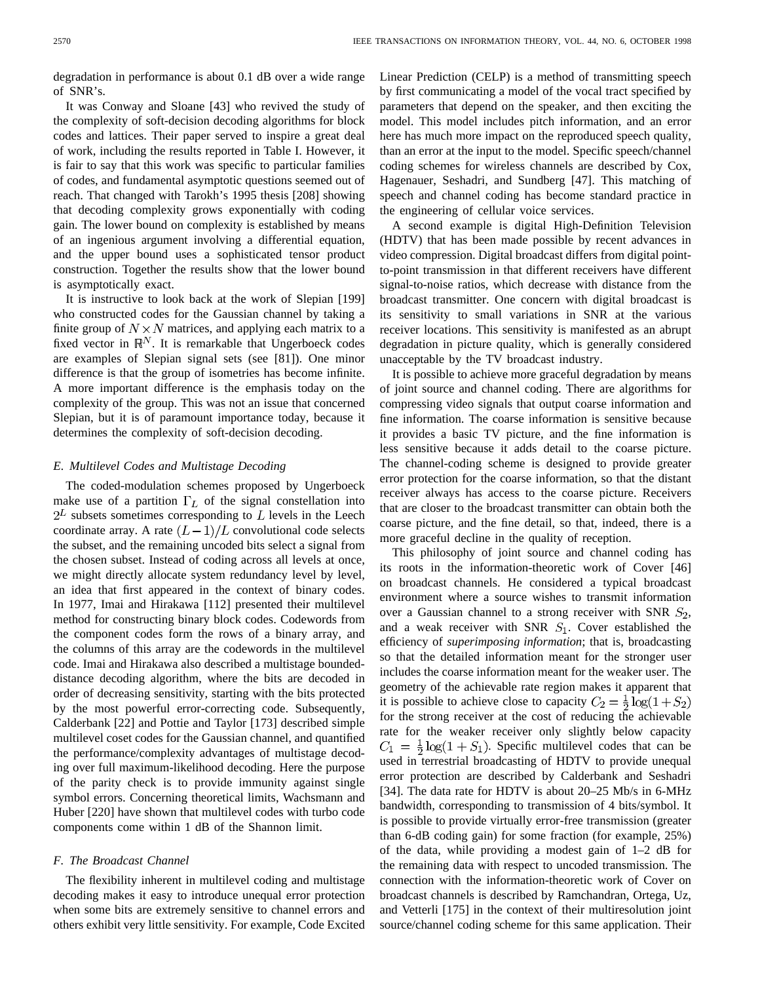degradation in performance is about 0.1 dB over a wide range of SNR's.

It was Conway and Sloane [43] who revived the study of the complexity of soft-decision decoding algorithms for block codes and lattices. Their paper served to inspire a great deal of work, including the results reported in Table I. However, it is fair to say that this work was specific to particular families of codes, and fundamental asymptotic questions seemed out of reach. That changed with Tarokh's 1995 thesis [208] showing that decoding complexity grows exponentially with coding gain. The lower bound on complexity is established by means of an ingenious argument involving a differential equation, and the upper bound uses a sophisticated tensor product construction. Together the results show that the lower bound is asymptotically exact.

It is instructive to look back at the work of Slepian [199] who constructed codes for the Gaussian channel by taking a finite group of  $N \times N$  matrices, and applying each matrix to a fixed vector in  $\mathbb{R}^N$ . It is remarkable that Ungerboeck codes are examples of Slepian signal sets (see [81]). One minor difference is that the group of isometries has become infinite. A more important difference is the emphasis today on the complexity of the group. This was not an issue that concerned Slepian, but it is of paramount importance today, because it determines the complexity of soft-decision decoding.

# *E. Multilevel Codes and Multistage Decoding*

The coded-modulation schemes proposed by Ungerboeck make use of a partition  $\Gamma_L$  of the signal constellation into  $2^L$  subsets sometimes corresponding to L levels in the Leech coordinate array. A rate  $(L-1)/L$  convolutional code selects the subset, and the remaining uncoded bits select a signal from the chosen subset. Instead of coding across all levels at once, we might directly allocate system redundancy level by level, an idea that first appeared in the context of binary codes. In 1977, Imai and Hirakawa [112] presented their multilevel method for constructing binary block codes. Codewords from the component codes form the rows of a binary array, and the columns of this array are the codewords in the multilevel code. Imai and Hirakawa also described a multistage boundeddistance decoding algorithm, where the bits are decoded in order of decreasing sensitivity, starting with the bits protected by the most powerful error-correcting code. Subsequently, Calderbank [22] and Pottie and Taylor [173] described simple multilevel coset codes for the Gaussian channel, and quantified the performance/complexity advantages of multistage decoding over full maximum-likelihood decoding. Here the purpose of the parity check is to provide immunity against single symbol errors. Concerning theoretical limits, Wachsmann and Huber [220] have shown that multilevel codes with turbo code components come within 1 dB of the Shannon limit.

## *F. The Broadcast Channel*

The flexibility inherent in multilevel coding and multistage decoding makes it easy to introduce unequal error protection when some bits are extremely sensitive to channel errors and others exhibit very little sensitivity. For example, Code Excited Linear Prediction (CELP) is a method of transmitting speech by first communicating a model of the vocal tract specified by parameters that depend on the speaker, and then exciting the model. This model includes pitch information, and an error here has much more impact on the reproduced speech quality, than an error at the input to the model. Specific speech/channel coding schemes for wireless channels are described by Cox, Hagenauer, Seshadri, and Sundberg [47]. This matching of speech and channel coding has become standard practice in the engineering of cellular voice services.

A second example is digital High-Definition Television (HDTV) that has been made possible by recent advances in video compression. Digital broadcast differs from digital pointto-point transmission in that different receivers have different signal-to-noise ratios, which decrease with distance from the broadcast transmitter. One concern with digital broadcast is its sensitivity to small variations in SNR at the various receiver locations. This sensitivity is manifested as an abrupt degradation in picture quality, which is generally considered unacceptable by the TV broadcast industry.

It is possible to achieve more graceful degradation by means of joint source and channel coding. There are algorithms for compressing video signals that output coarse information and fine information. The coarse information is sensitive because it provides a basic TV picture, and the fine information is less sensitive because it adds detail to the coarse picture. The channel-coding scheme is designed to provide greater error protection for the coarse information, so that the distant receiver always has access to the coarse picture. Receivers that are closer to the broadcast transmitter can obtain both the coarse picture, and the fine detail, so that, indeed, there is a more graceful decline in the quality of reception.

This philosophy of joint source and channel coding has its roots in the information-theoretic work of Cover [46] on broadcast channels. He considered a typical broadcast environment where a source wishes to transmit information over a Gaussian channel to a strong receiver with SNR  $S_2$ , and a weak receiver with SNR  $S_1$ . Cover established the efficiency of *superimposing information*; that is, broadcasting so that the detailed information meant for the stronger user includes the coarse information meant for the weaker user. The geometry of the achievable rate region makes it apparent that it is possible to achieve close to capacity  $C_2 = \frac{1}{2} \log(1 + S_2)$ for the strong receiver at the cost of reducing the achievable rate for the weaker receiver only slightly below capacity  $C_1 = \frac{1}{2} \log(1 + S_1)$ . Specific multilevel codes that can be used in terrestrial broadcasting of HDTV to provide unequal error protection are described by Calderbank and Seshadri [34]. The data rate for HDTV is about 20–25 Mb/s in 6-MHz bandwidth, corresponding to transmission of 4 bits/symbol. It is possible to provide virtually error-free transmission (greater than 6-dB coding gain) for some fraction (for example, 25%) of the data, while providing a modest gain of 1–2 dB for the remaining data with respect to uncoded transmission. The connection with the information-theoretic work of Cover on broadcast channels is described by Ramchandran, Ortega, Uz, and Vetterli [175] in the context of their multiresolution joint source/channel coding scheme for this same application. Their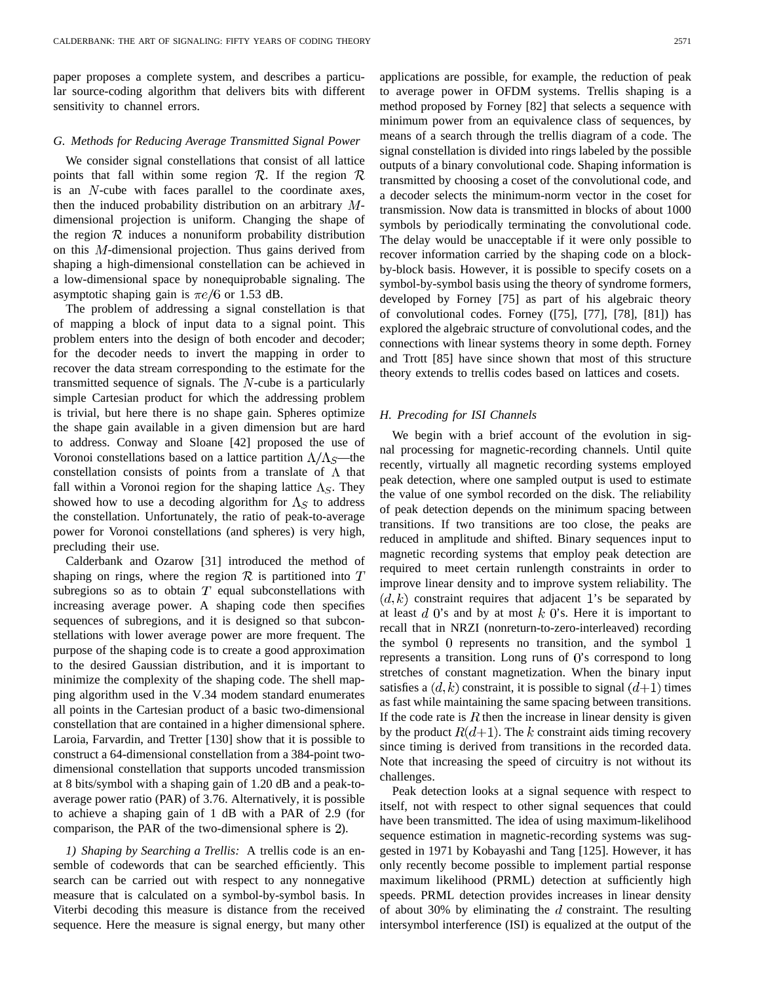paper proposes a complete system, and describes a particular source-coding algorithm that delivers bits with different sensitivity to channel errors.

# *G. Methods for Reducing Average Transmitted Signal Power*

We consider signal constellations that consist of all lattice points that fall within some region  $\mathcal{R}$ . If the region  $\mathcal{R}$ is an  $N$ -cube with faces parallel to the coordinate axes, then the induced probability distribution on an arbitrary  $M$ dimensional projection is uniform. Changing the shape of the region  $\mathcal R$  induces a nonuniform probability distribution on this  $M$ -dimensional projection. Thus gains derived from shaping a high-dimensional constellation can be achieved in a low-dimensional space by nonequiprobable signaling. The asymptotic shaping gain is  $\pi e/6$  or 1.53 dB.

The problem of addressing a signal constellation is that of mapping a block of input data to a signal point. This problem enters into the design of both encoder and decoder; for the decoder needs to invert the mapping in order to recover the data stream corresponding to the estimate for the transmitted sequence of signals. The  $N$ -cube is a particularly simple Cartesian product for which the addressing problem is trivial, but here there is no shape gain. Spheres optimize the shape gain available in a given dimension but are hard to address. Conway and Sloane [42] proposed the use of Voronoi constellations based on a lattice partition  $\Lambda/\Lambda_S$ —the constellation consists of points from a translate of  $\Lambda$  that fall within a Voronoi region for the shaping lattice  $\Lambda_{\mathcal{S}}$ . They showed how to use a decoding algorithm for  $\Lambda_S$  to address the constellation. Unfortunately, the ratio of peak-to-average power for Voronoi constellations (and spheres) is very high, precluding their use.

Calderbank and Ozarow [31] introduced the method of shaping on rings, where the region  $\mathcal R$  is partitioned into  $T$ subregions so as to obtain  $T$  equal subconstellations with increasing average power. A shaping code then specifies sequences of subregions, and it is designed so that subconstellations with lower average power are more frequent. The purpose of the shaping code is to create a good approximation to the desired Gaussian distribution, and it is important to minimize the complexity of the shaping code. The shell mapping algorithm used in the V.34 modem standard enumerates all points in the Cartesian product of a basic two-dimensional constellation that are contained in a higher dimensional sphere. Laroia, Farvardin, and Tretter [130] show that it is possible to construct a 64-dimensional constellation from a 384-point twodimensional constellation that supports uncoded transmission at 8 bits/symbol with a shaping gain of 1.20 dB and a peak-toaverage power ratio (PAR) of 3.76. Alternatively, it is possible to achieve a shaping gain of 1 dB with a PAR of 2.9 (for comparison, the PAR of the two-dimensional sphere is 2).

*1) Shaping by Searching a Trellis:* A trellis code is an ensemble of codewords that can be searched efficiently. This search can be carried out with respect to any nonnegative measure that is calculated on a symbol-by-symbol basis. In Viterbi decoding this measure is distance from the received sequence. Here the measure is signal energy, but many other applications are possible, for example, the reduction of peak to average power in OFDM systems. Trellis shaping is a method proposed by Forney [82] that selects a sequence with minimum power from an equivalence class of sequences, by means of a search through the trellis diagram of a code. The signal constellation is divided into rings labeled by the possible outputs of a binary convolutional code. Shaping information is transmitted by choosing a coset of the convolutional code, and a decoder selects the minimum-norm vector in the coset for transmission. Now data is transmitted in blocks of about 1000 symbols by periodically terminating the convolutional code. The delay would be unacceptable if it were only possible to recover information carried by the shaping code on a blockby-block basis. However, it is possible to specify cosets on a symbol-by-symbol basis using the theory of syndrome formers, developed by Forney [75] as part of his algebraic theory of convolutional codes. Forney ([75], [77], [78], [81]) has explored the algebraic structure of convolutional codes, and the connections with linear systems theory in some depth. Forney and Trott [85] have since shown that most of this structure theory extends to trellis codes based on lattices and cosets.

# *H. Precoding for ISI Channels*

We begin with a brief account of the evolution in signal processing for magnetic-recording channels. Until quite recently, virtually all magnetic recording systems employed peak detection, where one sampled output is used to estimate the value of one symbol recorded on the disk. The reliability of peak detection depends on the minimum spacing between transitions. If two transitions are too close, the peaks are reduced in amplitude and shifted. Binary sequences input to magnetic recording systems that employ peak detection are required to meet certain runlength constraints in order to improve linear density and to improve system reliability. The  $(d, k)$  constraint requires that adjacent 1's be separated by at least  $d$  0's and by at most  $k$  0's. Here it is important to recall that in NRZI (nonreturn-to-zero-interleaved) recording the symbol  $\theta$  represents no transition, and the symbol  $1$ represents a transition. Long runs of  $0$ 's correspond to long stretches of constant magnetization. When the binary input satisfies a  $(d, k)$  constraint, it is possible to signal  $(d+1)$  times as fast while maintaining the same spacing between transitions. If the code rate is  $R$  then the increase in linear density is given by the product  $R(d+1)$ . The k constraint aids timing recovery since timing is derived from transitions in the recorded data. Note that increasing the speed of circuitry is not without its challenges.

Peak detection looks at a signal sequence with respect to itself, not with respect to other signal sequences that could have been transmitted. The idea of using maximum-likelihood sequence estimation in magnetic-recording systems was suggested in 1971 by Kobayashi and Tang [125]. However, it has only recently become possible to implement partial response maximum likelihood (PRML) detection at sufficiently high speeds. PRML detection provides increases in linear density of about 30% by eliminating the  $d$  constraint. The resulting intersymbol interference (ISI) is equalized at the output of the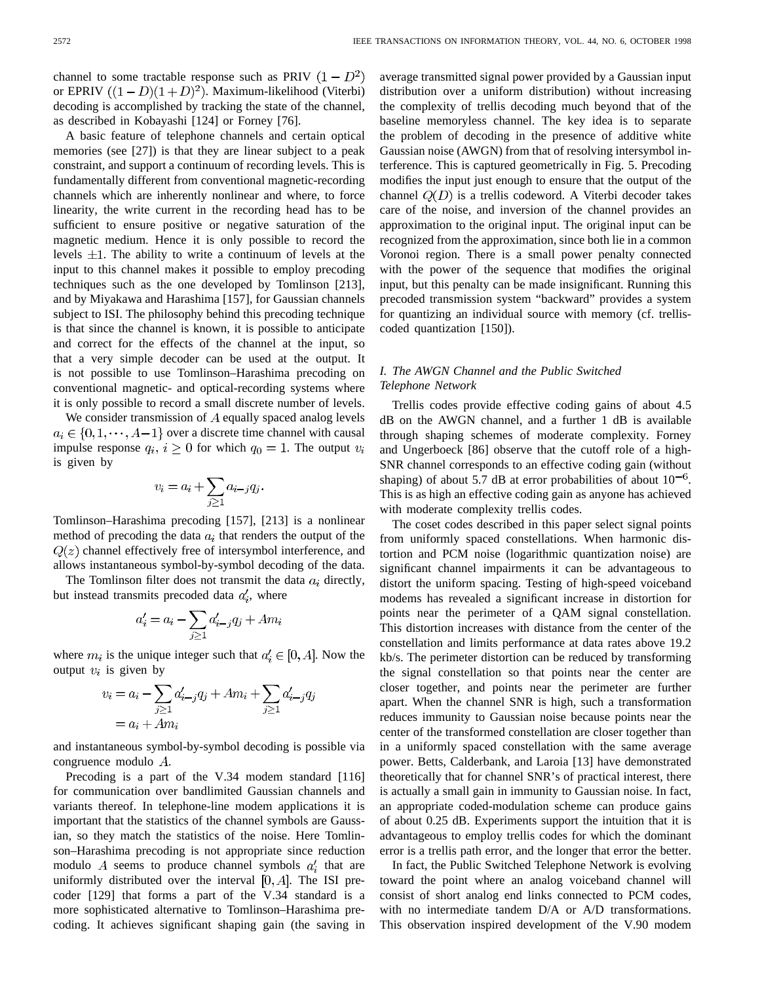channel to some tractable response such as PRIV  $(1 - D^2)$ or EPRIV  $((1 - D)(1 + D)^2)$ . Maximum-likelihood (Viterbi) decoding is accomplished by tracking the state of the channel, as described in Kobayashi [124] or Forney [76].

A basic feature of telephone channels and certain optical memories (see [27]) is that they are linear subject to a peak constraint, and support a continuum of recording levels. This is fundamentally different from conventional magnetic-recording channels which are inherently nonlinear and where, to force linearity, the write current in the recording head has to be sufficient to ensure positive or negative saturation of the magnetic medium. Hence it is only possible to record the levels  $\pm 1$ . The ability to write a continuum of levels at the input to this channel makes it possible to employ precoding techniques such as the one developed by Tomlinson [213], and by Miyakawa and Harashima [157], for Gaussian channels subject to ISI. The philosophy behind this precoding technique is that since the channel is known, it is possible to anticipate and correct for the effects of the channel at the input, so that a very simple decoder can be used at the output. It is not possible to use Tomlinson–Harashima precoding on conventional magnetic- and optical-recording systems where it is only possible to record a small discrete number of levels.

We consider transmission of  $A$  equally spaced analog levels  $a_i \in \{0, 1, \dots, A-1\}$  over a discrete time channel with causal impulse response  $q_i$ ,  $i \geq 0$  for which  $q_0 = 1$ . The output  $v_i$ is given by

$$
v_i = a_i + \sum_{j \ge 1} a_{i-j} q_j.
$$

Tomlinson–Harashima precoding [157], [213] is a nonlinear method of precoding the data  $a_i$  that renders the output of the  $Q(z)$  channel effectively free of intersymbol interference, and allows instantaneous symbol-by-symbol decoding of the data.

The Tomlinson filter does not transmit the data  $a_i$  directly, but instead transmits precoded data  $a'_i$ , where

$$
a'_i = a_i - \sum_{j\geq 1} a'_{i-j} q_j + A m_i
$$

where  $m_i$  is the unique integer such that  $a'_i \in [0, A]$ . Now the output  $v_i$  is given by

$$
v_i = a_i - \sum_{j \ge 1} a'_{i-j} q_j + A m_i + \sum_{j \ge 1} a'_{i-j} q_j
$$
  
=  $a_i + A m_i$ 

and instantaneous symbol-by-symbol decoding is possible via congruence modulo A.

Precoding is a part of the V.34 modem standard [116] for communication over bandlimited Gaussian channels and variants thereof. In telephone-line modem applications it is important that the statistics of the channel symbols are Gaussian, so they match the statistics of the noise. Here Tomlinson–Harashima precoding is not appropriate since reduction modulo A seems to produce channel symbols  $a'_i$  that are uniformly distributed over the interval  $[0, A]$ . The ISI precoder [129] that forms a part of the V.34 standard is a more sophisticated alternative to Tomlinson–Harashima precoding. It achieves significant shaping gain (the saving in average transmitted signal power provided by a Gaussian input distribution over a uniform distribution) without increasing the complexity of trellis decoding much beyond that of the baseline memoryless channel. The key idea is to separate the problem of decoding in the presence of additive white Gaussian noise (AWGN) from that of resolving intersymbol interference. This is captured geometrically in Fig. 5. Precoding modifies the input just enough to ensure that the output of the channel  $Q(D)$  is a trellis codeword. A Viterbi decoder takes care of the noise, and inversion of the channel provides an approximation to the original input. The original input can be recognized from the approximation, since both lie in a common Voronoi region. There is a small power penalty connected with the power of the sequence that modifies the original input, but this penalty can be made insignificant. Running this precoded transmission system "backward" provides a system for quantizing an individual source with memory (cf. trelliscoded quantization [150]).

# *I. The AWGN Channel and the Public Switched Telephone Network*

Trellis codes provide effective coding gains of about 4.5 dB on the AWGN channel, and a further 1 dB is available through shaping schemes of moderate complexity. Forney and Ungerboeck [86] observe that the cutoff role of a high-SNR channel corresponds to an effective coding gain (without shaping) of about 5.7 dB at error probabilities of about  $10^{-6}$ . This is as high an effective coding gain as anyone has achieved with moderate complexity trellis codes.

The coset codes described in this paper select signal points from uniformly spaced constellations. When harmonic distortion and PCM noise (logarithmic quantization noise) are significant channel impairments it can be advantageous to distort the uniform spacing. Testing of high-speed voiceband modems has revealed a significant increase in distortion for points near the perimeter of a QAM signal constellation. This distortion increases with distance from the center of the constellation and limits performance at data rates above 19.2 kb/s. The perimeter distortion can be reduced by transforming the signal constellation so that points near the center are closer together, and points near the perimeter are further apart. When the channel SNR is high, such a transformation reduces immunity to Gaussian noise because points near the center of the transformed constellation are closer together than in a uniformly spaced constellation with the same average power. Betts, Calderbank, and Laroia [13] have demonstrated theoretically that for channel SNR's of practical interest, there is actually a small gain in immunity to Gaussian noise. In fact, an appropriate coded-modulation scheme can produce gains of about 0.25 dB. Experiments support the intuition that it is advantageous to employ trellis codes for which the dominant error is a trellis path error, and the longer that error the better.

In fact, the Public Switched Telephone Network is evolving toward the point where an analog voiceband channel will consist of short analog end links connected to PCM codes, with no intermediate tandem  $D/A$  or  $A/D$  transformations. This observation inspired development of the V.90 modem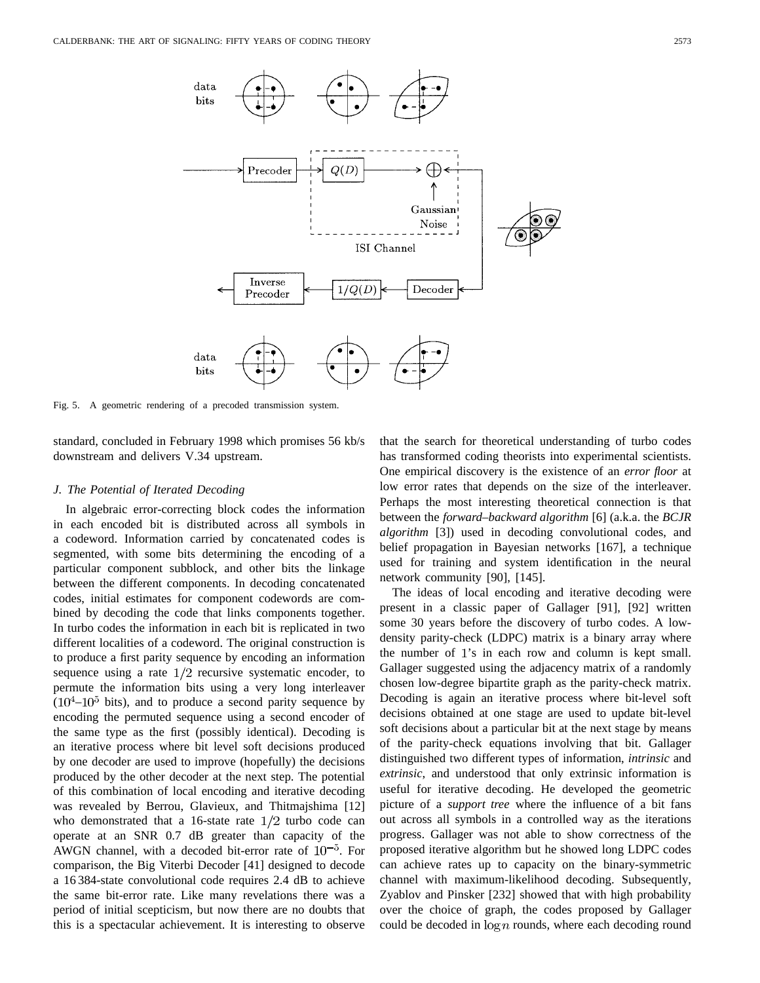

Fig. 5. A geometric rendering of a precoded transmission system.

standard, concluded in February 1998 which promises 56 kb/s downstream and delivers V.34 upstream.

# *J. The Potential of Iterated Decoding*

In algebraic error-correcting block codes the information in each encoded bit is distributed across all symbols in a codeword. Information carried by concatenated codes is segmented, with some bits determining the encoding of a particular component subblock, and other bits the linkage between the different components. In decoding concatenated codes, initial estimates for component codewords are combined by decoding the code that links components together. In turbo codes the information in each bit is replicated in two different localities of a codeword. The original construction is to produce a first parity sequence by encoding an information sequence using a rate  $1/2$  recursive systematic encoder, to permute the information bits using a very long interleaver  $(10^4 - 10^5)$  bits), and to produce a second parity sequence by encoding the permuted sequence using a second encoder of the same type as the first (possibly identical). Decoding is an iterative process where bit level soft decisions produced by one decoder are used to improve (hopefully) the decisions produced by the other decoder at the next step. The potential of this combination of local encoding and iterative decoding was revealed by Berrou, Glavieux, and Thitmajshima [12] who demonstrated that a 16-state rate  $1/2$  turbo code can operate at an SNR 0.7 dB greater than capacity of the AWGN channel, with a decoded bit-error rate of  $10^{-5}$ . For comparison, the Big Viterbi Decoder [41] designed to decode a 16 384-state convolutional code requires 2.4 dB to achieve the same bit-error rate. Like many revelations there was a period of initial scepticism, but now there are no doubts that this is a spectacular achievement. It is interesting to observe that the search for theoretical understanding of turbo codes has transformed coding theorists into experimental scientists. One empirical discovery is the existence of an *error floor* at low error rates that depends on the size of the interleaver. Perhaps the most interesting theoretical connection is that between the *forward–backward algorithm* [6] (a.k.a. the *BCJR algorithm* [3]) used in decoding convolutional codes, and belief propagation in Bayesian networks [167], a technique used for training and system identification in the neural network community [90], [145].

The ideas of local encoding and iterative decoding were present in a classic paper of Gallager [91], [92] written some 30 years before the discovery of turbo codes. A lowdensity parity-check (LDPC) matrix is a binary array where the number of  $1$ 's in each row and column is kept small. Gallager suggested using the adjacency matrix of a randomly chosen low-degree bipartite graph as the parity-check matrix. Decoding is again an iterative process where bit-level soft decisions obtained at one stage are used to update bit-level soft decisions about a particular bit at the next stage by means of the parity-check equations involving that bit. Gallager distinguished two different types of information, *intrinsic* and *extrinsic*, and understood that only extrinsic information is useful for iterative decoding. He developed the geometric picture of a *support tree* where the influence of a bit fans out across all symbols in a controlled way as the iterations progress. Gallager was not able to show correctness of the proposed iterative algorithm but he showed long LDPC codes can achieve rates up to capacity on the binary-symmetric channel with maximum-likelihood decoding. Subsequently, Zyablov and Pinsker [232] showed that with high probability over the choice of graph, the codes proposed by Gallager could be decoded in  $log n$  rounds, where each decoding round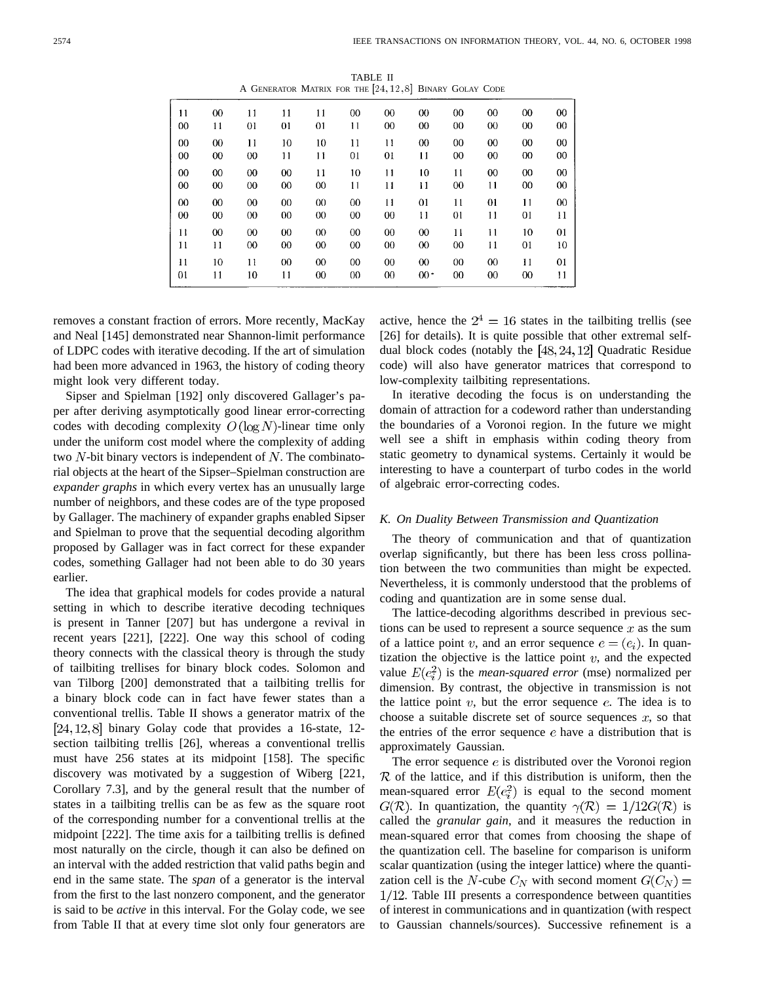TABLE II A GENERATOR MATRIX FOR THE [24, 12, 8] BINARY GOLAY CODE

| 11      | 00     | 11      | 11      | 11      | 00 | 00      | $00\,$  | 00      | $^{00}$ | $^{00}$         | $^{00}$ |
|---------|--------|---------|---------|---------|----|---------|---------|---------|---------|-----------------|---------|
| 00      | 11     | 01      | 01      | 01      | 11 | $^{00}$ | $^{00}$ | 00      | $^{00}$ | $^{00}$         | $^{00}$ |
| 00      | 00     | 11      | 10      | 10      | 11 | 11      | 00      | $^{00}$ | 00      | 00              | 00      |
| $00\,$  | $00\,$ | 00      | 11      | 11      | 01 | 01      | 11      | $^{00}$ | $00\,$  | 00              | $00\,$  |
| 00      | 00     | 00      | 00      | 11      | 10 | 11      | 10      | 11      | 00      | 00              | 00      |
| $^{00}$ | 00     | 00      | $^{00}$ | 00      | 11 | 11      | 11      | $00\,$  | 11      | 00              | $00\,$  |
| $00\,$  | 00     | 00      | 00      | 00      | 00 | 11      | 01      | 11      | 01      | $\overline{11}$ | 00      |
| 00      | 00     | 00      | $00\,$  | 00      | 00 | $^{00}$ | $^{11}$ | 01      | 11      | 01              | 11      |
| 11      | 00     | 00      | 00      | 00      | 00 | $^{00}$ | 00      | 11      | 11      | 10              | 01      |
| 11      | 11     | $^{00}$ | 00      | 00      | 00 | 00      | 00      | $^{00}$ | 11      | 01              | 10      |
| 11      | 10     | 11      | 00      | 00      | 00 | 00      | 00      | 00      | $^{00}$ | 11              | 01      |
| 01      | 11     | 10      | 11      | $^{00}$ | 00 | $^{00}$ | $00 -$  | $^{00}$ | 00      | 00              | 11      |

removes a constant fraction of errors. More recently, MacKay and Neal [145] demonstrated near Shannon-limit performance of LDPC codes with iterative decoding. If the art of simulation had been more advanced in 1963, the history of coding theory might look very different today.

Sipser and Spielman [192] only discovered Gallager's paper after deriving asymptotically good linear error-correcting codes with decoding complexity  $O(\log N)$ -linear time only under the uniform cost model where the complexity of adding two  $N$ -bit binary vectors is independent of  $N$ . The combinatorial objects at the heart of the Sipser–Spielman construction are *expander graphs* in which every vertex has an unusually large number of neighbors, and these codes are of the type proposed by Gallager. The machinery of expander graphs enabled Sipser and Spielman to prove that the sequential decoding algorithm proposed by Gallager was in fact correct for these expander codes, something Gallager had not been able to do 30 years earlier.

The idea that graphical models for codes provide a natural setting in which to describe iterative decoding techniques is present in Tanner [207] but has undergone a revival in recent years [221], [222]. One way this school of coding theory connects with the classical theory is through the study of tailbiting trellises for binary block codes. Solomon and van Tilborg [200] demonstrated that a tailbiting trellis for a binary block code can in fact have fewer states than a conventional trellis. Table II shows a generator matrix of the  $[24, 12, 8]$  binary Golay code that provides a 16-state, 12section tailbiting trellis [26], whereas a conventional trellis must have 256 states at its midpoint [158]. The specific discovery was motivated by a suggestion of Wiberg [221, Corollary 7.3], and by the general result that the number of states in a tailbiting trellis can be as few as the square root of the corresponding number for a conventional trellis at the midpoint [222]. The time axis for a tailbiting trellis is defined most naturally on the circle, though it can also be defined on an interval with the added restriction that valid paths begin and end in the same state. The *span* of a generator is the interval from the first to the last nonzero component, and the generator is said to be *active* in this interval. For the Golay code, we see from Table II that at every time slot only four generators are active, hence the  $2^4 = 16$  states in the tailbiting trellis (see [26] for details). It is quite possible that other extremal selfdual block codes (notably the  $[48, 24, 12]$  Quadratic Residue code) will also have generator matrices that correspond to low-complexity tailbiting representations.

In iterative decoding the focus is on understanding the domain of attraction for a codeword rather than understanding the boundaries of a Voronoi region. In the future we might well see a shift in emphasis within coding theory from static geometry to dynamical systems. Certainly it would be interesting to have a counterpart of turbo codes in the world of algebraic error-correcting codes.

# *K. On Duality Between Transmission and Quantization*

The theory of communication and that of quantization overlap significantly, but there has been less cross pollination between the two communities than might be expected. Nevertheless, it is commonly understood that the problems of coding and quantization are in some sense dual.

The lattice-decoding algorithms described in previous sections can be used to represent a source sequence  $x$  as the sum of a lattice point v, and an error sequence  $e = (e_i)$ . In quantization the objective is the lattice point  $v$ , and the expected value  $E(e_i^2)$  is the *mean-squared error* (mse) normalized per dimension. By contrast, the objective in transmission is not the lattice point  $v$ , but the error sequence  $e$ . The idea is to choose a suitable discrete set of source sequences  $x$ , so that the entries of the error sequence  $e$  have a distribution that is approximately Gaussian.

The error sequence  $e$  is distributed over the Voronoi region  $\mathcal R$  of the lattice, and if this distribution is uniform, then the mean-squared error  $E(e_i^2)$  is equal to the second moment  $G(\mathcal{R})$ . In quantization, the quantity  $\gamma(\mathcal{R}) = 1/12G(\mathcal{R})$  is called the *granular gain*, and it measures the reduction in mean-squared error that comes from choosing the shape of the quantization cell. The baseline for comparison is uniform scalar quantization (using the integer lattice) where the quantization cell is the N-cube  $C_N$  with second moment  $G(C_N)$  = 1/12. Table III presents a correspondence between quantities of interest in communications and in quantization (with respect to Gaussian channels/sources). Successive refinement is a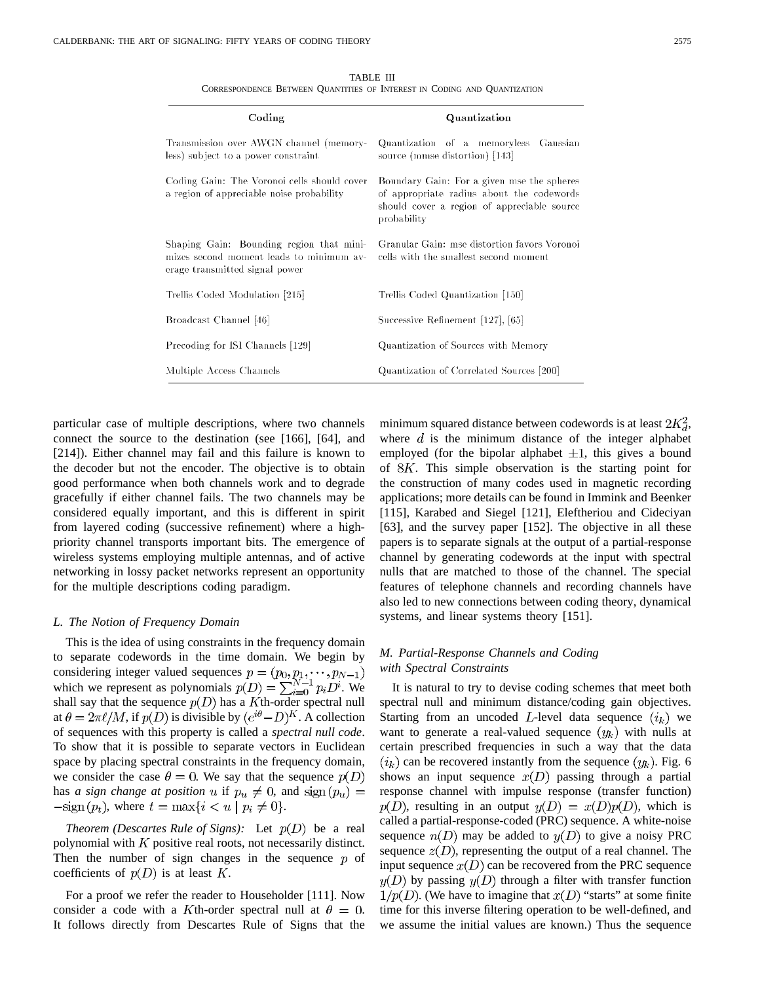| Coding                                                                                                                 | Quantization                                                                                                                                          |
|------------------------------------------------------------------------------------------------------------------------|-------------------------------------------------------------------------------------------------------------------------------------------------------|
| Transmission over AWGN channel (memory-<br>less) subject to a power constraint                                         | Quantization of a memoryless Gaussian<br>source (mmse distortion) $[143]$                                                                             |
| Coding Gain: The Voronoi cells should cover<br>a region of appreciable noise probability                               | Boundary Gain: For a given mse the spheres<br>of appropriate radius about the codewords<br>should cover a region of appreciable source<br>probability |
| Shaping Gain: Bounding region that mini-<br>mizes second moment leads to minimum av-<br>erage transmitted signal power | Granular Gain: mse distortion favors Voronoi<br>cells with the smallest second moment                                                                 |
| Trellis Coded Modulation [215]                                                                                         | Trellis Coded Quantization [150]                                                                                                                      |
| Broadcast Channel [46]                                                                                                 | Successive Refinement [127], [65]                                                                                                                     |
| Precoding for ISI Channels [129]                                                                                       | Quantization of Sources with Memory                                                                                                                   |
| Multiple Access Channels                                                                                               | Quantization of Correlated Sources [200]                                                                                                              |

TABLE III CORRESPONDENCE BETWEEN QUANTITIES OF INTEREST IN CODING AND QUANTIZATION

particular case of multiple descriptions, where two channels connect the source to the destination (see [166], [64], and [214]). Either channel may fail and this failure is known to the decoder but not the encoder. The objective is to obtain good performance when both channels work and to degrade gracefully if either channel fails. The two channels may be considered equally important, and this is different in spirit from layered coding (successive refinement) where a highpriority channel transports important bits. The emergence of wireless systems employing multiple antennas, and of active networking in lossy packet networks represent an opportunity for the multiple descriptions coding paradigm.

# *L. The Notion of Frequency Domain*

This is the idea of using constraints in the frequency domain to separate codewords in the time domain. We begin by considering integer valued sequences which we represent as polynomials  $p(D) = \sum_{i=0}^{N-1} p_i D^i$ . We shall say that the sequence  $p(D)$  has a Kth-order spectral null at  $\theta = 2\pi \ell / M$ , if  $p(D)$  is divisible by  $(e^{i\theta} - D)^K$ . A collection of sequences with this property is called a *spectral null code*. To show that it is possible to separate vectors in Euclidean space by placing spectral constraints in the frequency domain, we consider the case  $\theta = 0$ . We say that the sequence  $p(D)$ has *a sign change at position* u if  $p_u \neq 0$ , and  $sign(p_u)$  $-\text{sign}(p_t)$ , where  $t = \max\{i < u \mid p_i \neq 0\}.$ 

*Theorem (Descartes Rule of Signs):* Let  $p(D)$  be a real polynomial with  $K$  positive real roots, not necessarily distinct. Then the number of sign changes in the sequence  $p$  of coefficients of  $p(D)$  is at least K.

For a proof we refer the reader to Householder [111]. Now consider a code with a K<sup>th</sup>-order spectral null at  $\theta = 0$ . It follows directly from Descartes Rule of Signs that the minimum squared distance between codewords is at least  $2K_d^2$ , where  $d$  is the minimum distance of the integer alphabet employed (for the bipolar alphabet  $\pm 1$ , this gives a bound of  $8K$ . This simple observation is the starting point for the construction of many codes used in magnetic recording applications; more details can be found in Immink and Beenker [115], Karabed and Siegel [121], Eleftheriou and Cideciyan [63], and the survey paper [152]. The objective in all these papers is to separate signals at the output of a partial-response channel by generating codewords at the input with spectral nulls that are matched to those of the channel. The special features of telephone channels and recording channels have also led to new connections between coding theory, dynamical systems, and linear systems theory [151].

# *M. Partial-Response Channels and Coding with Spectral Constraints*

It is natural to try to devise coding schemes that meet both spectral null and minimum distance/coding gain objectives. Starting from an uncoded L-level data sequence  $(i_k)$  we want to generate a real-valued sequence  $(y_k)$  with nulls at certain prescribed frequencies in such a way that the data  $(i_k)$  can be recovered instantly from the sequence  $(y_k)$ . Fig. 6 shows an input sequence  $x(D)$  passing through a partial response channel with impulse response (transfer function)  $p(D)$ , resulting in an output  $y(D) = x(D)p(D)$ , which is called a partial-response-coded (PRC) sequence. A white-noise sequence  $n(D)$  may be added to  $y(D)$  to give a noisy PRC sequence  $z(D)$ , representing the output of a real channel. The input sequence  $x(D)$  can be recovered from the PRC sequence  $y(D)$  by passing  $y(D)$  through a filter with transfer function  $1/p(D)$ . (We have to imagine that  $x(D)$  "starts" at some finite time for this inverse filtering operation to be well-defined, and we assume the initial values are known.) Thus the sequence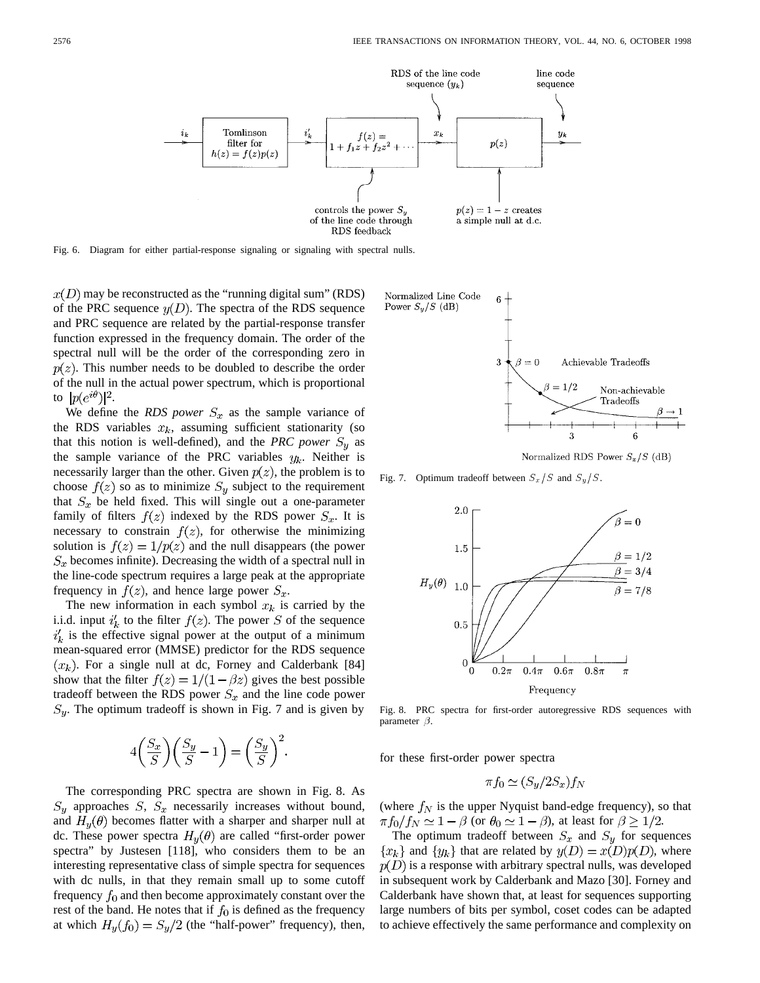

Fig. 6. Diagram for either partial-response signaling or signaling with spectral nulls.

 $x(D)$  may be reconstructed as the "running digital sum" (RDS) of the PRC sequence  $y(D)$ . The spectra of the RDS sequence and PRC sequence are related by the partial-response transfer function expressed in the frequency domain. The order of the spectral null will be the order of the corresponding zero in  $p(z)$ . This number needs to be doubled to describe the order of the null in the actual power spectrum, which is proportional to  $|p(e^{i\theta})|^2$ .

We define the *RDS power*  $S_x$  as the sample variance of the RDS variables  $x_k$ , assuming sufficient stationarity (so that this notion is well-defined), and the *PRC power*  $S_y$  as the sample variance of the PRC variables  $y_k$ . Neither is necessarily larger than the other. Given  $p(z)$ , the problem is to choose  $f(z)$  so as to minimize  $S_y$  subject to the requirement that  $S_x$  be held fixed. This will single out a one-parameter family of filters  $f(z)$  indexed by the RDS power  $S_x$ . It is necessary to constrain  $f(z)$ , for otherwise the minimizing solution is  $f(z) = 1/p(z)$  and the null disappears (the power  $S_x$  becomes infinite). Decreasing the width of a spectral null in the line-code spectrum requires a large peak at the appropriate frequency in  $f(z)$ , and hence large power  $S_x$ .

The new information in each symbol  $x_k$  is carried by the i.i.d. input  $i'_{k}$  to the filter  $f(z)$ . The power S of the sequence  $i'_{k}$  is the effective signal power at the output of a minimum mean-squared error (MMSE) predictor for the RDS sequence  $(x_k)$ . For a single null at dc, Forney and Calderbank [84] show that the filter  $f(z) = 1/(1 - \beta z)$  gives the best possible tradeoff between the RDS power  $S_x$  and the line code power  $S_y$ . The optimum tradeoff is shown in Fig. 7 and is given by

$$
4\left(\frac{S_x}{S}\right)\left(\frac{S_y}{S}-1\right) = \left(\frac{S_y}{S}\right)^2.
$$

The corresponding PRC spectra are shown in Fig. 8. As  $S_y$  approaches S,  $S_x$  necessarily increases without bound, and  $H_u(\theta)$  becomes flatter with a sharper and sharper null at dc. These power spectra  $H_y(\theta)$  are called "first-order power spectra" by Justesen [118], who considers them to be an interesting representative class of simple spectra for sequences with dc nulls, in that they remain small up to some cutoff frequency  $f_0$  and then become approximately constant over the rest of the band. He notes that if  $f_0$  is defined as the frequency at which  $H_y(f_0) = S_y/2$  (the "half-power" frequency), then,



Normalized RDS Power  $S_x/S$  (dB)

Fig. 7. Optimum tradeoff between  $S_x/S$  and  $S_y/S$ .



Fig. 8. PRC spectra for first-order autoregressive RDS sequences with parameter  $\beta$ .

for these first-order power spectra

$$
\pi f_0 \simeq (S_y/2S_x)f_N
$$

(where  $f_N$  is the upper Nyquist band-edge frequency), so that  $\pi f_0/f_N \simeq 1 - \beta$  (or  $\theta_0 \simeq 1 - \beta$ ), at least for  $\beta \geq 1/2$ .

The optimum tradeoff between  $S_x$  and  $S_y$  for sequences  $\{x_k\}$  and  $\{y_k\}$  that are related by  $y(D) = x(D)p(D)$ , where  $p(D)$  is a response with arbitrary spectral nulls, was developed in subsequent work by Calderbank and Mazo [30]. Forney and Calderbank have shown that, at least for sequences supporting large numbers of bits per symbol, coset codes can be adapted to achieve effectively the same performance and complexity on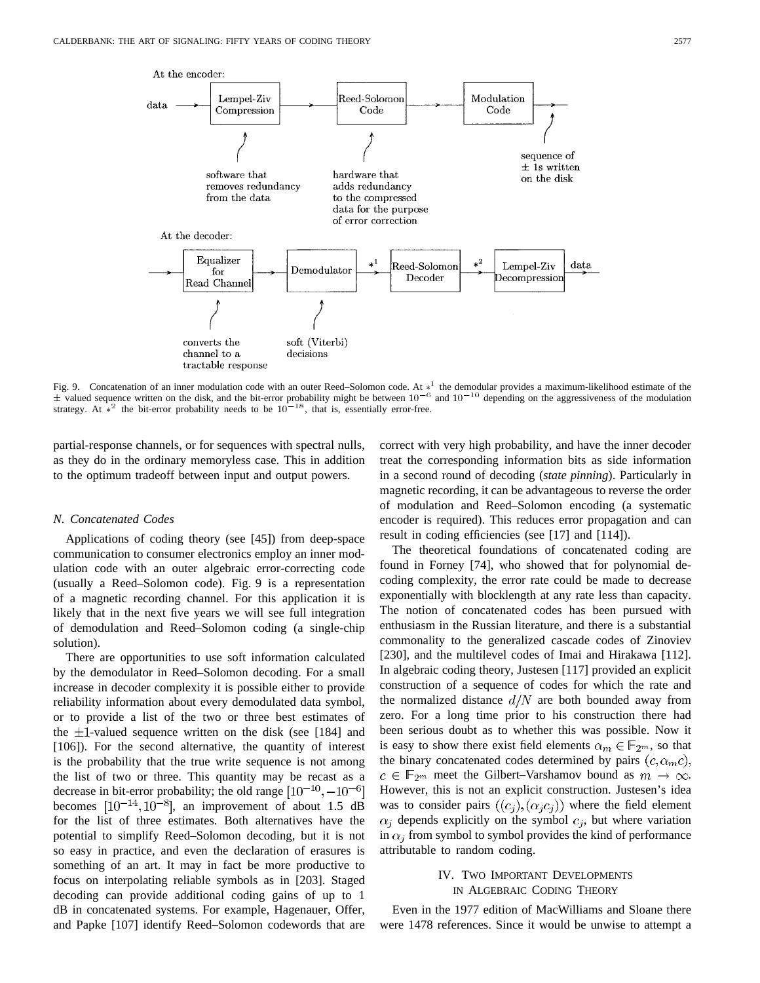

Fig. 9. Concatenation of an inner modulation code with an outer Reed–Solomon code. At  $*^1$  the demodular provides a maximum-likelihood estimate of the tractable response<br>Fig. 9. Concatenation of an inner modulation code with an outer Reed–Solomon code. At  $*^1$  the demodular provides a maximum-likelihood estimate of the<br>± valued sequence written on the disk, and the bit Fig. 9. Concatenation of an inner modulation code with an outer Reed–Solomon code. At  $*$   $\pm$  valued sequence written on the disk, and the bit-error probability might be between  $10^{-6}$  strategy. At  $*^2$  the bit-error p

partial-response channels, or for sequences with spectral nulls, as they do in the ordinary memoryless case. This in addition to the optimum tradeoff between input and output powers.

# *N. Concatenated Codes*

Applications of coding theory (see [45]) from deep-space communication to consumer electronics employ an inner modulation code with an outer algebraic error-correcting code (usually a Reed–Solomon code). Fig. 9 is a representation of a magnetic recording channel. For this application it is likely that in the next five years we will see full integration of demodulation and Reed–Solomon coding (a single-chip solution).

There are opportunities to use soft information calculated by the demodulator in Reed–Solomon decoding. For a small increase in decoder complexity it is possible either to provide reliability information about every demodulated data symbol, or to provide a list of the two or three best estimates of the  $\pm 1$ -valued sequence written on the disk (see [184] and [106]). For the second alternative, the quantity of interest is the probability that the true write sequence is not among the list of two or three. This quantity may be recast as a decrease in bit-error probability; the old range  $[10^{-10}, -10^{-6}]$ becomes  $[10^{-14}, 10^{-8}]$ , an improvement of about 1.5 dB for the list of three estimates. Both alternatives have the potential to simplify Reed–Solomon decoding, but it is not so easy in practice, and even the declaration of erasures is something of an art. It may in fact be more productive to focus on interpolating reliable symbols as in [203]. Staged decoding can provide additional coding gains of up to 1 dB in concatenated systems. For example, Hagenauer, Offer, and Papke [107] identify Reed–Solomon codewords that are correct with very high probability, and have the inner decoder treat the corresponding information bits as side information in a second round of decoding (*state pinning*). Particularly in magnetic recording, it can be advantageous to reverse the order of modulation and Reed–Solomon encoding (a systematic encoder is required). This reduces error propagation and can result in coding efficiencies (see [17] and [114]).

The theoretical foundations of concatenated coding are found in Forney [74], who showed that for polynomial decoding complexity, the error rate could be made to decrease exponentially with blocklength at any rate less than capacity. The notion of concatenated codes has been pursued with enthusiasm in the Russian literature, and there is a substantial commonality to the generalized cascade codes of Zinoviev [230], and the multilevel codes of Imai and Hirakawa [112]. In algebraic coding theory, Justesen [117] provided an explicit construction of a sequence of codes for which the rate and the normalized distance  $d/N$  are both bounded away from zero. For a long time prior to his construction there had been serious doubt as to whether this was possible. Now it is easy to show there exist field elements  $\alpha_m \in \mathbb{F}_{2^m}$ , so that the binary concatenated codes determined by pairs  $(c, \alpha_m c)$ ,  $c \in \mathbb{F}_{2^m}$  meet the Gilbert–Varshamov bound as  $m \to \infty$ . However, this is not an explicit construction. Justesen's idea was to consider pairs  $((c_j), (\alpha_j c_j))$  where the field element  $\alpha_i$  depends explicitly on the symbol  $c_i$ , but where variation in  $\alpha_j$  from symbol to symbol provides the kind of performance attributable to random coding.

# IV. TWO IMPORTANT DEVELOPMENTS IN ALGEBRAIC CODING THEORY

Even in the 1977 edition of MacWilliams and Sloane there were 1478 references. Since it would be unwise to attempt a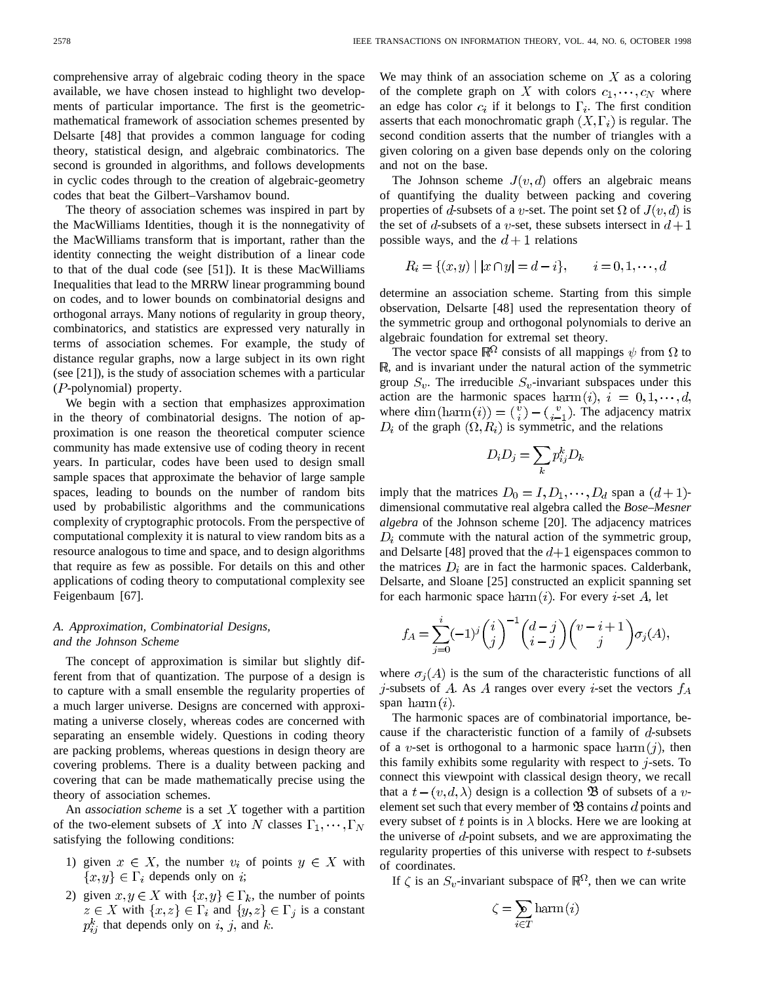comprehensive array of algebraic coding theory in the space available, we have chosen instead to highlight two developments of particular importance. The first is the geometricmathematical framework of association schemes presented by Delsarte [48] that provides a common language for coding theory, statistical design, and algebraic combinatorics. The second is grounded in algorithms, and follows developments in cyclic codes through to the creation of algebraic-geometry codes that beat the Gilbert–Varshamov bound.

The theory of association schemes was inspired in part by the MacWilliams Identities, though it is the nonnegativity of the MacWilliams transform that is important, rather than the identity connecting the weight distribution of a linear code to that of the dual code (see [51]). It is these MacWilliams Inequalities that lead to the MRRW linear programming bound on codes, and to lower bounds on combinatorial designs and orthogonal arrays. Many notions of regularity in group theory, combinatorics, and statistics are expressed very naturally in terms of association schemes. For example, the study of distance regular graphs, now a large subject in its own right (see [21]), is the study of association schemes with a particular  $(P$ -polynomial) property.

We begin with a section that emphasizes approximation in the theory of combinatorial designs. The notion of approximation is one reason the theoretical computer science community has made extensive use of coding theory in recent years. In particular, codes have been used to design small sample spaces that approximate the behavior of large sample spaces, leading to bounds on the number of random bits used by probabilistic algorithms and the communications complexity of cryptographic protocols. From the perspective of computational complexity it is natural to view random bits as a resource analogous to time and space, and to design algorithms that require as few as possible. For details on this and other applications of coding theory to computational complexity see Feigenbaum [67].

# *A. Approximation, Combinatorial Designs, and the Johnson Scheme*

The concept of approximation is similar but slightly different from that of quantization. The purpose of a design is to capture with a small ensemble the regularity properties of a much larger universe. Designs are concerned with approximating a universe closely, whereas codes are concerned with separating an ensemble widely. Questions in coding theory are packing problems, whereas questions in design theory are covering problems. There is a duality between packing and covering that can be made mathematically precise using the theory of association schemes.

An *association scheme* is a set  $X$  together with a partition of the two-element subsets of X into N classes  $\Gamma_1, \cdots, \Gamma_N$ satisfying the following conditions:

- 1) given  $x \in X$ , the number  $v_i$  of points  $y \in X$  with  $\{x,y\} \in \Gamma_i$  depends only on i;
- 2) given  $x, y \in X$  with  $\{x, y\} \in \Gamma_k$ , the number of points  $z \in X$  with  $\{x, z\} \in \Gamma_i$  and  $\{y, z\} \in \Gamma_j$  is a constant  $p_{ij}^k$  that depends only on i, j, and k.

We may think of an association scheme on  $X$  as a coloring of the complete graph on X with colors  $c_1, \dots, c_N$  where an edge has color  $c_i$  if it belongs to  $\Gamma_i$ . The first condition asserts that each monochromatic graph  $(X, \Gamma_i)$  is regular. The second condition asserts that the number of triangles with a given coloring on a given base depends only on the coloring and not on the base.

The Johnson scheme  $J(v, d)$  offers an algebraic means of quantifying the duality between packing and covering properties of d-subsets of a v-set. The point set  $\Omega$  of  $J(v, d)$  is the set of d-subsets of a v-set, these subsets intersect in  $d+1$ possible ways, and the  $d+1$  relations

$$
R_i = \{(x, y) \mid |x \cap y| = d - i\}, \qquad i = 0, 1, \dots, d
$$

determine an association scheme. Starting from this simple observation, Delsarte [48] used the representation theory of the symmetric group and orthogonal polynomials to derive an algebraic foundation for extremal set theory.

The vector space  $\mathbb{R}^{\Omega}$  consists of all mappings  $\psi$  from  $\Omega$  to R, and is invariant under the natural action of the symmetric group  $S_v$ . The irreducible  $S_v$ -invariant subspaces under this action are the harmonic spaces harm $(i)$ ,  $i = 0, 1, \dots, d$ , where  $\dim(\text{harm}(i)) = \binom{v}{i} - \binom{v}{i-1}$ . The adjacency matrix  $D_i$  of the graph  $(\Omega, R_i)$  is symmetric, and the relations

$$
D_i D_j = \sum_k p_{ij}^k D_k
$$

imply that the matrices  $D_0 = I, D_1, \dots, D_d$  span a  $(d+1)$ dimensional commutative real algebra called the *Bose–Mesner algebra* of the Johnson scheme [20]. The adjacency matrices  $D_i$  commute with the natural action of the symmetric group, and Delsarte [48] proved that the  $d+1$  eigenspaces common to the matrices  $D_i$  are in fact the harmonic spaces. Calderbank, Delsarte, and Sloane [25] constructed an explicit spanning set for each harmonic space harm  $(i)$ . For every *i*-set A, let

$$
f_A = \sum_{j=0}^{i} (-1)^j {i \choose j}^{-1} {d-j \choose i-j} {v-i+1 \choose j} \sigma_j(A),
$$

where  $\sigma_i(A)$  is the sum of the characteristic functions of all j-subsets of A. As A ranges over every *i*-set the vectors  $f_A$ span  $\text{harm}(i)$ .

The harmonic spaces are of combinatorial importance, because if the characteristic function of a family of  $d$ -subsets of a v-set is orthogonal to a harmonic space harm  $(i)$ , then this family exhibits some regularity with respect to  $j$ -sets. To connect this viewpoint with classical design theory, we recall that a  $t - (v, d, \lambda)$  design is a collection  $\mathfrak{B}$  of subsets of a velement set such that every member of  $\mathfrak B$  contains d points and every subset of t points is in  $\lambda$  blocks. Here we are looking at the universe of  $d$ -point subsets, and we are approximating the regularity properties of this universe with respect to  $t$ -subsets of coordinates.

If  $\zeta$  is an  $S_v$ -invariant subspace of  $\mathbb{R}^{\Omega}$ , then we can write

$$
\zeta = \sum_{i \in T} \operatorname{harm}(i)
$$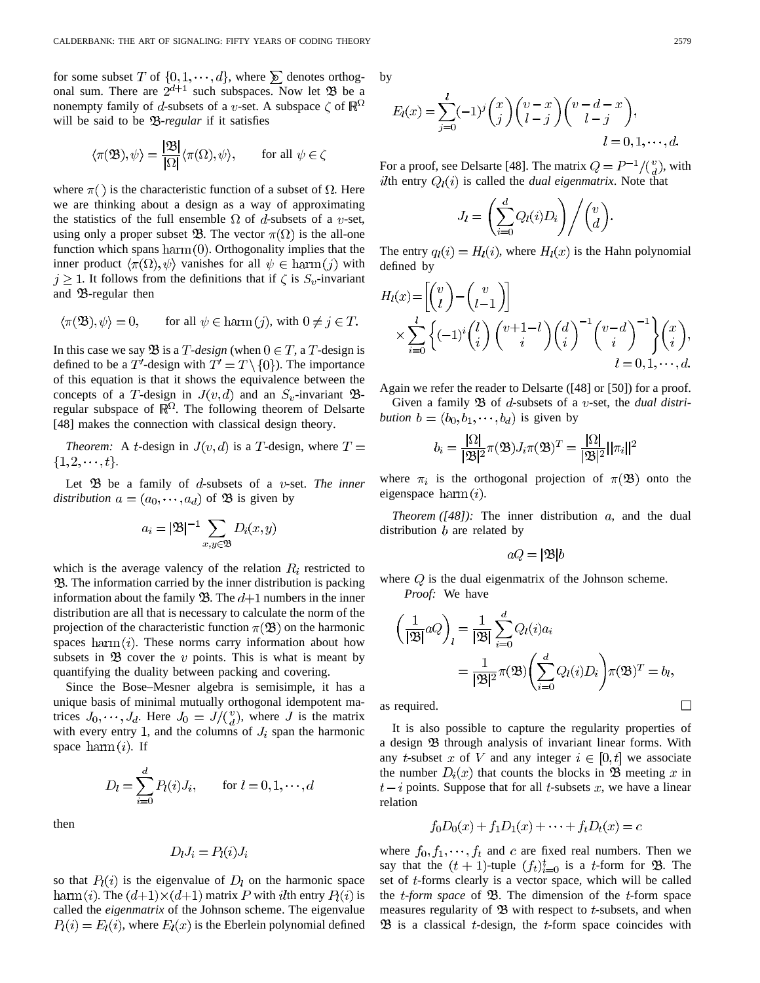for some subset T of  $\{0, 1, \dots, d\}$ , where  $\sum$  denotes orthogonal sum. There are  $2^{d+1}$  such subspaces. Now let  $\mathfrak{B}$  be a nonempty family of d-subsets of a v-set. A subspace  $\zeta$  of  $\mathbb{R}^{\Omega}$ will be said to be  $\mathcal{B}$ -regular if it satisfies

$$
\langle \pi(\mathfrak{B}), \psi \rangle = \frac{|\mathfrak{B}|}{|\Omega|} \langle \pi(\Omega), \psi \rangle
$$
, for all  $\psi \in \zeta$ 

where  $\pi$ () is the characteristic function of a subset of  $\Omega$ . Here we are thinking about a design as a way of approximating the statistics of the full ensemble  $\Omega$  of d-subsets of a v-set, using only a proper subset  $\mathfrak{B}$ . The vector  $\pi(\Omega)$  is the all-one function which spans  $ham(0)$ . Orthogonality implies that the inner product  $\langle \pi(\Omega), \psi \rangle$  vanishes for all  $\psi \in \text{harm}(j)$  with  $j \geq 1$ . It follows from the definitions that if  $\zeta$  is  $S_v$ -invariant and  $\mathfrak{B}$ -regular then

$$
\langle \pi(\mathfrak{B}), \psi \rangle = 0
$$
, for all  $\psi \in \text{harm}(j)$ , with  $0 \neq j \in T$ .

In this case we say  $\mathfrak{B}$  is a *T*-design (when  $0 \in T$ , a *T*-design is defined to be a  $T'$ -design with  $T' = T \setminus \{0\}$ . The importance of this equation is that it shows the equivalence between the concepts of a T-design in  $J(v,d)$  and an  $S_v$ -invariant  $\mathfrak{B}$ regular subspace of  $\mathbb{R}^{\Omega}$ . The following theorem of Delsarte [48] makes the connection with classical design theory.

*Theorem:* A *t*-design in  $J(v, d)$  is a T-design, where  $T =$  $\{1, 2, \cdots, t\}.$ 

Let  $\mathfrak B$  be a family of  $d$ -subsets of a  $v$ -set. *The inner distribution*  $a = (a_0, \dots, a_d)$  of  $\mathfrak{B}$  is given by

$$
a_i=|\mathfrak{B}|^{-1}\sum_{x,y\in\mathfrak{B}}D_i(x,y)
$$

which is the average valency of the relation  $R_i$  restricted to . The information carried by the inner distribution is packing information about the family  $\mathfrak{B}$ . The  $d+1$  numbers in the inner distribution are all that is necessary to calculate the norm of the projection of the characteristic function  $\pi(\mathfrak{B})$  on the harmonic spaces  $\text{harm}(i)$ . These norms carry information about how subsets in  $\mathfrak{B}$  cover the v points. This is what is meant by quantifying the duality between packing and covering.

Since the Bose–Mesner algebra is semisimple, it has a unique basis of minimal mutually orthogonal idempotent matrices  $J_0, \dots, J_d$ . Here  $J_0 = J/{\binom{v}{d}}$ , where J is the matrix with every entry 1, and the columns of  $J_i$  span the harmonic space  $\text{harm}(i)$ . If

$$
D_l = \sum_{i=0}^{d} P_l(i) J_i
$$
, for  $l = 0, 1, \dots, d$ 

then

$$
D_l J_i = P_l(i) J_i
$$

so that  $P_l(i)$  is the eigenvalue of  $D_l$  on the harmonic space harm (*i*). The  $(d+1) \times (d+1)$  matrix P with *ilth* entry  $P_l(i)$  is called the *eigenmatrix* of the Johnson scheme. The eigenvalue  $P_l(i) = E_l(i)$ , where  $E_l(x)$  is the Eberlein polynomial defined by

$$
E_l(x) = \sum_{j=0}^l (-1)^j {x \choose j} {v-x \choose l-j} {v-d-x \choose l-j},
$$
  

$$
l = 0, 1, \cdots, d.
$$

For a proof, see Delsarte [48]. The matrix  $Q = P^{-1} / {v \choose d}$ , with *il*th entry  $Q_l(i)$  is called the *dual eigenmatrix*. Note that

$$
J_l = \left(\sum_{i=0}^d Q_l(i)D_i\right) / \binom{v}{d}.
$$

 $\mathbf{1}$ 

The entry  $q_l(i) = H_l(i)$ , where  $H_l(x)$  is the Hahn polynomial defined by

$$
H_l(x) = \begin{bmatrix} v \\ l \end{bmatrix} - \begin{bmatrix} v \\ l-1 \end{bmatrix}
$$
  
 
$$
\times \sum_{i=0}^l \left\{ (-1)^i \binom{l}{i} \binom{v+1-l}{i} \binom{d}{i}^{-1} \binom{v-d}{i}^{-1} \right\} \binom{x}{i},
$$
  
 
$$
l = 0, 1, \dots, d.
$$

Again we refer the reader to Delsarte ([48] or [50]) for a proof. Given a family  $\mathfrak B$  of d-subsets of a v-set, the *dual distri*-

*bution*  $b = (b_0, b_1, \dots, b_d)$  is given by

$$
b_i = \frac{|\Omega|}{|\mathfrak{B}|^2} \pi(\mathfrak{B}) J_i \pi(\mathfrak{B})^T = \frac{|\Omega|}{|\mathfrak{B}|^2} ||\pi_i||^2
$$

where  $\pi_i$  is the orthogonal projection of  $\pi(\mathfrak{B})$  onto the eigenspace  $\text{harm}(i)$ .

*Theorem ([48]):* The inner distribution  $a$ , and the dual distribution  $b$  are related by

$$
aQ = |\mathfrak{B}|b
$$

where  $Q$  is the dual eigenmatrix of the Johnson scheme. *Proof:* We have

$$
\left(\frac{1}{|\mathfrak{B}|}aQ\right)_l = \frac{1}{|\mathfrak{B}|}\sum_{i=0}^d Q_l(i)a_i
$$
  
= 
$$
\frac{1}{|\mathfrak{B}|^2}\pi(\mathfrak{B})\left(\sum_{i=0}^d Q_l(i)D_i\right)\pi(\mathfrak{B})^T = b_l,
$$

as required.

It is also possible to capture the regularity properties of a design  $\mathfrak B$  through analysis of invariant linear forms. With any t-subset x of V and any integer  $i \in [0, t]$  we associate the number  $D_i(x)$  that counts the blocks in  $\mathfrak{B}$  meeting x in  $t - i$  points. Suppose that for all t-subsets x, we have a linear relation

$$
f_0 D_0(x) + f_1 D_1(x) + \dots + f_t D_t(x) = c
$$

where  $f_0, f_1, \dots, f_t$  and c are fixed real numbers. Then we say that the  $(t + 1)$ -tuple  $(f_t)_{i=0}^t$  is a *t*-form for  $\mathfrak{B}$ . The set of  $t$ -forms clearly is a vector space, which will be called the  $t$ -form space of  $\mathfrak{B}$ . The dimension of the  $t$ -form space measures regularity of  $\mathfrak{B}$  with respect to *t*-subsets, and when  $\mathfrak B$  is a classical *t*-design, the *t*-form space coincides with

 $\Box$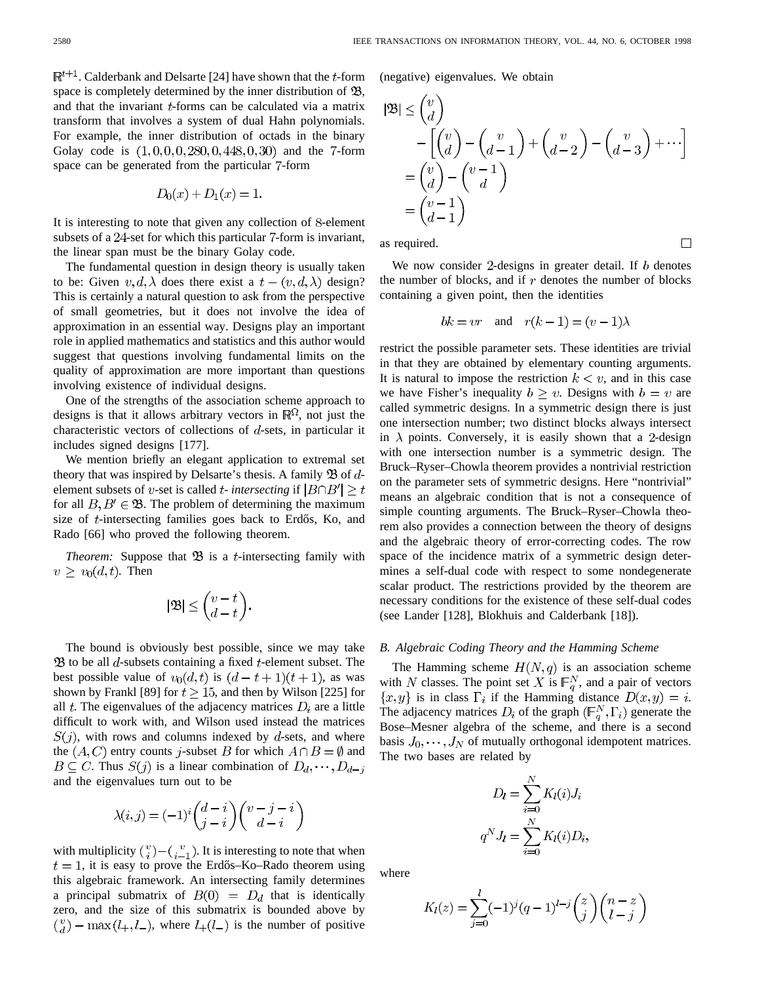$\mathbb{R}^{t+1}$ . Calderbank and Delsarte [24] have shown that the *t*-form space is completely determined by the inner distribution of  $\mathfrak{B},$ and that the invariant  $t$ -forms can be calculated via a matrix transform that involves a system of dual Hahn polynomials. For example, the inner distribution of octads in the binary Golay code is  $(1, 0, 0, 0, 280, 0, 448, 0, 30)$  and the 7-form space can be generated from the particular 7-form

$$
D_0(x) + D_1(x) = 1.
$$

It is interesting to note that given any collection of 8-element subsets of a 24-set for which this particular 7-form is invariant, the linear span must be the binary Golay code.

The fundamental question in design theory is usually taken to be: Given  $v, d, \lambda$  does there exist a  $t - (v, d, \lambda)$  design? This is certainly a natural question to ask from the perspective of small geometries, but it does not involve the idea of approximation in an essential way. Designs play an important role in applied mathematics and statistics and this author would suggest that questions involving fundamental limits on the quality of approximation are more important than questions involving existence of individual designs.

One of the strengths of the association scheme approach to designs is that it allows arbitrary vectors in  $\mathbb{R}^{\Omega}$ , not just the characteristic vectors of collections of  $d$ -sets, in particular it includes signed designs [177].

We mention briefly an elegant application to extremal set theory that was inspired by Delsarte's thesis. A family  $\mathfrak{B}$  of delement subsets of *v*-set is called *t*-*intersecting* if  $|B \cap B'| \ge t$ for all  $B, B' \in \mathfrak{B}$ . The problem of determining the maximum size of  $t$ -intersecting families goes back to Erdős, Ko, and Rado [66] who proved the following theorem.

*Theorem:* Suppose that  $\mathfrak{B}$  is a *t*-intersecting family with  $v \geq v_0(d,t)$ . Then

$$
|\mathfrak{B}| \leq {v-t \choose d-t}.
$$

The bound is obviously best possible, since we may take  $\mathfrak B$  to be all d-subsets containing a fixed t-element subset. The best possible value of  $v_0(d,t)$  is  $(d-t+1)(t+1)$ , as was shown by Frankl [89] for  $t \ge 15$ , and then by Wilson [225] for all t. The eigenvalues of the adjacency matrices  $D_i$  are a little difficult to work with, and Wilson used instead the matrices  $S(j)$ , with rows and columns indexed by d-sets, and where the  $(A, C)$  entry counts *j*-subset *B* for which  $A \cap B = \emptyset$  and  $B \subseteq C$ . Thus  $S(j)$  is a linear combination of  $D_d, \dots, D_{d-j}$ and the eigenvalues turn out to be

$$
\lambda(i,j) = (-1)^i \binom{d-i}{j-i} \binom{v-j-i}{d-i}
$$

with multiplicity  $\binom{v}{i} - \binom{v}{i-1}$ . It is interesting to note that when  $t = 1$ , it is easy to prove the Erdős–Ko–Rado theorem using this algebraic framework. An intersecting family determines a principal submatrix of  $B(0) = D_d$  that is identically zero, and the size of this submatrix is bounded above by  $\binom{v}{d}$  – max  $(l_+, l_-)$ , where  $l_+(l_-)$  is the number of positive (negative) eigenvalues. We obtain

 $\lambda$ 

$$
|\mathfrak{B}| \leq {v \choose d}
$$
  
\n
$$
- \left[ {v \choose d} - {v \choose d-1} + {v \choose d-2} - {v \choose d-3} + \cdots \right]
$$
  
\n
$$
= {v \choose d} - {v-1 \choose d}
$$
  
\n
$$
= {v-1 \choose d-1}
$$

as required.

We now consider 2-designs in greater detail. If  $b$  denotes the number of blocks, and if  $r$  denotes the number of blocks containing a given point, then the identities

 $\Box$ 

$$
bk = vr \quad \text{and} \quad r(k-1) = (v-1)\lambda
$$

restrict the possible parameter sets. These identities are trivial in that they are obtained by elementary counting arguments. It is natural to impose the restriction  $k < v$ , and in this case we have Fisher's inequality  $b \geq v$ . Designs with  $b = v$  are called symmetric designs. In a symmetric design there is just one intersection number; two distinct blocks always intersect in  $\lambda$  points. Conversely, it is easily shown that a 2-design with one intersection number is a symmetric design. The Bruck–Ryser–Chowla theorem provides a nontrivial restriction on the parameter sets of symmetric designs. Here "nontrivial" means an algebraic condition that is not a consequence of simple counting arguments. The Bruck–Ryser–Chowla theorem also provides a connection between the theory of designs and the algebraic theory of error-correcting codes. The row space of the incidence matrix of a symmetric design determines a self-dual code with respect to some nondegenerate scalar product. The restrictions provided by the theorem are necessary conditions for the existence of these self-dual codes (see Lander [128], Blokhuis and Calderbank [18]).

#### *B. Algebraic Coding Theory and the Hamming Scheme*

The Hamming scheme  $H(N, q)$  is an association scheme with N classes. The point set X is  $\mathbb{F}_q^N$ , and a pair of vectors  $\{x, y\}$  is in class  $\Gamma_i$  if the Hamming distance  $D(x, y) = i$ . The adjacency matrices  $D_i$  of the graph  $(\mathbb{F}_q^N, \Gamma_i)$  generate the Bose–Mesner algebra of the scheme, and there is a second basis  $J_0, \dots, J_N$  of mutually orthogonal idempotent matrices. The two bases are related by

$$
D_l = \sum_{i=0}^{N} K_l(i) J_i
$$
  

$$
q^N J_l = \sum_{i=0}^{N} K_l(i) D_i,
$$

where

$$
K_l(z) = \sum_{j=0}^l (-1)^j (q-1)^{l-j} {z \choose j} {n-z \choose l-j}
$$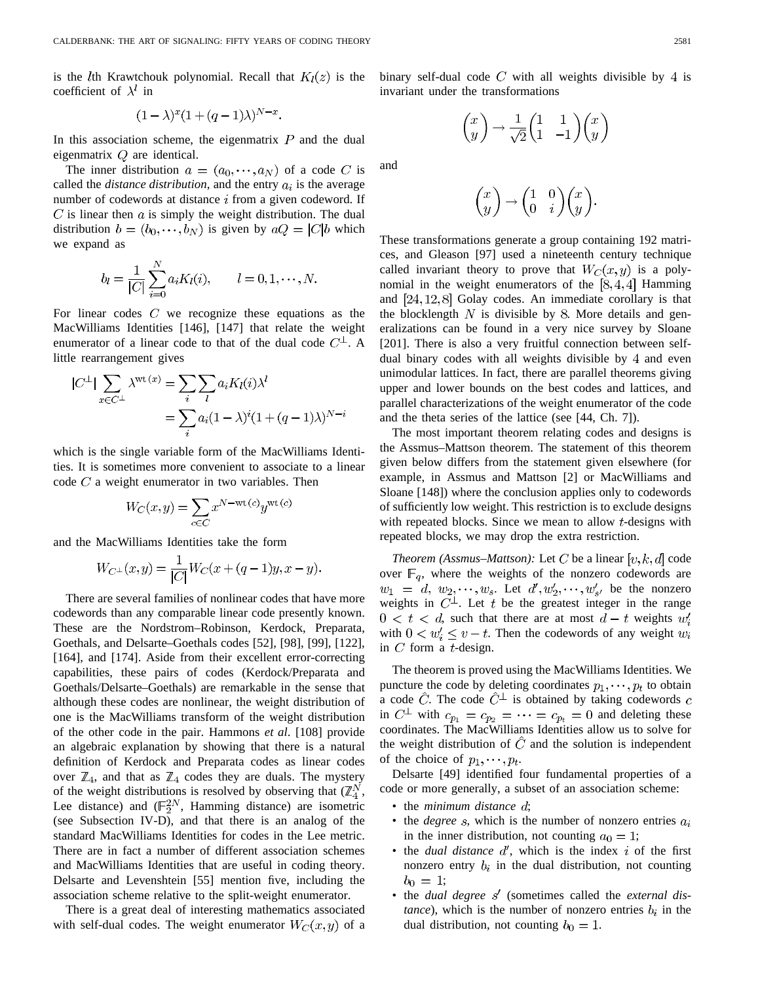is the *l*th Krawtchouk polynomial. Recall that  $K_l(z)$  is the coefficient of  $\lambda^l$  in

$$
(1 - \lambda)^x (1 + (q - 1)\lambda)^{N - x}.
$$

In this association scheme, the eigenmatrix  $P$  and the dual eigenmatrix  $Q$  are identical.

The inner distribution  $a = (a_0, \dots, a_N)$  of a code C is called the *distance distribution*, and the entry  $a_i$  is the average number of codewords at distance  $i$  from a given codeword. If  $C$  is linear then  $\alpha$  is simply the weight distribution. The dual distribution  $b = (b_0, \dots, b_N)$  is given by  $aQ = |C|b$  which we expand as

$$
b_l = \frac{1}{|C|} \sum_{i=0}^{N} a_i K_l(i), \qquad l = 0, 1, \cdots, N.
$$

For linear codes  $C$  we recognize these equations as the MacWilliams Identities [146], [147] that relate the weight enumerator of a linear code to that of the dual code  $C^{\perp}$ . A little rearrangement gives

$$
|C^{\perp}| \sum_{x \in C^{\perp}} \lambda^{\text{wt}(x)} = \sum_{i} \sum_{l} a_{i} K_{l}(i) \lambda^{l}
$$

$$
= \sum_{i} a_{i} (1 - \lambda)^{i} (1 + (q - 1)\lambda)^{N - i}
$$

which is the single variable form of the MacWilliams Identities. It is sometimes more convenient to associate to a linear code  $C$  a weight enumerator in two variables. Then

$$
W_C(x,y)=\sum_{c\in C}x^{N-{\rm wt\,}(c)}y^{{\rm wt\,}(c)}
$$

and the MacWilliams Identities take the form

$$
W_{C^{\perp}}(x,y) = \frac{1}{|C|}W_C(x + (q-1)y, x - y).
$$

There are several families of nonlinear codes that have more codewords than any comparable linear code presently known. These are the Nordstrom–Robinson, Kerdock, Preparata, Goethals, and Delsarte–Goethals codes [52], [98], [99], [122], [164], and [174]. Aside from their excellent error-correcting capabilities, these pairs of codes (Kerdock/Preparata and Goethals/Delsarte–Goethals) are remarkable in the sense that although these codes are nonlinear, the weight distribution of one is the MacWilliams transform of the weight distribution of the other code in the pair. Hammons *et al*. [108] provide an algebraic explanation by showing that there is a natural definition of Kerdock and Preparata codes as linear codes over  $\mathbb{Z}_4$ , and that as  $\mathbb{Z}_4$  codes they are duals. The mystery of the weight distributions is resolved by observing that  $(\mathbb{Z}_4^N, \mathbb{Z}_4^N)$ Lee distance) and  $(\mathbb{F}_2^2)^N$ , Hamming distance) are isometric (see Subsection IV-D), and that there is an analog of the standard MacWilliams Identities for codes in the Lee metric. There are in fact a number of different association schemes and MacWilliams Identities that are useful in coding theory. Delsarte and Levenshtein [55] mention five, including the association scheme relative to the split-weight enumerator.

There is a great deal of interesting mathematics associated with self-dual codes. The weight enumerator  $W_C(x, y)$  of a binary self-dual code  $C$  with all weights divisible by 4 is invariant under the transformations

$$
\begin{pmatrix} x \\ y \end{pmatrix} \rightarrow \frac{1}{\sqrt{2}} \begin{pmatrix} 1 & 1 \\ 1 & -1 \end{pmatrix} \begin{pmatrix} x \\ y \end{pmatrix}
$$

and

$$
\begin{pmatrix} x \\ y \end{pmatrix} \rightarrow \begin{pmatrix} 1 & 0 \\ 0 & i \end{pmatrix} \begin{pmatrix} x \\ y \end{pmatrix}.
$$

These transformations generate a group containing 192 matrices, and Gleason [97] used a nineteenth century technique called invariant theory to prove that  $W_C(x, y)$  is a polynomial in the weight enumerators of the  $[8,4,4]$  Hamming and  $[24, 12, 8]$  Golay codes. An immediate corollary is that the blocklength  $N$  is divisible by 8. More details and generalizations can be found in a very nice survey by Sloane [201]. There is also a very fruitful connection between selfdual binary codes with all weights divisible by  $4$  and even unimodular lattices. In fact, there are parallel theorems giving upper and lower bounds on the best codes and lattices, and parallel characterizations of the weight enumerator of the code and the theta series of the lattice (see [44, Ch. 7]).

The most important theorem relating codes and designs is the Assmus–Mattson theorem. The statement of this theorem given below differs from the statement given elsewhere (for example, in Assmus and Mattson [2] or MacWilliams and Sloane [148]) where the conclusion applies only to codewords of sufficiently low weight. This restriction is to exclude designs with repeated blocks. Since we mean to allow  $t$ -designs with repeated blocks, we may drop the extra restriction.

*Theorem (Assmus–Mattson):* Let C be a linear  $[v, k, d]$  code over  $\mathbb{F}_q$ , where the weights of the nonzero codewords are  $w_1 = d, w_2, \dots, w_s$ . Let  $d', w'_2, \dots, w'_{s'}$  be the nonzero weights in  $C^{\perp}$ . Let t be the greatest integer in the range  $0 \lt t \lt d$ , such that there are at most  $d-t$  weights  $w_i'$ with  $0 < w'_i \le v - t$ . Then the codewords of any weight  $w_i$ in  $C$  form a  $t$ -design.

The theorem is proved using the MacWilliams Identities. We puncture the code by deleting coordinates  $p_1, \dots, p_t$  to obtain a code  $\hat{C}$ . The code  $\hat{C}^{\perp}$  is obtained by taking codewords  $c$ in  $C^{\perp}$  with  $c_{p_1} = c_{p_2} = \cdots = c_{p_t} = 0$  and deleting these coordinates. The MacWilliams Identities allow us to solve for the weight distribution of  $\hat{C}$  and the solution is independent of the choice of  $p_1, \dots, p_t$ .

Delsarte [49] identified four fundamental properties of a code or more generally, a subset of an association scheme:

- $\bullet$  the *minimum distance*  $d$ ;
- the *degree*  $s$ , which is the number of nonzero entries  $a_i$ in the inner distribution, not counting  $a_0 = 1$ ;
- the *dual distance*  $d'$ , which is the index  $i$  of the first nonzero entry  $b_i$  in the dual distribution, not counting  $b_0 = 1;$
- the *dual degree* s' (sometimes called the *external distance*), which is the number of nonzero entries  $b_i$  in the dual distribution, not counting  $b_0 = 1$ .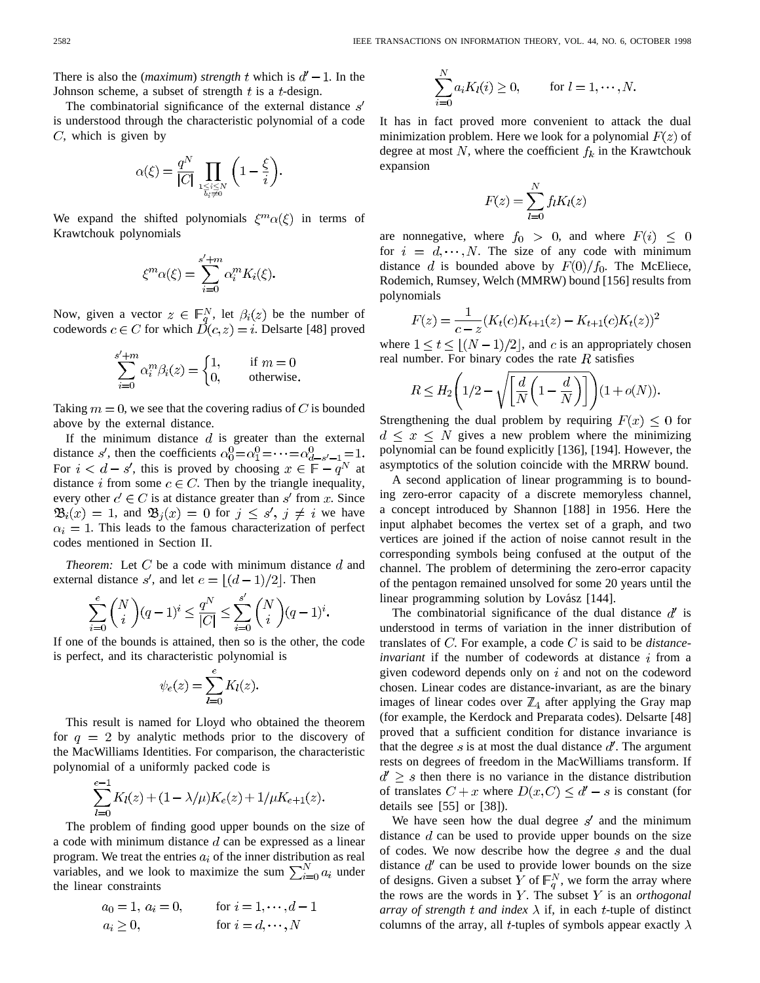There is also the *(maximum) strength* t which is  $d' - 1$ . In the Johnson scheme, a subset of strength  $t$  is a  $t$ -design.

The combinatorial significance of the external distance  $s'$ is understood through the characteristic polynomial of a code  $C$ , which is given by

$$
\alpha(\xi) = \frac{q^N}{|C|} \prod_{\stackrel{1 \leq i \leq N}{b_i \neq 0}} \bigg(1 - \frac{\xi}{i}\bigg).
$$

We expand the shifted polynomials  $\xi^m \alpha(\xi)$  in terms of Krawtchouk polynomials

$$
\xi^m \alpha(\xi) = \sum_{i=0}^{s'+m} \alpha_i^m K_i(\xi).
$$

Now, given a vector  $z \in \mathbb{F}_q^N$ , let  $\beta_i(z)$  be the number of codewords  $c \in C$  for which  $D(c, z) = i$ . Delsarte [48] proved

$$
\sum_{i=0}^{s'+m} \alpha_i^m \beta_i(z) = \begin{cases} 1, & \text{if } m = 0\\ 0, & \text{otherwise.} \end{cases}
$$

Taking  $m = 0$ , we see that the covering radius of C is bounded above by the external distance.

If the minimum distance  $d$  is greater than the external distance s', then the coefficients  $\alpha_0^0 = \alpha_1^0 = \cdots = \alpha_{d-s'-1}^0 = 1$ . For  $i < d - s'$ , this is proved by choosing  $x \in \mathbb{F} - q^N$  at distance i from some  $c \in C$ . Then by the triangle inequality, every other  $c' \in C$  is at distance greater than s' from x. Since  $\mathfrak{B}_i(x) = 1$ , and  $\mathfrak{B}_i(x) = 0$  for  $j \leq s'$ ,  $j \neq i$  we have  $\alpha_i = 1$ . This leads to the famous characterization of perfect codes mentioned in Section II.

*Theorem:* Let  $C$  be a code with minimum distance  $d$  and external distance s', and let  $e = \lfloor (d-1)/2 \rfloor$ . Then

$$
\sum_{i=0}^{e} \binom{N}{i} (q-1)^i \le \frac{q^N}{|C|} \le \sum_{i=0}^{s'} \binom{N}{i} (q-1)^i
$$

If one of the bounds is attained, then so is the other, the code is perfect, and its characteristic polynomial is

$$
\psi_e(z) = \sum_{l=0}^e K_l(z).
$$

This result is named for Lloyd who obtained the theorem for  $q = 2$  by analytic methods prior to the discovery of the MacWilliams Identities. For comparison, the characteristic polynomial of a uniformly packed code is

$$
\sum_{l=0}^{e-1} K_l(z) + (1 - \lambda/\mu) K_e(z) + 1/\mu K_{e+1}(z).
$$

The problem of finding good upper bounds on the size of a code with minimum distance  $d$  can be expressed as a linear program. We treat the entries  $a_i$  of the inner distribution as real variables, and we look to maximize the sum  $\sum_{i=0}^{N} a_i$  under the linear constraints

$$
a_0 = 1, a_i = 0, \qquad \text{for } i = 1, \dots, d - 1
$$
  

$$
a_i \ge 0, \qquad \text{for } i = d, \dots, N
$$

$$
\sum_{i=0}^{N} a_i K_l(i) \ge 0, \quad \text{for } l = 1, \dots, N.
$$

It has in fact proved more convenient to attack the dual minimization problem. Here we look for a polynomial  $F(z)$  of degree at most N, where the coefficient  $f_k$  in the Krawtchouk expansion

$$
F(z) = \sum_{l=0}^{N} f_l K_l(z)
$$

are nonnegative, where  $f_0 > 0$ , and where  $F(i) \leq 0$ for  $i = d, \dots, N$ . The size of any code with minimum distance d is bounded above by  $F(0)/f_0$ . The McEliece, Rodemich, Rumsey, Welch (MMRW) bound [156] results from polynomials

$$
F(z) = \frac{1}{c - z}(K_t(c)K_{t+1}(z) - K_{t+1}(c)K_t(z))^2
$$

where  $1 \le t \le |(N-1)/2|$ , and c is an appropriately chosen real number. For binary codes the rate  $R$  satisfies

$$
R \leq H_2 \left( 1/2 - \sqrt{\left[ \frac{d}{N} \left( 1 - \frac{d}{N} \right) \right]} \right) (1 + o(N)).
$$

Strengthening the dual problem by requiring  $F(x) \leq 0$  for  $d \leq x \leq N$  gives a new problem where the minimizing polynomial can be found explicitly [136], [194]. However, the asymptotics of the solution coincide with the MRRW bound.

A second application of linear programming is to bounding zero-error capacity of a discrete memoryless channel, a concept introduced by Shannon [188] in 1956. Here the input alphabet becomes the vertex set of a graph, and two vertices are joined if the action of noise cannot result in the corresponding symbols being confused at the output of the channel. The problem of determining the zero-error capacity of the pentagon remained unsolved for some 20 years until the linear programming solution by Lovász [144].

The combinatorial significance of the dual distance  $d'$  is understood in terms of variation in the inner distribution of translates of  $C$ . For example, a code  $C$  is said to be *distanceinvariant* if the number of codewords at distance  $i$  from a given codeword depends only on  $i$  and not on the codeword chosen. Linear codes are distance-invariant, as are the binary images of linear codes over  $\mathbb{Z}_4$  after applying the Gray map (for example, the Kerdock and Preparata codes). Delsarte [48] proved that a sufficient condition for distance invariance is that the degree s is at most the dual distance  $d'$ . The argument rests on degrees of freedom in the MacWilliams transform. If  $t \geq s$  then there is no variance in the distance distribution of translates  $C + x$  where  $D(x, C) \le d' - s$  is constant (for details see [55] or [38]).

We have seen how the dual degree  $s'$  and the minimum distance  $d$  can be used to provide upper bounds on the size of codes. We now describe how the degree  $s$  and the dual distance  $d'$  can be used to provide lower bounds on the size of designs. Given a subset  $\tilde{Y}$  of  $\mathbb{F}_q^N$ , we form the array where the rows are the words in  $Y$ . The subset  $Y$  is an *orthogonal array of strength t and index*  $\lambda$  if, in each *t*-tuple of distinct columns of the array, all t-tuples of symbols appear exactly  $\lambda$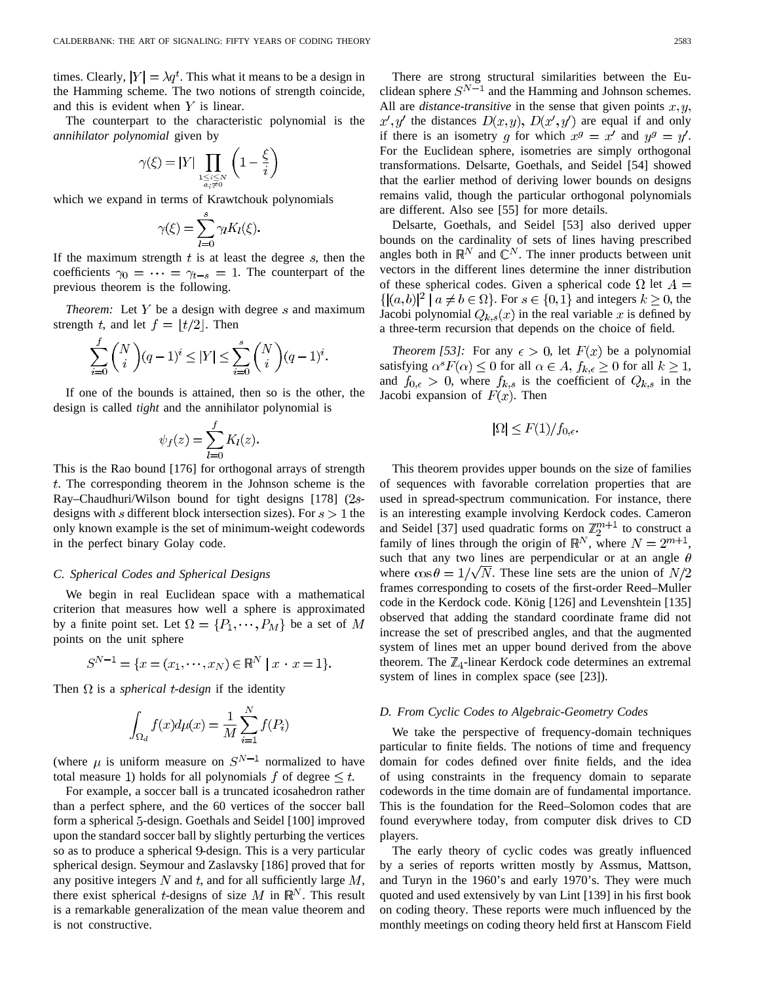times. Clearly,  $|Y| = \lambda q^t$ . This what it means to be a design in the Hamming scheme. The two notions of strength coincide, and this is evident when  $Y$  is linear.

The counterpart to the characteristic polynomial is the *annihilator polynomial* given by

$$
\gamma(\xi) = |Y| \prod_{\substack{1 \le i \le N \\ a_i \neq 0}} \left(1 - \frac{\xi}{i}\right)
$$

which we expand in terms of Krawtchouk polynomials

$$
\gamma(\xi) = \sum_{l=0}^{s} \gamma_l K_l(\xi).
$$

If the maximum strength  $t$  is at least the degree  $s$ , then the coefficients  $\gamma_0 = \cdots = \gamma_{t-s} = 1$ . The counterpart of the previous theorem is the following.

*Theorem:* Let  $Y$  be a design with degree  $s$  and maximum strength t, and let  $f = \lfloor t/2 \rfloor$ . Then

$$
\sum_{i=0}^{J} {N \choose i} (q-1)^{i} \le |Y| \le \sum_{i=0}^{s} {N \choose i} (q-1)^{i}
$$

If one of the bounds is attained, then so is the other, the design is called *tight* and the annihilator polynomial is

$$
\psi_f(z) = \sum_{l=0}^f K_l(z)
$$

This is the Rao bound [176] for orthogonal arrays of strength . The corresponding theorem in the Johnson scheme is the Ray–Chaudhuri/Wilson bound for tight designs  $[178]$  (2sdesigns with s different block intersection sizes). For  $s > 1$  the only known example is the set of minimum-weight codewords in the perfect binary Golay code.

### *C. Spherical Codes and Spherical Designs*

We begin in real Euclidean space with a mathematical criterion that measures how well a sphere is approximated by a finite point set. Let  $\Omega = \{P_1, \dots, P_M\}$  be a set of M points on the unit sphere

$$
S^{N-1} = \{x = (x_1, \cdots, x_N) \in \mathbb{R}^N \mid x \cdot x = 1\}.
$$

Then  $\Omega$  is a *spherical t-design* if the identity

$$
\int_{\Omega_d} f(x) d\mu(x) = \frac{1}{M} \sum_{i=1}^N f(P_i)
$$

(where  $\mu$  is uniform measure on  $S^{N-1}$  normalized to have total measure 1) holds for all polynomials f of degree  $\leq t$ .

For example, a soccer ball is a truncated icosahedron rather than a perfect sphere, and the 60 vertices of the soccer ball form a spherical 5-design. Goethals and Seidel [100] improved upon the standard soccer ball by slightly perturbing the vertices so as to produce a spherical 9-design. This is a very particular spherical design. Seymour and Zaslavsky [186] proved that for any positive integers  $N$  and  $t$ , and for all sufficiently large  $M$ , there exist spherical *t*-designs of size M in  $\mathbb{R}^N$ . This result is a remarkable generalization of the mean value theorem and is not constructive.

There are strong structural similarities between the Euclidean sphere  $S^{N-1}$  and the Hamming and Johnson schemes. All are *distance-transitive* in the sense that given points  $x, y$ ,  $x', y'$  the distances  $D(x, y), D(x', y')$  are equal if and only if there is an isometry g for which  $x^g = x'$  and  $y^g = y'$ . For the Euclidean sphere, isometries are simply orthogonal transformations. Delsarte, Goethals, and Seidel [54] showed that the earlier method of deriving lower bounds on designs remains valid, though the particular orthogonal polynomials are different. Also see [55] for more details.

Delsarte, Goethals, and Seidel [53] also derived upper bounds on the cardinality of sets of lines having prescribed angles both in  $\mathbb{R}^N$  and  $\mathbb{C}^N$ . The inner products between unit vectors in the different lines determine the inner distribution of these spherical codes. Given a spherical code  $\Omega$  let  $A =$  $\{ |(a,b)|^2 \mid a \neq b \in \Omega \}$ . For  $s \in \{0,1\}$  and integers  $k \geq 0$ , the Jacobi polynomial  $Q_{k,s}(x)$  in the real variable x is defined by a three-term recursion that depends on the choice of field.

*Theorem [53]:* For any  $\epsilon > 0$ , let  $F(x)$  be a polynomial satisfying  $\alpha^s F(\alpha) \leq 0$  for all  $\alpha \in A$ ,  $f_{k,\epsilon} \geq 0$  for all  $k \geq 1$ , and  $f_{0,\epsilon} > 0$ , where  $f_{k,s}$  is the coefficient of  $Q_{k,s}$  in the Jacobi expansion of  $F(x)$ . Then

$$
|\Omega| \leq F(1)/f_{0,\epsilon}.
$$

This theorem provides upper bounds on the size of families of sequences with favorable correlation properties that are used in spread-spectrum communication. For instance, there is an interesting example involving Kerdock codes. Cameron and Seidel [37] used quadratic forms on  $\mathbb{Z}_2^{m+1}$  to construct a family of lines through the origin of  $\mathbb{R}^N$ , where  $N = 2^{m+1}$ , such that any two lines are perpendicular or at an angle  $\theta$ where  $\cos \theta = 1/\sqrt{N}$ . These line sets are the union of  $N/2$ frames corresponding to cosets of the first-order Reed–Muller code in the Kerdock code. König [126] and Levenshtein [135] observed that adding the standard coordinate frame did not increase the set of prescribed angles, and that the augmented system of lines met an upper bound derived from the above theorem. The  $\mathbb{Z}_4$ -linear Kerdock code determines an extremal system of lines in complex space (see [23]).

## *D. From Cyclic Codes to Algebraic-Geometry Codes*

We take the perspective of frequency-domain techniques particular to finite fields. The notions of time and frequency domain for codes defined over finite fields, and the idea of using constraints in the frequency domain to separate codewords in the time domain are of fundamental importance. This is the foundation for the Reed–Solomon codes that are found everywhere today, from computer disk drives to CD players.

The early theory of cyclic codes was greatly influenced by a series of reports written mostly by Assmus, Mattson, and Turyn in the 1960's and early 1970's. They were much quoted and used extensively by van Lint [139] in his first book on coding theory. These reports were much influenced by the monthly meetings on coding theory held first at Hanscom Field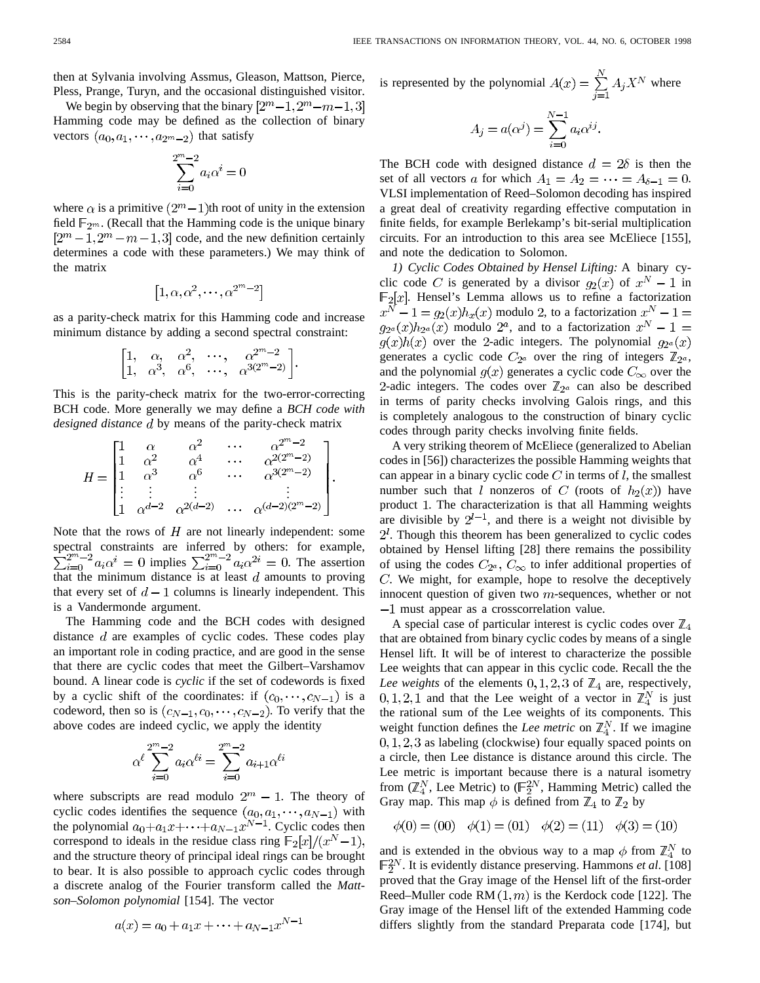then at Sylvania involving Assmus, Gleason, Mattson, Pierce, Pless, Prange, Turyn, and the occasional distinguished visitor.

We begin by observing that the binary  $[2^m-1, 2^m-m-1, 3]$ Hamming code may be defined as the collection of binary vectors  $(a_0, a_1, \dots, a_{2^m-2})$  that satisfy

$$
\sum_{i=0}^{2^m-2} a_i \alpha^i = 0
$$

where  $\alpha$  is a primitive  $(2^m - 1)$ th root of unity in the extension field  $\mathbb{F}_{2^m}$ . (Recall that the Hamming code is the unique binary  $[2^m - 1, 2^m - m - 1, 3]$  code, and the new definition certainly determines a code with these parameters.) We may think of the matrix

$$
\left[1, \alpha, \alpha^2, \cdots, \alpha^{2^m-2}\right]
$$

as a parity-check matrix for this Hamming code and increase minimum distance by adding a second spectral constraint:

$$
\begin{bmatrix} 1, & \alpha, & \alpha^2, & \cdots, & \alpha^{2^m-2} \\ 1, & \alpha^3, & \alpha^6, & \cdots, & \alpha^{3(2^m-2)} \end{bmatrix}.
$$

This is the parity-check matrix for the two-error-correcting BCH code. More generally we may define a *BCH code with designed distance d* by means of the parity-check matrix

$$
H = \begin{bmatrix} 1 & \alpha & \alpha^2 & \cdots & \alpha^{2^m-2} \\ 1 & \alpha^2 & \alpha^4 & \cdots & \alpha^{2(2^m-2)} \\ 1 & \alpha^3 & \alpha^6 & \cdots & \alpha^{3(2^m-2)} \\ \vdots & \vdots & \vdots & & \vdots \\ 1 & \alpha^{d-2} & \alpha^{2(d-2)} & \cdots & \alpha^{(d-2)(2^m-2)} \end{bmatrix}.
$$

Note that the rows of  $H$  are not linearly independent: some spectral constraints are inferred by others: for example, implies  $\sum_{i=0}^{\infty} a_i \alpha^{2i} = 0$ . The assertion that the minimum distance is at least  $d$  amounts to proving that every set of  $d-1$  columns is linearly independent. This is a Vandermonde argument.

The Hamming code and the BCH codes with designed distance  $d$  are examples of cyclic codes. These codes play an important role in coding practice, and are good in the sense that there are cyclic codes that meet the Gilbert–Varshamov bound. A linear code is *cyclic* if the set of codewords is fixed by a cyclic shift of the coordinates: if  $(c_0, \dots, c_{N-1})$  is a codeword, then so is  $(c_{N-1}, c_0, \dots, c_{N-2})$ . To verify that the above codes are indeed cyclic, we apply the identity

$$
\alpha^{\ell}\sum_{i=0}^{2^m-2}a_i\alpha^{\ell i}=\sum_{i=0}^{2^m-2}a_{i+1}\alpha^{\ell i}
$$

where subscripts are read modulo  $2^m - 1$ . The theory of cyclic codes identifies the sequence  $(a_0, a_1, \dots, a_{N-1})$  with the polynomial  $a_0 + a_1 x + \cdots + a_{N-1} x^{N-1}$ . Cyclic codes then correspond to ideals in the residue class ring  $\mathbb{F}_2[x]/(x^N-1)$ . and the structure theory of principal ideal rings can be brought to bear. It is also possible to approach cyclic codes through a discrete analog of the Fourier transform called the *Mattson–Solomon polynomial* [154]. The vector

$$
a(x) = a_0 + a_1 x + \dots + a_{N-1} x^{N-1}
$$

is represented by the polynomial 
$$
A(x) = \sum_{j=1}^{N} A_j X^N
$$
 where

$$
A_j = a(\alpha^j) = \sum_{i=0}^{N-1} a_i \alpha^{ij}.
$$

The BCH code with designed distance  $d = 2\delta$  is then the set of all vectors a for which  $A_1 = A_2 = \cdots = A_{\delta-1} = 0$ . VLSI implementation of Reed–Solomon decoding has inspired a great deal of creativity regarding effective computation in finite fields, for example Berlekamp's bit-serial multiplication circuits. For an introduction to this area see McEliece [155], and note the dedication to Solomon.

*1) Cyclic Codes Obtained by Hensel Lifting:* A binary cyclic code C is generated by a divisor  $g_2(x)$  of  $x^N - 1$  in  $\mathbb{F}_2[x]$ . Hensel's Lemma allows us to refine a factorization  $x^N - 1 = g_2(x)h_x(x)$  modulo 2, to a factorization  $x^N - 1 =$  $g_{2^a}(x)h_{2^a}(x)$  modulo  $2^a$ , and to a factorization  $x^N-1=$  $g(x)h(x)$  over the 2-adic integers. The polynomial  $g_{2<sup>a</sup>}(x)$ generates a cyclic code  $C_{2^a}$  over the ring of integers  $\mathbb{Z}_{2^a}$ , and the polynomial  $g(x)$  generates a cyclic code  $C_{\infty}$  over the 2-adic integers. The codes over  $\mathbb{Z}_{2^a}$  can also be described in terms of parity checks involving Galois rings, and this is completely analogous to the construction of binary cyclic codes through parity checks involving finite fields.

A very striking theorem of McEliece (generalized to Abelian codes in [56]) characterizes the possible Hamming weights that can appear in a binary cyclic code  $C$  in terms of  $l$ , the smallest number such that *l* nonzeros of *C* (roots of  $h_2(x)$ ) have product 1. The characterization is that all Hamming weights are divisible by  $2^{l-1}$ , and there is a weight not divisible by  $2<sup>l</sup>$ . Though this theorem has been generalized to cyclic codes obtained by Hensel lifting [28] there remains the possibility of using the codes  $C_{2^a}$ ,  $C_{\infty}$  to infer additional properties of . We might, for example, hope to resolve the deceptively innocent question of given two  $m$ -sequences, whether or not  $-1$  must appear as a crosscorrelation value.

A special case of particular interest is cyclic codes over  $\mathbb{Z}_4$ that are obtained from binary cyclic codes by means of a single Hensel lift. It will be of interest to characterize the possible Lee weights that can appear in this cyclic code. Recall the the Lee weights of the elements  $0, 1, 2, 3$  of  $\mathbb{Z}_4$  are, respectively,  $0, 1, 2, 1$  and that the Lee weight of a vector in  $\mathbb{Z}_4^N$  is just the rational sum of the Lee weights of its components. This weight function defines the *Lee metric* on  $\mathbb{Z}_4^N$ . If we imagine  $0, 1, 2, 3$  as labeling (clockwise) four equally spaced points on a circle, then Lee distance is distance around this circle. The Lee metric is important because there is a natural isometry from  $(\mathbb{Z}_4^N)$ , Lee Metric) to  $(\mathbb{F}_2^{2N})$ , Hamming Metric) called the Gray map. This map  $\phi$  is defined from  $\mathbb{Z}_4$  to  $\mathbb{Z}_2$  by

$$
\phi(0) = (00) \quad \phi(1) = (01) \quad \phi(2) = (11) \quad \phi(3) = (10)
$$

and is extended in the obvious way to a map  $\phi$  from  $\mathbb{Z}_4^N$  to  $\mathbb{F}_2^{2N}$ . It is evidently distance preserving. Hammons *et al.* [108] proved that the Gray image of the Hensel lift of the first-order Reed–Muller code RM  $(1, m)$  is the Kerdock code [122]. The Gray image of the Hensel lift of the extended Hamming code differs slightly from the standard Preparata code [174], but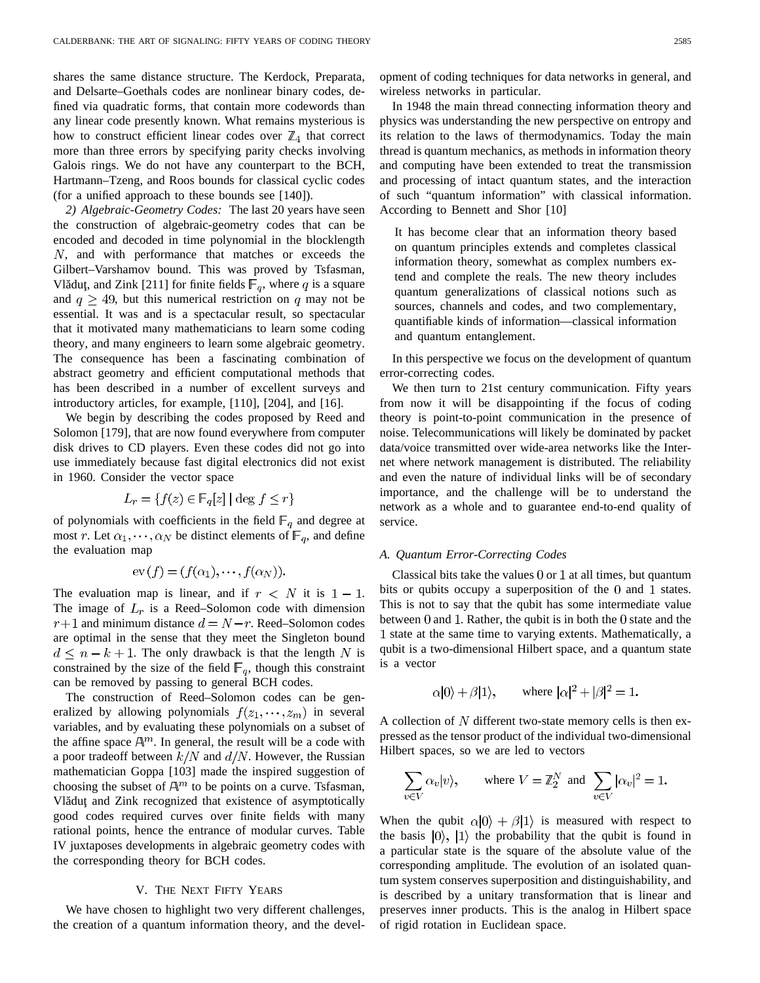shares the same distance structure. The Kerdock, Preparata, and Delsarte–Goethals codes are nonlinear binary codes, defined via quadratic forms, that contain more codewords than any linear code presently known. What remains mysterious is how to construct efficient linear codes over  $\mathbb{Z}_4$  that correct more than three errors by specifying parity checks involving Galois rings. We do not have any counterpart to the BCH, Hartmann–Tzeng, and Roos bounds for classical cyclic codes (for a unified approach to these bounds see [140]).

*2) Algebraic-Geometry Codes:* The last 20 years have seen the construction of algebraic-geometry codes that can be encoded and decoded in time polynomial in the blocklength N, and with performance that matches or exceeds the Gilbert–Varshamov bound. This was proved by Tsfasman, Vlăduț, and Zink [211] for finite fields  $\mathbb{F}_q$ , where q is a square and  $q \ge 49$ , but this numerical restriction on q may not be essential. It was and is a spectacular result, so spectacular that it motivated many mathematicians to learn some coding theory, and many engineers to learn some algebraic geometry. The consequence has been a fascinating combination of abstract geometry and efficient computational methods that has been described in a number of excellent surveys and introductory articles, for example, [110], [204], and [16].

We begin by describing the codes proposed by Reed and Solomon [179], that are now found everywhere from computer disk drives to CD players. Even these codes did not go into use immediately because fast digital electronics did not exist in 1960. Consider the vector space

$$
L_r = \{ f(z) \in \mathbb{F}_q[z] \mid \text{deg } f \le r \}
$$

of polynomials with coefficients in the field  $\mathbb{F}_q$  and degree at most r. Let  $\alpha_1, \dots, \alpha_N$  be distinct elements of  $\mathbb{F}_q$ , and define the evaluation map

$$
\operatorname{ev}(f)=(f(\alpha_1),\cdots,f(\alpha_N)).
$$

The evaluation map is linear, and if  $r < N$  it is  $1 - 1$ . The image of  $L<sub>r</sub>$  is a Reed–Solomon code with dimension  $r+1$  and minimum distance  $d = N - r$ . Reed–Solomon codes are optimal in the sense that they meet the Singleton bound  $d \leq n - k + 1$ . The only drawback is that the length N is constrained by the size of the field  $\mathbb{F}_q$ , though this constraint can be removed by passing to general BCH codes.

The construction of Reed–Solomon codes can be generalized by allowing polynomials  $f(z_1, \dots, z_m)$  in several variables, and by evaluating these polynomials on a subset of the affine space  $A^m$ . In general, the result will be a code with a poor tradeoff between  $k/N$  and  $d/N$ . However, the Russian mathematician Goppa [103] made the inspired suggestion of choosing the subset of  $A<sup>m</sup>$  to be points on a curve. Tsfasman, Vlăduț and Zink recognized that existence of asymptotically good codes required curves over finite fields with many rational points, hence the entrance of modular curves. Table IV juxtaposes developments in algebraic geometry codes with the corresponding theory for BCH codes.

## V. THE NEXT FIFTY YEARS

We have chosen to highlight two very different challenges, the creation of a quantum information theory, and the development of coding techniques for data networks in general, and wireless networks in particular.

In 1948 the main thread connecting information theory and physics was understanding the new perspective on entropy and its relation to the laws of thermodynamics. Today the main thread is quantum mechanics, as methods in information theory and computing have been extended to treat the transmission and processing of intact quantum states, and the interaction of such "quantum information" with classical information. According to Bennett and Shor [10]

It has become clear that an information theory based on quantum principles extends and completes classical information theory, somewhat as complex numbers extend and complete the reals. The new theory includes quantum generalizations of classical notions such as sources, channels and codes, and two complementary, quantifiable kinds of information—classical information and quantum entanglement.

In this perspective we focus on the development of quantum error-correcting codes.

We then turn to 21st century communication. Fifty years from now it will be disappointing if the focus of coding theory is point-to-point communication in the presence of noise. Telecommunications will likely be dominated by packet data/voice transmitted over wide-area networks like the Internet where network management is distributed. The reliability and even the nature of individual links will be of secondary importance, and the challenge will be to understand the network as a whole and to guarantee end-to-end quality of service.

# *A. Quantum Error-Correcting Codes*

Classical bits take the values  $0$  or  $1$  at all times, but quantum bits or qubits occupy a superposition of the  $\theta$  and  $\theta$  states. This is not to say that the qubit has some intermediate value between  $0$  and  $1$ . Rather, the qubit is in both the  $0$  state and the 1 state at the same time to varying extents. Mathematically, a qubit is a two-dimensional Hilbert space, and a quantum state is a vector

$$
\alpha|0\rangle + \beta|1\rangle
$$
, where  $|\alpha|^2 + |\beta|^2 = 1$ .

A collection of  $N$  different two-state memory cells is then expressed as the tensor product of the individual two-dimensional Hilbert spaces, so we are led to vectors

$$
\sum_{v \in V} \alpha_v |v\rangle, \quad \text{where } V = \mathbb{Z}_2^N \text{ and } \sum_{v \in V} |\alpha_v|^2 = 1.
$$

When the qubit  $\alpha|0\rangle + \beta|1\rangle$  is measured with respect to the basis  $|0\rangle$ ,  $|1\rangle$  the probability that the qubit is found in a particular state is the square of the absolute value of the corresponding amplitude. The evolution of an isolated quantum system conserves superposition and distinguishability, and is described by a unitary transformation that is linear and preserves inner products. This is the analog in Hilbert space of rigid rotation in Euclidean space.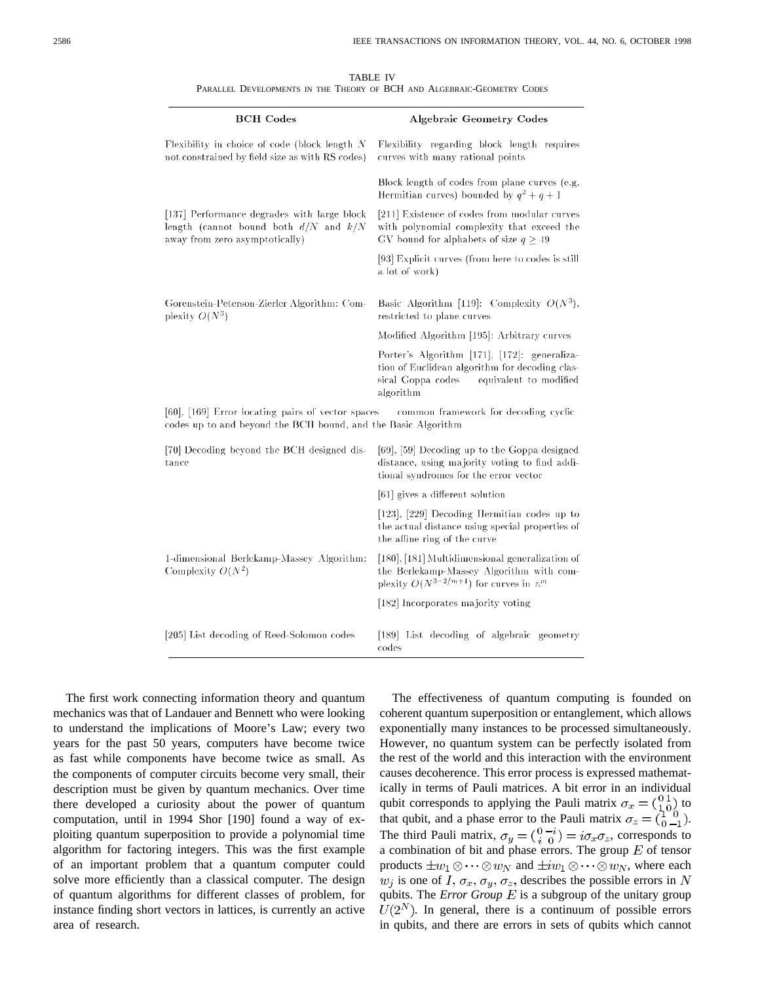| <b>BCH</b> Codes                                                                                                           | <b>Algebraic Geometry Codes</b>                                                                                                                            |  |  |  |
|----------------------------------------------------------------------------------------------------------------------------|------------------------------------------------------------------------------------------------------------------------------------------------------------|--|--|--|
| Flexibility in choice of code (block length $N$<br>not constrained by field size as with RS codes)                         | Flexibility regarding block length requires<br>curves with many rational points                                                                            |  |  |  |
|                                                                                                                            | Block length of codes from plane curves (e.g.<br>Hermitian curves) bounded by $q^2 + q + 1$                                                                |  |  |  |
| [137] Performance degrades with large block<br>length (cannot bound both $d/N$ and $k/N$<br>away from zero asymptotically) | [211] Existence of codes from modular curves<br>with polynomial complexity that exceed the<br>GV bound for alphabets of size $q \ge 49$                    |  |  |  |
|                                                                                                                            | [93] Explicit curves (from here to codes is still<br>a lot of work)                                                                                        |  |  |  |
| Gorenstein-Peterson-Zierler Algorithm: Com-<br>plexity $O(N^3)$                                                            | Basic Algorithm [119]: Complexity $O(N^3)$ ,<br>restricted to plane curves                                                                                 |  |  |  |
|                                                                                                                            | Modified Algorithm [195]: Arbitrary curves                                                                                                                 |  |  |  |
|                                                                                                                            | Porter's Algorithm [171], [172]: generaliza-<br>tion of Euclidean algorithm for decoding clas-<br>equivalent to modified<br>sical Goppa codes<br>algorithm |  |  |  |
| $[60]$ , $[169]$ Error locating pairs of vector spaces<br>codes up to and beyond the BCII bound, and the Basic Algorithm   | common framework for decoding cyclic                                                                                                                       |  |  |  |
| [70] Decoding beyond the BCH designed dis-<br>tance                                                                        | [69], [59] Decoding up to the Goppa designed<br>distance, using majority voting to find addi-<br>tional syndromes for the error vector                     |  |  |  |
|                                                                                                                            | [61] gives a different solution                                                                                                                            |  |  |  |
|                                                                                                                            | [123], [229] Decoding Hermitian codes up to<br>the actual distance using special properties of<br>the affine ring of the curve                             |  |  |  |
| 1-dimensional Berlekamp-Massey Algorithm:<br>Complexity $O(N^2)$                                                           | [180], [181] Multidimensional generalization of<br>the Berlekamp-Massey Algorithm with com-<br>plexity $O(N^{3-2/m+1})$ for curves in $\mathbb{A}^m$       |  |  |  |
|                                                                                                                            | [182] Incorporates majority voting                                                                                                                         |  |  |  |
| [205] List decoding of Reed-Solomon codes                                                                                  | [189] List decoding of algebraic geometry<br>codes                                                                                                         |  |  |  |

TABLE IV PARALLEL DEVELOPMENTS IN THE THEORY OF BCH AND ALGEBRAIC-GEOMETRY CODES

The first work connecting information theory and quantum mechanics was that of Landauer and Bennett who were looking to understand the implications of Moore's Law; every two years for the past 50 years, computers have become twice as fast while components have become twice as small. As the components of computer circuits become very small, their description must be given by quantum mechanics. Over time there developed a curiosity about the power of quantum computation, until in 1994 Shor [190] found a way of exploiting quantum superposition to provide a polynomial time algorithm for factoring integers. This was the first example of an important problem that a quantum computer could solve more efficiently than a classical computer. The design of quantum algorithms for different classes of problem, for instance finding short vectors in lattices, is currently an active area of research.

The effectiveness of quantum computing is founded on coherent quantum superposition or entanglement, which allows exponentially many instances to be processed simultaneously. However, no quantum system can be perfectly isolated from the rest of the world and this interaction with the environment causes decoherence. This error process is expressed mathematically in terms of Pauli matrices. A bit error in an individual qubit corresponds to applying the Pauli matrix  $\sigma_x = \begin{pmatrix} 0 & 1 \\ 1 & 0 \end{pmatrix}$  to that qubit, and a phase error to the Pauli matrix  $\sigma_z = (\begin{smallmatrix} 1 & 0 \\ 0 & -1 \end{smallmatrix})$ . The third Pauli matrix,  $\sigma_y = \begin{pmatrix} 0 & -i \\ i & 0 \end{pmatrix} = i\sigma_x \sigma_z$ , corresponds to a combination of bit and phase errors. The group  $E$  of tensor products  $\pm w_1 \otimes \cdots \otimes w_N$  and  $\pm iw_1 \otimes \cdots \otimes w_N$ , where each  $w_j$  is one of  $I, \sigma_x, \sigma_y, \sigma_z$ , describes the possible errors in N qubits. The *Error Group*  $E$  is a subgroup of the unitary group  $U(2^N)$ . In general, there is a continuum of possible errors in qubits, and there are errors in sets of qubits which cannot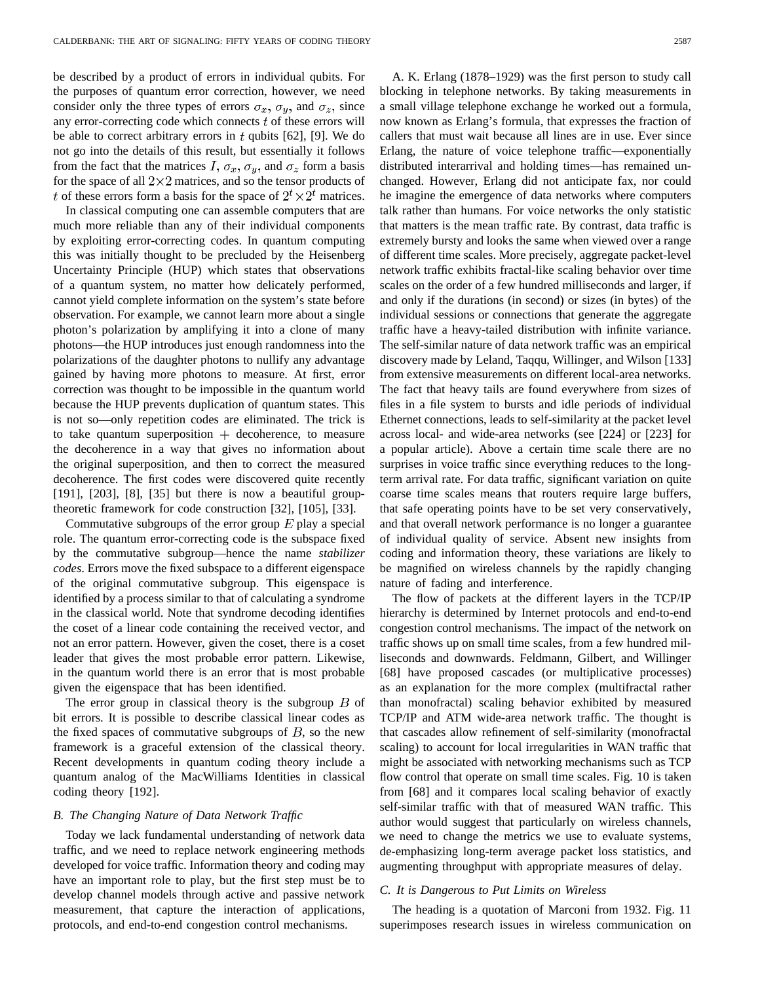be described by a product of errors in individual qubits. For the purposes of quantum error correction, however, we need consider only the three types of errors  $\sigma_x$ ,  $\sigma_y$ , and  $\sigma_z$ , since any error-correcting code which connects  $t$  of these errors will be able to correct arbitrary errors in  $t$  qubits [62], [9]. We do not go into the details of this result, but essentially it follows from the fact that the matrices  $I, \sigma_x, \sigma_y$ , and  $\sigma_z$  form a basis for the space of all  $2\times 2$  matrices, and so the tensor products of t of these errors form a basis for the space of  $2^t \times 2^t$  matrices.

In classical computing one can assemble computers that are much more reliable than any of their individual components by exploiting error-correcting codes. In quantum computing this was initially thought to be precluded by the Heisenberg Uncertainty Principle (HUP) which states that observations of a quantum system, no matter how delicately performed, cannot yield complete information on the system's state before observation. For example, we cannot learn more about a single photon's polarization by amplifying it into a clone of many photons—the HUP introduces just enough randomness into the polarizations of the daughter photons to nullify any advantage gained by having more photons to measure. At first, error correction was thought to be impossible in the quantum world because the HUP prevents duplication of quantum states. This is not so—only repetition codes are eliminated. The trick is to take quantum superposition  $+$  decoherence, to measure the decoherence in a way that gives no information about the original superposition, and then to correct the measured decoherence. The first codes were discovered quite recently  $[191]$ ,  $[203]$ ,  $[8]$ ,  $[35]$  but there is now a beautiful grouptheoretic framework for code construction [32], [105], [33].

Commutative subgroups of the error group  $E$  play a special role. The quantum error-correcting code is the subspace fixed by the commutative subgroup—hence the name *stabilizer codes*. Errors move the fixed subspace to a different eigenspace of the original commutative subgroup. This eigenspace is identified by a process similar to that of calculating a syndrome in the classical world. Note that syndrome decoding identifies the coset of a linear code containing the received vector, and not an error pattern. However, given the coset, there is a coset leader that gives the most probable error pattern. Likewise, in the quantum world there is an error that is most probable given the eigenspace that has been identified.

The error group in classical theory is the subgroup  $B$  of bit errors. It is possible to describe classical linear codes as the fixed spaces of commutative subgroups of  $B$ , so the new framework is a graceful extension of the classical theory. Recent developments in quantum coding theory include a quantum analog of the MacWilliams Identities in classical coding theory [192].

### *B. The Changing Nature of Data Network Traffic*

Today we lack fundamental understanding of network data traffic, and we need to replace network engineering methods developed for voice traffic. Information theory and coding may have an important role to play, but the first step must be to develop channel models through active and passive network measurement, that capture the interaction of applications, protocols, and end-to-end congestion control mechanisms.

A. K. Erlang (1878–1929) was the first person to study call blocking in telephone networks. By taking measurements in a small village telephone exchange he worked out a formula, now known as Erlang's formula, that expresses the fraction of callers that must wait because all lines are in use. Ever since Erlang, the nature of voice telephone traffic—exponentially distributed interarrival and holding times—has remained unchanged. However, Erlang did not anticipate fax, nor could he imagine the emergence of data networks where computers talk rather than humans. For voice networks the only statistic that matters is the mean traffic rate. By contrast, data traffic is extremely bursty and looks the same when viewed over a range of different time scales. More precisely, aggregate packet-level network traffic exhibits fractal-like scaling behavior over time scales on the order of a few hundred milliseconds and larger, if and only if the durations (in second) or sizes (in bytes) of the individual sessions or connections that generate the aggregate traffic have a heavy-tailed distribution with infinite variance. The self-similar nature of data network traffic was an empirical discovery made by Leland, Taqqu, Willinger, and Wilson [133] from extensive measurements on different local-area networks. The fact that heavy tails are found everywhere from sizes of files in a file system to bursts and idle periods of individual Ethernet connections, leads to self-similarity at the packet level across local- and wide-area networks (see [224] or [223] for a popular article). Above a certain time scale there are no surprises in voice traffic since everything reduces to the longterm arrival rate. For data traffic, significant variation on quite coarse time scales means that routers require large buffers, that safe operating points have to be set very conservatively, and that overall network performance is no longer a guarantee of individual quality of service. Absent new insights from coding and information theory, these variations are likely to be magnified on wireless channels by the rapidly changing nature of fading and interference.

The flow of packets at the different layers in the TCP/IP hierarchy is determined by Internet protocols and end-to-end congestion control mechanisms. The impact of the network on traffic shows up on small time scales, from a few hundred milliseconds and downwards. Feldmann, Gilbert, and Willinger [68] have proposed cascades (or multiplicative processes) as an explanation for the more complex (multifractal rather than monofractal) scaling behavior exhibited by measured TCP/IP and ATM wide-area network traffic. The thought is that cascades allow refinement of self-similarity (monofractal scaling) to account for local irregularities in WAN traffic that might be associated with networking mechanisms such as TCP flow control that operate on small time scales. Fig. 10 is taken from [68] and it compares local scaling behavior of exactly self-similar traffic with that of measured WAN traffic. This author would suggest that particularly on wireless channels, we need to change the metrics we use to evaluate systems, de-emphasizing long-term average packet loss statistics, and augmenting throughput with appropriate measures of delay.

#### *C. It is Dangerous to Put Limits on Wireless*

The heading is a quotation of Marconi from 1932. Fig. 11 superimposes research issues in wireless communication on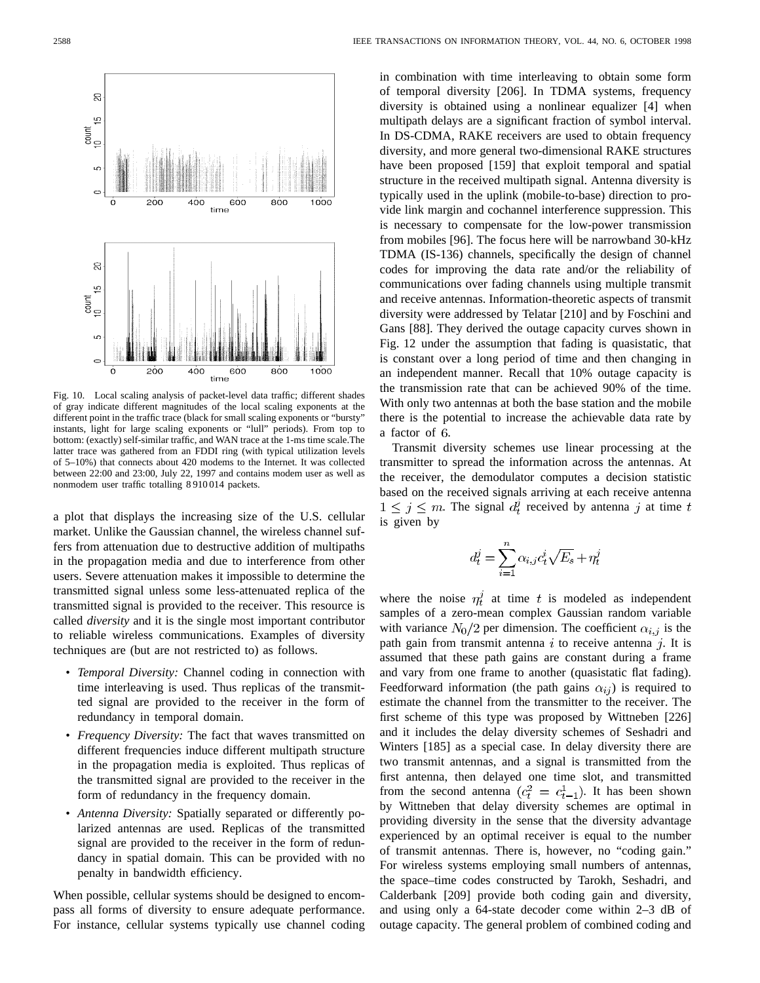

Fig. 10. Local scaling analysis of packet-level data traffic; different shades of gray indicate different magnitudes of the local scaling exponents at the different point in the traffic trace (black for small scaling exponents or "bursty" instants, light for large scaling exponents or "lull" periods). From top to bottom: (exactly) self-similar traffic, and WAN trace at the 1-ms time scale.The latter trace was gathered from an FDDI ring (with typical utilization levels of 5–10%) that connects about 420 modems to the Internet. It was collected between 22:00 and 23:00, July 22, 1997 and contains modem user as well as nonmodem user traffic totalling 8 910 014 packets.

a plot that displays the increasing size of the U.S. cellular market. Unlike the Gaussian channel, the wireless channel suffers from attenuation due to destructive addition of multipaths in the propagation media and due to interference from other users. Severe attenuation makes it impossible to determine the transmitted signal unless some less-attenuated replica of the transmitted signal is provided to the receiver. This resource is called *diversity* and it is the single most important contributor to reliable wireless communications. Examples of diversity techniques are (but are not restricted to) as follows.

- *Temporal Diversity:* Channel coding in connection with time interleaving is used. Thus replicas of the transmitted signal are provided to the receiver in the form of redundancy in temporal domain.
- *Frequency Diversity:* The fact that waves transmitted on different frequencies induce different multipath structure in the propagation media is exploited. Thus replicas of the transmitted signal are provided to the receiver in the form of redundancy in the frequency domain.
- *Antenna Diversity:* Spatially separated or differently polarized antennas are used. Replicas of the transmitted signal are provided to the receiver in the form of redundancy in spatial domain. This can be provided with no penalty in bandwidth efficiency.

When possible, cellular systems should be designed to encompass all forms of diversity to ensure adequate performance. For instance, cellular systems typically use channel coding in combination with time interleaving to obtain some form of temporal diversity [206]. In TDMA systems, frequency diversity is obtained using a nonlinear equalizer [4] when multipath delays are a significant fraction of symbol interval. In DS-CDMA, RAKE receivers are used to obtain frequency diversity, and more general two-dimensional RAKE structures have been proposed [159] that exploit temporal and spatial structure in the received multipath signal. Antenna diversity is typically used in the uplink (mobile-to-base) direction to provide link margin and cochannel interference suppression. This is necessary to compensate for the low-power transmission from mobiles [96]. The focus here will be narrowband 30-kHz TDMA (IS-136) channels, specifically the design of channel codes for improving the data rate and/or the reliability of communications over fading channels using multiple transmit and receive antennas. Information-theoretic aspects of transmit diversity were addressed by Telatar [210] and by Foschini and Gans [88]. They derived the outage capacity curves shown in Fig. 12 under the assumption that fading is quasistatic, that is constant over a long period of time and then changing in an independent manner. Recall that 10% outage capacity is the transmission rate that can be achieved 90% of the time. With only two antennas at both the base station and the mobile there is the potential to increase the achievable data rate by a factor of 6.

Transmit diversity schemes use linear processing at the transmitter to spread the information across the antennas. At the receiver, the demodulator computes a decision statistic based on the received signals arriving at each receive antenna  $1 \leq j \leq m$ . The signal  $d_t^j$  received by antenna j at time t is given by

$$
d_t^j = \sum_{i=1}^n \alpha_{i,j} c_t^i \sqrt{E_s} + \eta_t^j
$$

where the noise  $\eta_t^j$  at time t is modeled as independent samples of a zero-mean complex Gaussian random variable with variance  $N_0/2$  per dimension. The coefficient  $\alpha_{i,j}$  is the path gain from transmit antenna  $i$  to receive antenna  $j$ . It is assumed that these path gains are constant during a frame and vary from one frame to another (quasistatic flat fading). Feedforward information (the path gains  $\alpha_{ij}$ ) is required to estimate the channel from the transmitter to the receiver. The first scheme of this type was proposed by Wittneben [226] and it includes the delay diversity schemes of Seshadri and Winters [185] as a special case. In delay diversity there are two transmit antennas, and a signal is transmitted from the first antenna, then delayed one time slot, and transmitted from the second antenna  $(c_t^2 = c_{t-1}^1)$ . It has been shown by Wittneben that delay diversity schemes are optimal in providing diversity in the sense that the diversity advantage experienced by an optimal receiver is equal to the number of transmit antennas. There is, however, no "coding gain." For wireless systems employing small numbers of antennas, the space–time codes constructed by Tarokh, Seshadri, and Calderbank [209] provide both coding gain and diversity, and using only a 64-state decoder come within 2–3 dB of outage capacity. The general problem of combined coding and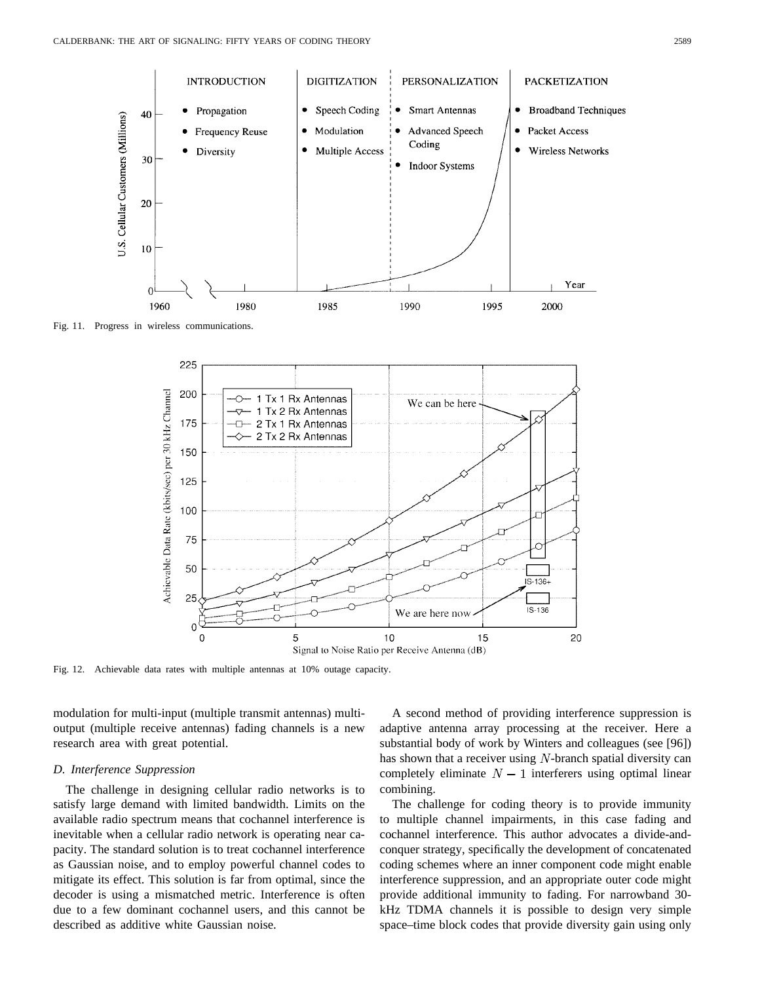

Fig. 11. Progress in wireless communications.



Fig. 12. Achievable data rates with multiple antennas at 10% outage capacity.

modulation for multi-input (multiple transmit antennas) multioutput (multiple receive antennas) fading channels is a new research area with great potential.

# *D. Interference Suppression*

The challenge in designing cellular radio networks is to satisfy large demand with limited bandwidth. Limits on the available radio spectrum means that cochannel interference is inevitable when a cellular radio network is operating near capacity. The standard solution is to treat cochannel interference as Gaussian noise, and to employ powerful channel codes to mitigate its effect. This solution is far from optimal, since the decoder is using a mismatched metric. Interference is often due to a few dominant cochannel users, and this cannot be described as additive white Gaussian noise.

A second method of providing interference suppression is adaptive antenna array processing at the receiver. Here a substantial body of work by Winters and colleagues (see [96]) has shown that a receiver using  $N$ -branch spatial diversity can completely eliminate  $N-1$  interferers using optimal linear combining.

The challenge for coding theory is to provide immunity to multiple channel impairments, in this case fading and cochannel interference. This author advocates a divide-andconquer strategy, specifically the development of concatenated coding schemes where an inner component code might enable interference suppression, and an appropriate outer code might provide additional immunity to fading. For narrowband 30 kHz TDMA channels it is possible to design very simple space–time block codes that provide diversity gain using only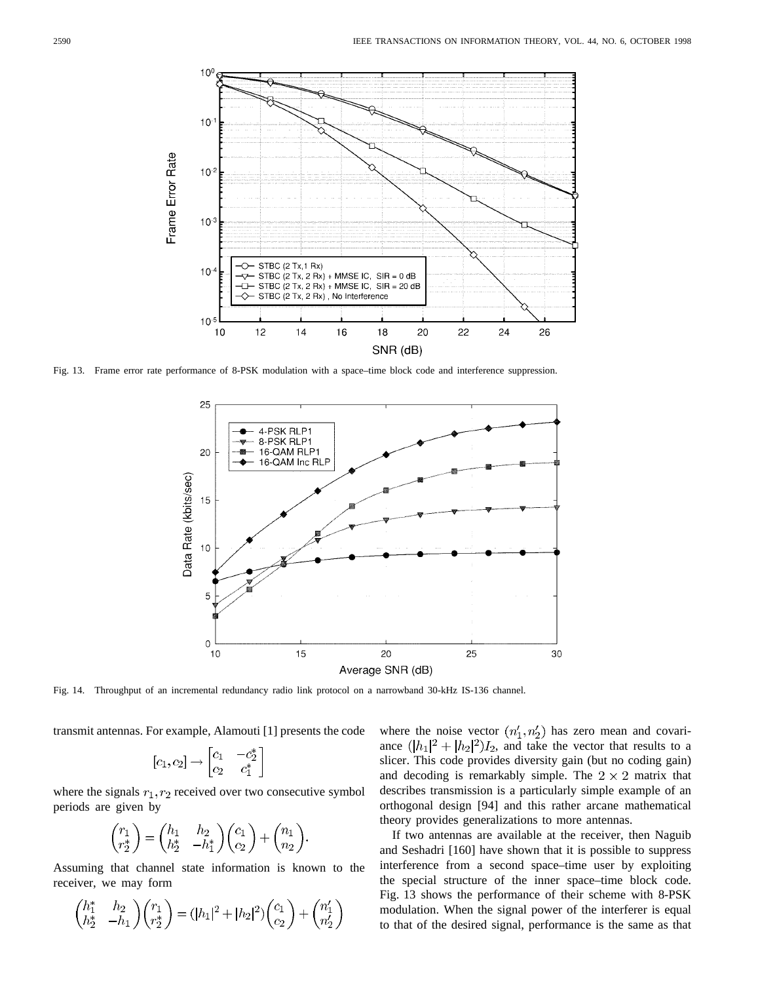

Fig. 13. Frame error rate performance of 8-PSK modulation with a space–time block code and interference suppression.



Fig. 14. Throughput of an incremental redundancy radio link protocol on a narrowband 30-kHz IS-136 channel.

transmit antennas. For example, Alamouti [1] presents the code

$$
[c_1, c_2] \rightarrow \begin{bmatrix} c_1 & -c_2^* \\ c_2 & c_1^* \end{bmatrix}
$$

where the signals  $r_1, r_2$  received over two consecutive symbol periods are given by

$$
\begin{pmatrix} r_1 \\ r_2^* \end{pmatrix} = \begin{pmatrix} h_1 & h_2 \\ h_2^* & -h_1^* \end{pmatrix} \begin{pmatrix} c_1 \\ c_2 \end{pmatrix} + \begin{pmatrix} n_1 \\ n_2 \end{pmatrix}.
$$

Assuming that channel state information is known to the receiver, we may form

$$
\begin{pmatrix} h_1^* & h_2 \\ h_2^* & -h_1 \end{pmatrix} \begin{pmatrix} r_1 \\ r_2^* \end{pmatrix} = (|h_1|^2 + |h_2|^2) \begin{pmatrix} c_1 \\ c_2 \end{pmatrix} + \begin{pmatrix} n_1' \\ n_2' \end{pmatrix}
$$

where the noise vector  $(n'_1, n'_2)$  has zero mean and covariance  $(|h_1|^2 + |h_2|^2)I_2$ , and take the vector that results to a slicer. This code provides diversity gain (but no coding gain) and decoding is remarkably simple. The  $2 \times 2$  matrix that describes transmission is a particularly simple example of an orthogonal design [94] and this rather arcane mathematical theory provides generalizations to more antennas.

If two antennas are available at the receiver, then Naguib and Seshadri [160] have shown that it is possible to suppress interference from a second space–time user by exploiting the special structure of the inner space–time block code. Fig. 13 shows the performance of their scheme with 8-PSK modulation. When the signal power of the interferer is equal to that of the desired signal, performance is the same as that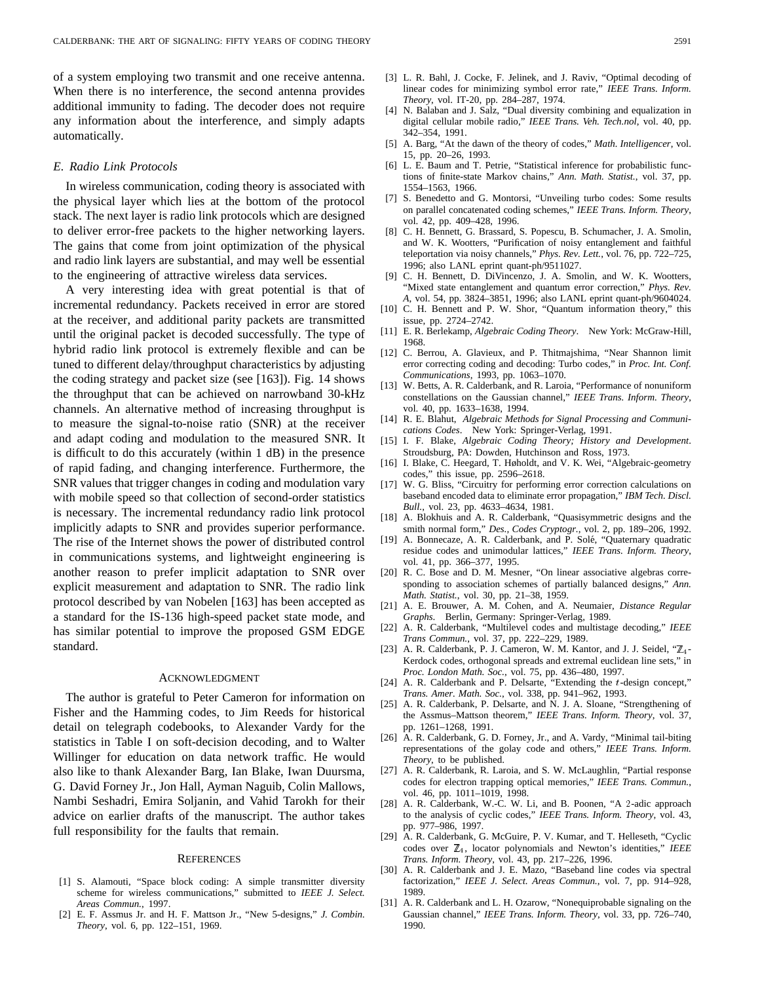of a system employing two transmit and one receive antenna. When there is no interference, the second antenna provides additional immunity to fading. The decoder does not require any information about the interference, and simply adapts automatically.

#### *E. Radio Link Protocols*

In wireless communication, coding theory is associated with the physical layer which lies at the bottom of the protocol stack. The next layer is radio link protocols which are designed to deliver error-free packets to the higher networking layers. The gains that come from joint optimization of the physical and radio link layers are substantial, and may well be essential to the engineering of attractive wireless data services.

A very interesting idea with great potential is that of incremental redundancy. Packets received in error are stored at the receiver, and additional parity packets are transmitted until the original packet is decoded successfully. The type of hybrid radio link protocol is extremely flexible and can be tuned to different delay/throughput characteristics by adjusting the coding strategy and packet size (see [163]). Fig. 14 shows the throughput that can be achieved on narrowband 30-kHz channels. An alternative method of increasing throughput is to measure the signal-to-noise ratio (SNR) at the receiver and adapt coding and modulation to the measured SNR. It is difficult to do this accurately (within 1 dB) in the presence of rapid fading, and changing interference. Furthermore, the SNR values that trigger changes in coding and modulation vary with mobile speed so that collection of second-order statistics is necessary. The incremental redundancy radio link protocol implicitly adapts to SNR and provides superior performance. The rise of the Internet shows the power of distributed control in communications systems, and lightweight engineering is another reason to prefer implicit adaptation to SNR over explicit measurement and adaptation to SNR. The radio link protocol described by van Nobelen [163] has been accepted as a standard for the IS-136 high-speed packet state mode, and has similar potential to improve the proposed GSM EDGE standard.

#### ACKNOWLEDGMENT

The author is grateful to Peter Cameron for information on Fisher and the Hamming codes, to Jim Reeds for historical detail on telegraph codebooks, to Alexander Vardy for the statistics in Table I on soft-decision decoding, and to Walter Willinger for education on data network traffic. He would also like to thank Alexander Barg, Ian Blake, Iwan Duursma, G. David Forney Jr., Jon Hall, Ayman Naguib, Colin Mallows, Nambi Seshadri, Emira Soljanin, and Vahid Tarokh for their advice on earlier drafts of the manuscript. The author takes full responsibility for the faults that remain.

#### **REFERENCES**

- [1] S. Alamouti, "Space block coding: A simple transmitter diversity scheme for wireless communications," submitted to *IEEE J. Select. Areas Commun.*, 1997.
- [2] E. F. Assmus Jr. and H. F. Mattson Jr., "New 5-designs," *J. Combin. Theory*, vol. 6, pp. 122–151, 1969.
- [3] L. R. Bahl, J. Cocke, F. Jelinek, and J. Raviv, "Optimal decoding of linear codes for minimizing symbol error rate," *IEEE Trans. Inform. Theory*, vol. IT-20, pp. 284–287, 1974.
- [4] N. Balaban and J. Salz, "Dual diversity combining and equalization in digital cellular mobile radio," *IEEE Trans. Veh. Tech.nol*, vol. 40, pp. 342–354, 1991.
- [5] A. Barg, "At the dawn of the theory of codes," *Math. Intelligencer*, vol. 15, pp. 20–26, 1993.
- [6] L. E. Baum and T. Petrie, "Statistical inference for probabilistic functions of finite-state Markov chains," *Ann. Math. Statist.*, vol. 37, pp. 1554–1563, 1966.
- [7] S. Benedetto and G. Montorsi, "Unveiling turbo codes: Some results on parallel concatenated coding schemes," *IEEE Trans. Inform. Theory*, vol. 42, pp. 409–428, 1996.
- [8] C. H. Bennett, G. Brassard, S. Popescu, B. Schumacher, J. A. Smolin, and W. K. Wootters, "Purification of noisy entanglement and faithful teleportation via noisy channels," *Phys. Rev. Lett.*, vol. 76, pp. 722–725, 1996; also LANL eprint quant-ph/9511027.
- [9] C. H. Bennett, D. DiVincenzo, J. A. Smolin, and W. K. Wootters, "Mixed state entanglement and quantum error correction," *Phys. Rev. A*, vol. 54, pp. 3824–3851, 1996; also LANL eprint quant-ph/9604024.
- [10] C. H. Bennett and P. W. Shor, "Quantum information theory," this issue, pp. 2724–2742.
- [11] E. R. Berlekamp, *Algebraic Coding Theory*. New York: McGraw-Hill, 1968.
- [12] C. Berrou, A. Glavieux, and P. Thitmajshima, "Near Shannon limit error correcting coding and decoding: Turbo codes," in *Proc. Int. Conf. Communications*, 1993, pp. 1063–1070.
- [13] W. Betts, A. R. Calderbank, and R. Laroia, "Performance of nonuniform constellations on the Gaussian channel," *IEEE Trans. Inform. Theory*, vol. 40, pp. 1633–1638, 1994.
- [14] R. E. Blahut, *Algebraic Methods for Signal Processing and Communications Codes*. New York: Springer-Verlag, 1991.
- [15] I. F. Blake, *Algebraic Coding Theory; History and Development*. Stroudsburg, PA: Dowden, Hutchinson and Ross, 1973.
- [16] I. Blake, C. Heegard, T. Høholdt, and V. K. Wei, "Algebraic-geometry codes," this issue, pp. 2596–2618.
- [17] W. G. Bliss, "Circuitry for performing error correction calculations on baseband encoded data to eliminate error propagation," *IBM Tech. Discl. Bull.*, vol. 23, pp. 4633–4634, 1981.
- [18] A. Blokhuis and A. R. Calderbank, "Quasisymmetric designs and the smith normal form," *Des., Codes Cryptogr.*, vol. 2, pp. 189–206, 1992.
- [19] A. Bonnecaze, A. R. Calderbank, and P. Solé, "Quaternary quadratic residue codes and unimodular lattices," *IEEE Trans. Inform. Theory*, vol. 41, pp. 366–377, 1995.
- [20] R. C. Bose and D. M. Mesner, "On linear associative algebras corresponding to association schemes of partially balanced designs," *Ann. Math. Statist.*, vol. 30, pp. 21–38, 1959.
- [21] A. E. Brouwer, A. M. Cohen, and A. Neumaier, *Distance Regular Graphs*. Berlin, Germany: Springer-Verlag, 1989.
- [22] A. R. Calderbank, "Multilevel codes and multistage decoding," *IEEE Trans Commun.*, vol. 37, pp. 222–229, 1989.
- [23] A. R. Calderbank, P. J. Cameron, W. M. Kantor, and J. J. Seidel, "Z<sub>4</sub>-Kerdock codes, orthogonal spreads and extremal euclidean line sets," in *Proc. London Math. Soc.*, vol. 75, pp. 436–480, 1997.
- [24] A. R. Calderbank and P. Delsarte, "Extending the t-design concept," *Trans. Amer. Math. Soc.*, vol. 338, pp. 941–962, 1993.
- [25] A. R. Calderbank, P. Delsarte, and N. J. A. Sloane, "Strengthening of the Assmus–Mattson theorem," *IEEE Trans. Inform. Theory*, vol. 37, pp. 1261–1268, 1991.
- [26] A. R. Calderbank, G. D. Forney, Jr., and A. Vardy, "Minimal tail-biting representations of the golay code and others," *IEEE Trans. Inform. Theory*, to be published.
- [27] A. R. Calderbank, R. Laroia, and S. W. McLaughlin, "Partial response codes for electron trapping optical memories," *IEEE Trans. Commun.*, vol. 46, pp. 1011–1019, 1998.
- [28] A. R. Calderbank, W.-C. W. Li, and B. Poonen, "A 2-adic approach to the analysis of cyclic codes," *IEEE Trans. Inform. Theory*, vol. 43, pp. 977–986, 1997.
- [29] A. R. Calderbank, G. McGuire, P. V. Kumar, and T. Helleseth, "Cyclic codes over  $\mathbb{Z}_4$ , locator polynomials and Newton's identities," *IEEE Trans. Inform. Theory*, vol. 43, pp. 217–226, 1996.
- [30] A. R. Calderbank and J. E. Mazo, "Baseband line codes via spectral factorization," *IEEE J. Select. Areas Commun.*, vol. 7, pp. 914–928, 1989.
- [31] A. R. Calderbank and L. H. Ozarow, "Nonequiprobable signaling on the Gaussian channel," *IEEE Trans. Inform. Theory*, vol. 33, pp. 726–740, 1990.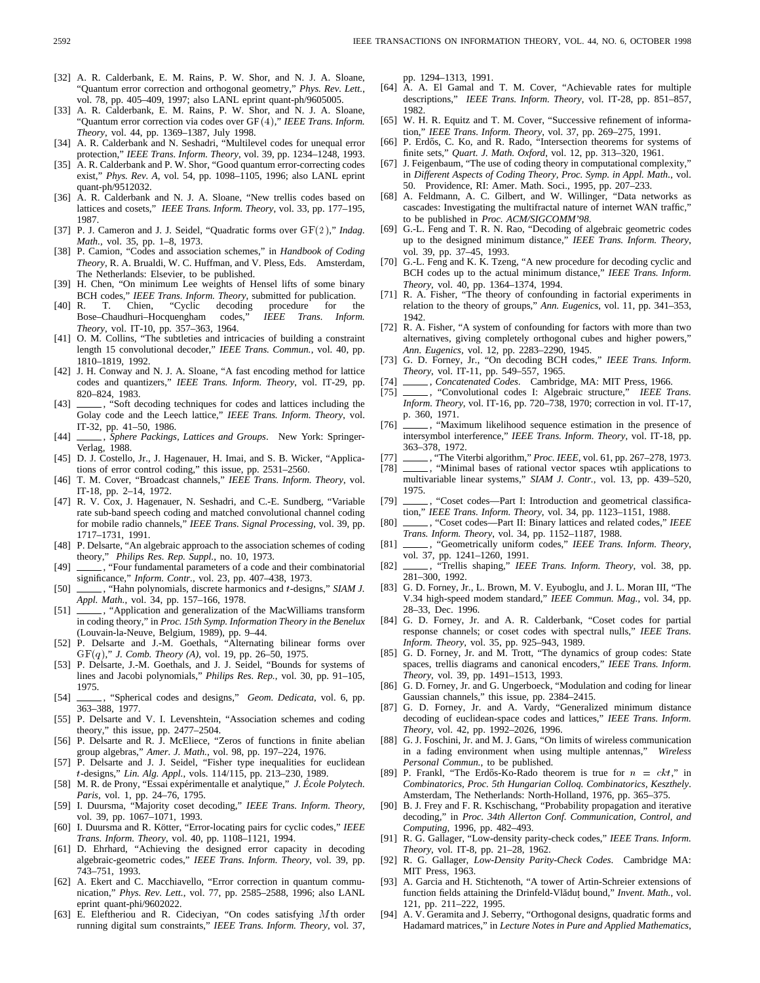- [32] A. R. Calderbank, E. M. Rains, P. W. Shor, and N. J. A. Sloane, "Quantum error correction and orthogonal geometry," *Phys. Rev. Lett.*, vol. 78, pp. 405–409, 1997; also LANL eprint quant-ph/9605005.
- [33] A. R. Calderbank, E. M. Rains, P. W. Shor, and N. J. A. Sloane, "Quantum error correction via codes over GF (4)," *IEEE Trans. Inform. Theory*, vol. 44, pp. 1369–1387, July 1998.
- [34] A. R. Calderbank and N. Seshadri, "Multilevel codes for unequal error protection," *IEEE Trans. Inform. Theory*, vol. 39, pp. 1234–1248, 1993.
- [35] A. R. Calderbank and P. W. Shor, "Good quantum error-correcting codes exist," *Phys. Rev. A*, vol. 54, pp. 1098–1105, 1996; also LANL eprint quant-ph/9512032.
- [36] A. R. Calderbank and N. J. A. Sloane, "New trellis codes based on lattices and cosets," *IEEE Trans. Inform. Theory*, vol. 33, pp. 177–195, 1987.
- [37] P. J. Cameron and J. J. Seidel, "Quadratic forms over GF(2)," *Indag. Math.*, vol. 35, pp. 1–8, 1973.
- [38] P. Camion, "Codes and association schemes," in *Handbook of Coding Theory*, R. A. Brualdi, W. C. Huffman, and V. Pless, Eds. Amsterdam, The Netherlands: Elsevier, to be published.
- [39] H. Chen, "On minimum Lee weights of Hensel lifts of some binary BCH codes," *IEEE Trans. Inform. Theory*, submitted for publication.
- [40] R. T. Chien, "Cyclic decoding procedure for the Bose–Chaudhuri–Hocquengham codes," *IEEE Trans. Inform. Theory*, vol. IT-10, pp. 357–363, 1964.
- [41] O. M. Collins, "The subtleties and intricacies of building a constraint length 15 convolutional decoder," *IEEE Trans. Commun.*, vol. 40, pp. 1810–1819, 1992.
- [42] J. H. Conway and N. J. A. Sloane, "A fast encoding method for lattice codes and quantizers," *IEEE Trans. Inform. Theory*, vol. IT-29, pp. 820–824, 1983.
- [43] \_\_\_\_\_, "Soft decoding techniques for codes and lattices including the Golay code and the Leech lattice," *IEEE Trans. Inform. Theory*, vol. IT-32, pp. 41–50, 1986.
- [44] , *Sphere Packings, Lattices and Groups*. New York: Springer-Verlag, 1988.
- [45] D. J. Costello, Jr., J. Hagenauer, H. Imai, and S. B. Wicker, "Applications of error control coding," this issue, pp. 2531–2560.
- [46] T. M. Cover, "Broadcast channels," *IEEE Trans. Inform. Theory*, vol. IT-18, pp. 2–14, 1972.
- [47] R. V.  $\overline{Cox}$ , J. Hagenauer, N. Seshadri, and C.-E. Sundberg, "Variable rate sub-band speech coding and matched convolutional channel coding for mobile radio channels," *IEEE Trans. Signal Processing*, vol. 39, pp. 1717–1731, 1991.
- [48] P. Delsarte, "An algebraic approach to the association schemes of coding theory," *Philips Res. Rep. Suppl.*, no. 10, 1973.
- [49] \_\_\_\_\_, "Four fundamental parameters of a code and their combinatorial significance," *Inform. Contr.*, vol. 23, pp. 407–438, 1973.
- [50]  $\_\_\_\$ , "Hahn polynomials, discrete harmonics and t-designs," *SIAM J. Appl. Math.*, vol. 34, pp. 157–166, 1978.
- [51] \_\_\_\_\_, "Application and generalization of the MacWilliams transform in coding theory," in *Proc. 15th Symp. Information Theory in the Benelux* (Louvain-la-Neuve, Belgium, 1989), pp. 9–44.
- [52] P. Delsarte and J.-M. Goethals, "Alternating bilinear forms over GF(q)," *J. Comb. Theory (A)*, vol. 19, pp. 26–50, 1975.
- [53] P. Delsarte, J.-M. Goethals, and J. J. Seidel, "Bounds for systems of lines and Jacobi polynomials," *Philips Res. Rep.*, vol. 30, pp. 91–105, 1975.
- [54]  $\_\_\_\$ , "Spherical codes and designs," *Geom. Dedicata*, vol. 6, pp. 363–388, 1977.
- [55] P. Delsarte and V. I. Levenshtein, "Association schemes and coding theory," this issue, pp. 2477–2504.
- [56] P. Delsarte and R. J. McEliece, "Zeros of functions in finite abelian group algebras," *Amer. J. Math.*, vol. 98, pp. 197–224, 1976.
- [57] P. Delsarte and J. J. Seidel, "Fisher type inequalities for euclidean t-designs," *Lin. Alg. Appl.*, vols. 114/115, pp. 213–230, 1989.
- [58] M. R. de Prony, "Essai expérimentalle et analytique," *J. École Polytech. Paris*, vol. 1, pp. 24–76, 1795.
- [59] I. Duursma, "Majority coset decoding," *IEEE Trans. Inform. Theory*, vol. 39, pp. 1067–1071, 1993.
- [60] I. Duursma and R. Kötter, "Error-locating pairs for cyclic codes," *IEEE Trans. Inform. Theory*, vol. 40, pp. 1108–1121, 1994.
- [61] D. Ehrhard, "Achieving the designed error capacity in decoding algebraic-geometric codes," *IEEE Trans. Inform. Theory*, vol. 39, pp. 743–751, 1993.
- [62] A. Ekert and C. Macchiavello, "Error correction in quantum communication," *Phys. Rev. Lett.*, vol. 77, pp. 2585–2588, 1996; also LANL eprint quant-phi/9602022.
- [63] E. Eleftheriou and R. Cideciyan, "On codes satisfying Mth order running digital sum constraints," *IEEE Trans. Inform. Theory*, vol. 37,

pp. 1294–1313, 1991.

- [64] A. A. El Gamal and T. M. Cover, "Achievable rates for multiple descriptions," *IEEE Trans. Inform. Theory*, vol. IT-28, pp. 851–857, 1982.
- [65] W. H. R. Equitz and T. M. Cover, "Successive refinement of information," *IEEE Trans. Inform. Theory*, vol. 37, pp. 269–275, 1991.
- [66] P. Erdős, C. Ko, and R. Rado, "Intersection theorems for systems of finite sets," *Quart. J. Math. Oxford*, vol. 12, pp. 313–320, 1961.
- I. Feigenbaum, "The use of coding theory in computational complexity," in *Different Aspects of Coding Theory, Proc. Symp. in Appl. Math.*, vol. 50. Providence, RI: Amer. Math. Soci., 1995, pp. 207–233.
- [68] A. Feldmann, A. C. Gilbert, and W. Willinger, "Data networks as cascades: Investigating the multifractal nature of internet WAN traffic," to be published in *Proc. ACM/SIGCOMM'98*.
- [69] G.-L. Feng and T. R. N. Rao, "Decoding of algebraic geometric codes up to the designed minimum distance," *IEEE Trans. Inform. Theory*, vol. 39, pp. 37–45, 1993.
- [70] G.-L. Feng and K. K. Tzeng, "A new procedure for decoding cyclic and BCH codes up to the actual minimum distance," *IEEE Trans. Inform. Theory*, vol. 40, pp. 1364–1374, 1994.
- [71] R. A. Fisher, "The theory of confounding in factorial experiments in relation to the theory of groups," *Ann. Eugenics*, vol. 11, pp. 341–353, 1942.
- [72] R. A. Fisher, "A system of confounding for factors with more than two alternatives, giving completely orthogonal cubes and higher powers," *Ann. Eugenics*, vol. 12, pp. 2283–2290, 1945.
- [73] G. D. Forney, Jr., "On decoding BCH codes," *IEEE Trans. Inform. Theory*, vol. IT-11, pp. 549–557, 1965.
- [74] , *Concatenated Codes*. Cambridge, MA: MIT Press, 1966.
- [75] , "Convolutional codes I: Algebraic structure," *IEEE Trans. Inform. Theory*, vol. IT-16, pp. 720–738, 1970; correction in vol. IT-17, p. 360, 1971.
- [76]  $\frac{1}{\sqrt{2\pi}}$ , "Maximum likelihood sequence estimation in the presence of intersymbol interference," *IEEE Trans. Inform. Theory*, vol. IT-18, pp. 363–378, 1972.
- [77] , "The Viterbi algorithm," *Proc. IEEE*, vol. 61, pp. 267–278, 1973.
- [78]  $\_\_\_\$ , "Minimal bases of rational vector spaces wtih applications to multivariable linear systems," *SIAM J. Contr.*, vol. 13, pp. 439–520, 1975.
- [79] , "Coset codes—Part I: Introduction and geometrical classification," *IEEE Trans. Inform. Theory*, vol. 34, pp. 1123–1151, 1988.
- [80] , "Coset codes—Part II: Binary lattices and related codes," *IEEE Trans. Inform. Theory*, vol. 34, pp. 1152–1187, 1988.
- [81] , "Geometrically uniform codes," *IEEE Trans. Inform. Theory*, vol. 37, pp. 1241–1260, 1991.
- [82] \_\_\_\_\_, "Trellis shaping," IEEE Trans. Inform. Theory, vol. 38, pp. 281–300, 1992.
- [83] G. D. Forney, Jr., L. Brown, M. V. Eyuboglu, and J. L. Moran III, "The V.34 high-speed modem standard," *IEEE Commun. Mag.*, vol. 34, pp. 28–33, Dec. 1996.
- [84] G. D. Forney, Jr. and A. R. Calderbank, "Coset codes for partial response channels; or coset codes with spectral nulls," *IEEE Trans. Inform. Theory*, vol. 35, pp. 925–943, 1989.
- [85] G. D. Forney, Jr. and M. Trott, "The dynamics of group codes: State spaces, trellis diagrams and canonical encoders," *IEEE Trans. Inform. Theory*, vol. 39, pp. 1491–1513, 1993.
- [86] G. D. Forney, Jr. and G. Ungerboeck, "Modulation and coding for linear Gaussian channels," this issue, pp. 2384–2415.
- [87] G. D. Forney, Jr. and A. Vardy, "Generalized minimum distance decoding of euclidean-space codes and lattices," *IEEE Trans. Inform. Theory*, vol. 42, pp. 1992–2026, 1996.
- [88] G. J. Foschini, Jr. and M. J. Gans, "On limits of wireless communication in a fading environment when using multiple antennas," *Wireless Personal Commun.*, to be published.
- [89] P. Frankl, "The Erdős-Ko-Rado theorem is true for  $n = ckt$ ," in *Combinatorics, Proc. 5th Hungarian Colloq. Combinatorics, Keszthely*. Amsterdam, The Netherlands: North-Holland, 1976, pp. 365–375.
- [90] B. J. Frey and F. R. Kschischang, "Probability propagation and iterative decoding," in *Proc. 34th Allerton Conf. Communication, Control, and Computing*, 1996, pp. 482–493.
- [91] R. G. Gallager, "Low-density parity-check codes," *IEEE Trans. Inform. Theory*, vol. IT-8, pp. 21–28, 1962.
- [92] R. G. Gallager, *Low-Density Parity-Check Codes*. Cambridge MA: MIT Press, 1963.
- [93] A. Garcia and H. Stichtenoth, "A tower of Artin-Schreier extensions of function fields attaining the Drinfeld-Vlăduț bound," Invent. Math., vol. 121, pp. 211–222, 1995.
- [94] A. V. Geramita and J. Seberry, "Orthogonal designs, quadratic forms and Hadamard matrices," in *Lecture Notes in Pure and Applied Mathematics*,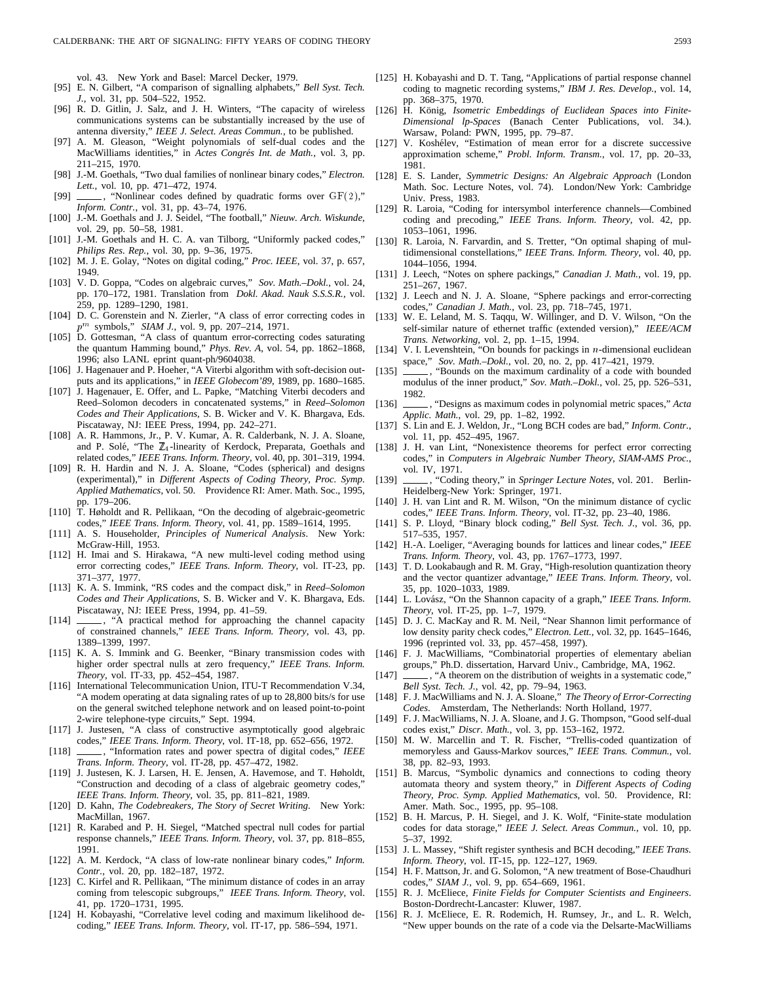vol. 43. New York and Basel: Marcel Decker, 1979.

- [95] E. N. Gilbert, "A comparison of signalling alphabets," *Bell Syst. Tech. J.*, vol. 31, pp. 504–522, 1952.
- [96] R. D. Gitlin, J. Salz, and J. H. Winters, "The capacity of wireless communications systems can be substantially increased by the use of antenna diversity," *IEEE J. Select. Areas Commun.*, to be published.
- [97] A. M. Gleason, "Weight polynomials of self-dual codes and the MacWilliams identities," in *Actes Congrés Int. de Math.*, vol. 3, pp. 211–215, 1970.
- [98] J.-M. Goethals, "Two dual families of nonlinear binary codes," *Electron. Lett.*, vol. 10, pp. 471–472, 1974.
- [99]  $\_\_\_\_\$ , "Nonlinear codes defined by quadratic forms over  $GF(2)$ ," *Inform. Contr.*, vol. 31, pp. 43–74, 1976.
- [100] J.-M. Goethals and J. J. Seidel, "The football," *Nieuw. Arch. Wiskunde*, vol. 29, pp. 50–58, 1981.
- [101] J.-M. Goethals and H. C. A. van Tilborg, "Uniformly packed codes," *Philips Res. Rep.*, vol. 30, pp. 9–36, 1975.
- [102] M. J. E. Golay, "Notes on digital coding," *Proc. IEEE*, vol. 37, p. 657, 1949.
- [103] V. D. Goppa, "Codes on algebraic curves," *Sov. Math.–Dokl.*, vol. 24, pp. 170–172, 1981. Translation from *Dokl. Akad. Nauk S.S.S.R.*, vol. 259, pp. 1289–1290, 1981.
- [104] D. C. Gorenstein and N. Zierler, "A class of error correcting codes in  $p^m$  symbols," *SIAM J.*, vol. 9, pp. 207–214, 1971.
- [105] D. Gottesman, "A class of quantum error-correcting codes saturating the quantum Hamming bound," *Phys. Rev. A*, vol. 54, pp. 1862–1868, 1996; also LANL eprint quant-ph/9604038.
- [106] J. Hagenauer and P. Hoeher, "A Viterbi algorithm with soft-decision outputs and its applications," in *IEEE Globecom'89*, 1989, pp. 1680–1685.
- [107] J. Hagenauer, E. Offer, and L. Papke, "Matching Viterbi decoders and Reed–Solomon decoders in concatenated systems," in *Reed–Solomon Codes and Their Applications*, S. B. Wicker and V. K. Bhargava, Eds. Piscataway, NJ: IEEE Press, 1994, pp. 242–271.
- [108] A. R. Hammons, Jr., P. V. Kumar, A. R. Calderbank, N. J. A. Sloane, and P. Solé, "The  $\mathbb{Z}_4$ -linearity of Kerdock, Preparata, Goethals and related codes," *IEEE Trans. Inform. Theory*, vol. 40, pp. 301–319, 1994.
- [109] R. H. Hardin and N. J. A. Sloane, "Codes (spherical) and designs (experimental)," in *Different Aspects of Coding Theory, Proc. Symp. Applied Mathematics*, vol. 50. Providence RI: Amer. Math. Soc., 1995, pp. 179–206.
- [110] T. Høholdt and R. Pellikaan, "On the decoding of algebraic-geometric codes," *IEEE Trans. Inform. Theory*, vol. 41, pp. 1589–1614, 1995.
- [111] A. S. Householder, *Principles of Numerical Analysis*. New York: McGraw-Hill, 1953.
- [112] H. Imai and S. Hirakawa, "A new multi-level coding method using error correcting codes," *IEEE Trans. Inform. Theory*, vol. IT-23, pp. 371–377, 1977.
- [113] K. A. S. Immink, "RS codes and the compact disk," in *Reed–Solomon Codes and Their Applications*, S. B. Wicker and V. K. Bhargava, Eds. Piscataway, NJ: IEEE Press, 1994, pp. 41–59.
- [114] \_\_\_\_\_, "A practical method for approaching the channel capacity of constrained channels," *IEEE Trans. Inform. Theory*, vol. 43, pp. 1389–1399, 1997.
- [115] K. A. S. Immink and G. Beenker, "Binary transmission codes with higher order spectral nulls at zero frequency," *IEEE Trans. Inform. Theory*, vol. IT-33, pp. 452–454, 1987.
- [116] International Telecommunication Union, ITU-T Recommendation V.34, "A modem operating at data signaling rates of up to 28,800 bits/s for use on the general switched telephone network and on leased point-to-point 2-wire telephone-type circuits," Sept. 1994.
- [117] J. Justesen, "A class of constructive asymptotically good algebraic codes," *IEEE Trans. Inform. Theory*, vol. IT-18, pp. 652–656, 1972.
- [118] , "Information rates and power spectra of digital codes," *IEEE Trans. Inform. Theory*, vol. IT-28, pp. 457–472, 1982.
- [119] J. Justesen, K. J. Larsen, H. E. Jensen, A. Havemose, and T. Høholdt, "Construction and decoding of a class of algebraic geometry codes," *IEEE Trans. Inform. Theory*, vol. 35, pp. 811–821, 1989.
- [120] D. Kahn, *The Codebreakers, The Story of Secret Writing*. New York: MacMillan, 1967.
- [121] R. Karabed and P. H. Siegel, "Matched spectral null codes for partial response channels," *IEEE Trans. Inform. Theory*, vol. 37, pp. 818–855, 1991.
- [122] A. M. Kerdock, "A class of low-rate nonlinear binary codes," *Inform. Contr.*, vol. 20, pp. 182–187, 1972.
- [123] C. Kirfel and R. Pellikaan, "The minimum distance of codes in an array coming from telescopic subgroups," *IEEE Trans. Inform. Theory*, vol. 41, pp. 1720–1731, 1995.
- [124] H. Kobayashi, "Correlative level coding and maximum likelihood decoding," *IEEE Trans. Inform. Theory*, vol. IT-17, pp. 586–594, 1971.
- [125] H. Kobayashi and D. T. Tang, "Applications of partial response channel coding to magnetic recording systems," *IBM J. Res. Develop.*, vol. 14, pp. 368–375, 1970.
- [126] H. König, *Isometric Embeddings of Euclidean Spaces into Finite-Dimensional lp-Spaces* (Banach Center Publications, vol. 34.). Warsaw, Poland: PWN, 1995, pp. 79–87.
- V. Koshélev, "Estimation of mean error for a discrete successive approximation scheme," *Probl. Inform. Transm.*, vol. 17, pp. 20–33, 1981.
- [128] E. S. Lander, *Symmetric Designs: An Algebraic Approach* (London Math. Soc. Lecture Notes, vol. 74). London/New York: Cambridge Univ. Press, 1983.
- [129] R. Laroia, "Coding for intersymbol interference channels—Combined coding and precoding," *IEEE Trans. Inform. Theory*, vol. 42, pp. 1053–1061, 1996.
- [130] R. Laroia, N. Farvardin, and S. Tretter, "On optimal shaping of multidimensional constellations," *IEEE Trans. Inform. Theory*, vol. 40, pp. 1044–1056, 1994.
- [131] J. Leech, "Notes on sphere packings," *Canadian J. Math.*, vol. 19, pp. 251–267, 1967.
- [132] J. Leech and N. J. A. Sloane, "Sphere packings and error-correcting codes," *Canadian J. Math.*, vol. 23, pp. 718–745, 1971.
- [133] W. E. Leland, M. S. Taqqu, W. Willinger, and D. V. Wilson, "On the self-similar nature of ethernet traffic (extended version)," *IEEE/ACM Trans. Networking*, vol. 2, pp. 1–15, 1994.
- [134] V. I. Levenshtein, "On bounds for packings in  $n$ -dimensional euclidean space," *Sov. Math.–Dokl.*, vol. 20, no. 2, pp. 417–421, 1979.
- [135] \_\_\_\_\_, "Bounds on the maximum cardinality of a code with bounded modulus of the inner product," *Sov. Math.–Dokl.*, vol. 25, pp. 526–531, 1982.
- [136] , "Designs as maximum codes in polynomial metric spaces," *Acta Applic. Math.*, vol. 29, pp. 1–82, 1992.
- [137] S. Lin and E. J. Weldon, Jr., "Long BCH codes are bad," *Inform. Contr.*, vol. 11, pp. 452–495, 1967.
- [138] J. H. van Lint, "Nonexistence theorems for perfect error correcting codes," in *Computers in Algebraic Number Theory, SIAM-AMS Proc.*, vol. IV, 1971.
- [139] , "Coding theory," in *Springer Lecture Notes*, vol. 201. Berlin-Heidelberg-New York: Springer, 1971.
- [140] J. H. van Lint and R. M. Wilson, "On the minimum distance of cyclic codes," *IEEE Trans. Inform. Theory*, vol. IT-32, pp. 23–40, 1986.
- [141] S. P. Lloyd, "Binary block coding," *Bell Syst. Tech. J.*, vol. 36, pp. 517–535, 1957.
- [142] H.-A. Loeliger, "Averaging bounds for lattices and linear codes," *IEEE Trans. Inform. Theory*, vol. 43, pp. 1767–1773, 1997.
- [143] T. D. Lookabaugh and R. M. Gray, "High-resolution quantization theory and the vector quantizer advantage," *IEEE Trans. Inform. Theory*, vol. 35, pp. 1020–1033, 1989.
- [144] L. Lovász, "On the Shannon capacity of a graph," *IEEE Trans. Inform. Theory*, vol. IT-25, pp. 1–7, 1979.
- [145] D. J. C. MacKay and R. M. Neil, "Near Shannon limit performance of low density parity check codes," *Electron. Lett.*, vol. 32, pp. 1645–1646, 1996 (reprinted vol. 33, pp. 457–458, 1997).
- [146] F. J. MacWilliams, "Combinatorial properties of elementary abelian groups," Ph.D. dissertation, Harvard Univ., Cambridge, MA, 1962.
- [147]  $\_\_\_\$ , "A theorem on the distribution of weights in a systematic code," *Bell Syst. Tech. J.*, vol. 42, pp. 79–94, 1963.
- [148] F. J. MacWilliams and N. J. A. Sloane," *The Theory of Error-Correcting Codes*. Amsterdam, The Netherlands: North Holland, 1977.
- [149] F. J. MacWilliams, N. J. A. Sloane, and J. G. Thompson, "Good self-dual codes exist," *Discr. Math.*, vol. 3, pp. 153–162, 1972.
- [150] M. W. Marcellin and T. R. Fischer, "Trellis-coded quantization of memoryless and Gauss-Markov sources," *IEEE Trans. Commun.*, vol. 38, pp. 82–93, 1993.
- [151] B. Marcus, "Symbolic dynamics and connections to coding theory automata theory and system theory," in *Different Aspects of Coding Theory, Proc. Symp. Applied Mathematics*, vol. 50. Providence, RI: Amer. Math. Soc., 1995, pp. 95–108.
- [152] B. H. Marcus, P. H. Siegel, and J. K. Wolf, "Finite-state modulation codes for data storage," *IEEE J. Select. Areas Commun.*, vol. 10, pp. 5–37, 1992.
- [153] J. L. Massey, "Shift register synthesis and BCH decoding," *IEEE Trans. Inform. Theory*, vol. IT-15, pp. 122–127, 1969.
- [154] H. F. Mattson, Jr. and G. Solomon, "A new treatment of Bose-Chaudhuri codes," *SIAM J.*, vol. 9, pp. 654–669, 1961.
- [155] R. J. McEliece, *Finite Fields for Computer Scientists and Engineers*. Boston-Dordrecht-Lancaster: Kluwer, 1987.
- [156] R. J. McEliece, E. R. Rodemich, H. Rumsey, Jr., and L. R. Welch, "New upper bounds on the rate of a code via the Delsarte-MacWilliams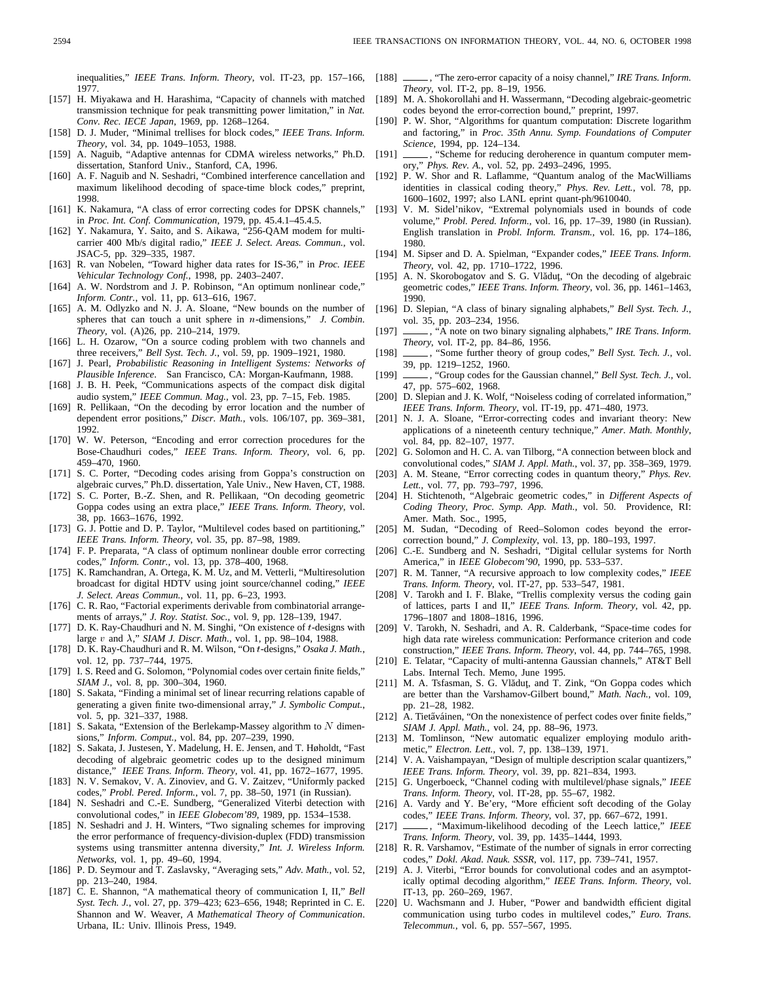inequalities," *IEEE Trans. Inform. Theory*, vol. IT-23, pp. 157–166, 1977.

- [157] H. Miyakawa and H. Harashima, "Capacity of channels with matched transmission technique for peak transmitting power limitation," in *Nat. Conv. Rec. IECE Japan*, 1969, pp. 1268–1264.
- [158] D. J. Muder, "Minimal trellises for block codes," *IEEE Trans. Inform. Theory*, vol. 34, pp. 1049–1053, 1988.
- [159] A. Naguib, "Adaptive antennas for CDMA wireless networks," Ph.D. dissertation, Stanford Univ., Stanford, CA, 1996.
- [160] A. F. Naguib and N. Seshadri, "Combined interference cancellation and maximum likelihood decoding of space-time block codes," preprint, 1998.
- [161] K. Nakamura, "A class of error correcting codes for DPSK channels," in *Proc. Int. Conf. Communication*, 1979, pp. 45.4.1–45.4.5.
- [162] Y. Nakamura, Y. Saito, and S. Aikawa, "256-QAM modem for multicarrier 400 Mb/s digital radio," *IEEE J. Select. Areas. Commun.*, vol. JSAC-5, pp. 329–335, 1987.
- [163] R. van Nobelen, "Toward higher data rates for IS-36," in *Proc. IEEE Vehicular Technology Conf.*, 1998, pp. 2403–2407.
- [164] A. W. Nordstrom and J. P. Robinson, "An optimum nonlinear code," *Inform. Contr.*, vol. 11, pp. 613–616, 1967.
- [165] A. M. Odlyzko and N. J. A. Sloane, "New bounds on the number of spheres that can touch a unit sphere in n-dimensions," *J. Combin. Theory*, vol. (A)26, pp. 210–214, 1979.
- [166] L. H. Ozarow, "On a source coding problem with two channels and three receivers," *Bell Syst. Tech. J.*, vol. 59, pp. 1909–1921, 1980.
- [167] J. Pearl, *Probabilistic Reasoning in Intelligent Systems: Networks of Plausible Inference*. San Francisco, CA: Morgan-Kaufmann, 1988.
- [168] J. B. H. Peek, "Communications aspects of the compact disk digital audio system," *IEEE Commun. Mag.*, vol. 23, pp. 7–15, Feb. 1985.
- [169] R. Pellikaan, "On the decoding by error location and the number of dependent error positions," *Discr. Math.*, vols. 106/107, pp. 369–381, 1992.
- [170] W. W. Peterson, "Encoding and error correction procedures for the Bose-Chaudhuri codes," *IEEE Trans. Inform. Theory*, vol. 6, pp. 459–470, 1960.
- [171] S. C. Porter, "Decoding codes arising from Goppa's construction on algebraic curves," Ph.D. dissertation, Yale Univ., New Haven, CT, 1988.
- [172] S. C. Porter, B.-Z. Shen, and R. Pellikaan, "On decoding geometric Goppa codes using an extra place," *IEEE Trans. Inform. Theory*, vol. 38, pp. 1663–1676, 1992.
- [173] G. J. Pottie and D. P. Taylor, "Multilevel codes based on partitioning," *IEEE Trans. Inform. Theory*, vol. 35, pp. 87–98, 1989.
- [174] F. P. Preparata, "A class of optimum nonlinear double error correcting codes," *Inform. Contr.*, vol. 13, pp. 378–400, 1968.
- [175] K. Ramchandran, A. Ortega, K. M. Uz, and M. Vetterli, "Multiresolution broadcast for digital HDTV using joint source/channel coding," *IEEE J. Select. Areas Commun.*, vol. 11, pp. 6–23, 1993.
- [176] C. R. Rao, "Factorial experiments derivable from combinatorial arrangements of arrays," *J. Roy. Statist. Soc.*, vol. 9, pp. 128–139, 1947.
- [177] D. K. Ray-Chaudhuri and N. M. Singhi, "On existence of t-designs with large v and  $\lambda$ ," *SIAM J. Discr. Math.*, vol. 1, pp. 98–104, 1988.
- [178] D. K. Ray-Chaudhuri and R. M. Wilson, "On t-designs," *Osaka J. Math.*, vol. 12, pp. 737–744, 1975.
- [179] I. S. Reed and G. Solomon, "Polynomial codes over certain finite fields," *SIAM J.*, vol. 8, pp. 300–304, 1960.
- [180] S. Sakata, "Finding a minimal set of linear recurring relations capable of generating a given finite two-dimensional array," *J. Symbolic Comput.*, vol. 5, pp. 321–337, 1988.
- [181] S. Sakata, "Extension of the Berlekamp-Massey algorithm to N dimensions," *Inform. Comput.*, vol. 84, pp. 207–239, 1990.
- [182] S. Sakata, J. Justesen, Y. Madelung, H. E. Jensen, and T. Høholdt, "Fast decoding of algebraic geometric codes up to the designed minimum distance," *IEEE Trans. Inform. Theory*, vol. 41, pp. 1672–1677, 1995.
- [183] N. V. Semakov, V. A. Zinoviev, and G. V. Zaitzev, "Uniformly packed codes," *Probl. Pered. Inform.*, vol. 7, pp. 38–50, 1971 (in Russian).
- [184] N. Seshadri and C.-E. Sundberg, "Generalized Viterbi detection with convolutional codes," in *IEEE Globecom'89*, 1989, pp. 1534–1538.
- [185] N. Seshadri and J. H. Winters, "Two signaling schemes for improving the error performance of frequency-division-duplex (FDD) transmission systems using transmitter antenna diversity," *Int. J. Wireless Inform. Networks*, vol. 1, pp. 49–60, 1994.
- [186] P. D. Seymour and T. Zaslavsky, "Averaging sets," *Adv. Math.*, vol. 52, pp. 213–240, 1984.
- [187] C. E. Shannon, "A mathematical theory of communication I, II," *Bell Syst. Tech. J.*, vol. 27, pp. 379–423; 623–656, 1948; Reprinted in C. E. Shannon and W. Weaver, *A Mathematical Theory of Communication*. Urbana, IL: Univ. Illinois Press, 1949.
- [188] , "The zero-error capacity of a noisy channel," *IRE Trans. Inform. Theory*, vol. IT-2, pp. 8–19, 1956.
- [189] M. A. Shokorollahi and H. Wassermann, "Decoding algebraic-geometric codes beyond the error-correction bound," preprint, 1997.
- [190] P. W. Shor, "Algorithms for quantum computation: Discrete logarithm and factoring," in *Proc. 35th Annu. Symp. Foundations of Computer Science*, 1994, pp. 124–134.
- [191] , "Scheme for reducing deroherence in quantum computer memory," *Phys. Rev. A.*, vol. 52, pp. 2493–2496, 1995.
- [192] P. W. Shor and R. Laflamme, "Quantum analog of the MacWilliams identities in classical coding theory," *Phys. Rev. Lett.*, vol. 78, pp. 1600–1602, 1997; also LANL eprint quant-ph/9610040.
- [193] V. M. Sidel'nikov, "Extremal polynomials used in bounds of code volume," *Probl. Pered. Inform.*, vol. 16, pp. 17–39, 1980 (in Russian). English translation in *Probl. Inform. Transm.*, vol. 16, pp. 174–186, 1980.
- [194] M. Sipser and D. A. Spielman, "Expander codes," *IEEE Trans. Inform. Theory*, vol. 42, pp. 1710–1722, 1996.
- [195] A. N. Skorobogatov and S. G. Vlăduț, "On the decoding of algebraic geometric codes," *IEEE Trans. Inform. Theory*, vol. 36, pp. 1461–1463, 1990.
- [196] D. Slepian, "A class of binary signaling alphabets," *Bell Syst. Tech. J.*, vol. 35, pp. 203–234, 1956.
- $\Box$ , "A note on two binary signaling alphabets," *IRE Trans. Inform. Theory*, vol. IT-2, pp. 84–86, 1956.
- [198]  $\_\_\_\$ , "Some further theory of group codes," *Bell Syst. Tech. J.*, vol. 39, pp. 1219–1252, 1960.
- [199]  $\_\_$ , "Group codes for the Gaussian channel," *Bell Syst. Tech. J.*, vol. 47, pp. 575–602, 1968.
- [200] D. Slepian and J. K. Wolf, "Noiseless coding of correlated information," *IEEE Trans. Inform. Theory*, vol. IT-19, pp. 471–480, 1973.
- [201] N. J. A. Sloane, "Error-correcting codes and invariant theory: New applications of a nineteenth century technique," *Amer. Math. Monthly*, vol. 84, pp. 82–107, 1977.
- [202] G. Solomon and H. C. A. van Tilborg, "A connection between block and convolutional codes," *SIAM J. Appl. Math.*, vol. 37, pp. 358–369, 1979.
- [203] A. M. Steane, "Error correcting codes in quantum theory," *Phys. Rev. Lett.*, vol. 77, pp. 793–797, 1996.
- [204] H. Stichtenoth, "Algebraic geometric codes," in *Different Aspects of Coding Theory, Proc. Symp. App. Math.*, vol. 50. Providence, RI: Amer. Math. Soc., 1995,
- [205] M. Sudan, "Decoding of Reed–Solomon codes beyond the errorcorrection bound," *J. Complexity*, vol. 13, pp. 180–193, 1997.
- [206] C.-E. Sundberg and N. Seshadri, "Digital cellular systems for North America," in *IEEE Globecom'90*, 1990, pp. 533–537.
- [207] R. M. Tanner, "A recursive approach to low complexity codes," *IEEE Trans. Inform. Theory*, vol. IT-27, pp. 533–547, 1981.
- [208] V. Tarokh and I. F. Blake, "Trellis complexity versus the coding gain of lattices, parts I and II," *IEEE Trans. Inform. Theory*, vol. 42, pp. 1796–1807 and 1808–1816, 1996.
- [209] V. Tarokh, N. Seshadri, and A. R. Calderbank, "Space-time codes for high data rate wireless communication: Performance criterion and code construction," *IEEE Trans. Inform. Theory*, vol. 44, pp. 744–765, 1998.
- [210] E. Telatar, "Capacity of multi-antenna Gaussian channels," AT&T Bell Labs. Internal Tech. Memo, June 1995.
- [211] M. A. Tsfasman, S. G. Vlăduț, and T. Zink, "On Goppa codes which are better than the Varshamov-Gilbert bound," *Math. Nach.*, vol. 109, pp. 21–28, 1982.
- [212] A. Tietãváinen, "On the nonexistence of perfect codes over finite fields," *SIAM J. Appl. Math.*, vol. 24, pp. 88–96, 1973.
- [213] M. Tomlinson, "New automatic equalizer employing modulo arithmetic," *Electron. Lett.*, vol. 7, pp. 138–139, 1971.
- [214] V. A. Vaishampayan, "Design of multiple description scalar quantizers," *IEEE Trans. Inform. Theory*, vol. 39, pp. 821–834, 1993.
- [215] G. Ungerboeck, "Channel coding with multilevel/phase signals," *IEEE Trans. Inform. Theory*, vol. IT-28, pp. 55–67, 1982.
- [216] A. Vardy and Y. Be'ery, "More efficient soft decoding of the Golay codes," *IEEE Trans. Inform. Theory*, vol. 37, pp. 667–672, 1991.
- [217] \_\_\_\_\_\_, "Maximum-likelihood decoding of the Leech lattice," *IEEE Trans. Inform. Theory*, vol. 39, pp. 1435–1444, 1993.
- [218] R. R. Varshamov, "Estimate of the number of signals in error correcting codes," *Dokl. Akad. Nauk. SSSR*, vol. 117, pp. 739–741, 1957.
- [219] A. J. Viterbi, "Error bounds for convolutional codes and an asymptotically optimal decoding algorithm," *IEEE Trans. Inform. Theory*, vol. IT-13, pp. 260–269, 1967.
- [220] U. Wachsmann and J. Huber, "Power and bandwidth efficient digital communication using turbo codes in multilevel codes," *Euro. Trans. Telecommun.*, vol. 6, pp. 557–567, 1995.